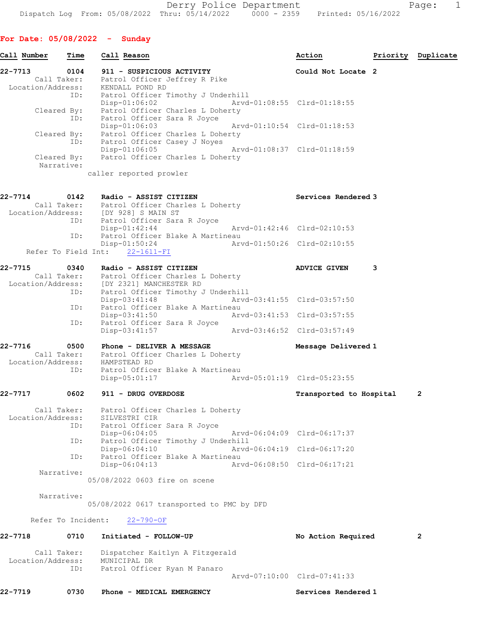For Date: 05/08/2022 - Sunday

| Call Number       | Time                      | Call Reason                                                                                         | Action                      |   | Priority Duplicate |
|-------------------|---------------------------|-----------------------------------------------------------------------------------------------------|-----------------------------|---|--------------------|
| 22-7713           | 0104                      | 911 - SUSPICIOUS ACTIVITY                                                                           | Could Not Locate 2          |   |                    |
|                   |                           | Call Taker: Patrol Officer Jeffrey R Pike<br>Location/Address: KENDALL POND RD                      |                             |   |                    |
|                   | ID:                       | Patrol Officer Timothy J Underhill<br>Disp-01:06:02                                                 | Arvd-01:08:55 Clrd-01:18:55 |   |                    |
|                   | Cleared By:<br>ID:        | Patrol Officer Charles L Doherty<br>Patrol Officer Sara R Joyce<br>Disp-01:06:03                    | Arvd-01:10:54 Clrd-01:18:53 |   |                    |
|                   |                           | Cleared By: Patrol Officer Charles L Doherty<br>ID: Patrol Officer Casey J Noyes<br>$Disp-01:06:05$ | Arvd-01:08:37 Clrd-01:18:59 |   |                    |
|                   | Cleared By:<br>Narrative: | Patrol Officer Charles L Doherty                                                                    |                             |   |                    |
|                   |                           | caller reported prowler                                                                             |                             |   |                    |
| 22-7714           |                           | 0142 Radio - ASSIST CITIZEN                                                                         | Services Rendered 3         |   |                    |
|                   |                           | Call Taker: Patrol Officer Charles L Doherty                                                        |                             |   |                    |
|                   |                           | Location/Address: [DY 928] S MAIN ST<br>ID: Patrol Officer Sara R Joyce                             |                             |   |                    |
|                   |                           | $Disp-01:42:44$                                                                                     | Arvd-01:42:46 Clrd-02:10:53 |   |                    |
|                   |                           | ID: Patrol Officer Blake A Martineau<br>$Disp-01:50:24$                                             | Arvd-01:50:26 Clrd-02:10:55 |   |                    |
|                   |                           | Refer To Field Int: 22-1611-FI                                                                      |                             |   |                    |
| 22-7715           | 0340                      | Radio - ASSIST CITIZEN                                                                              | <b>ADVICE GIVEN</b>         | 3 |                    |
|                   |                           | Call Taker: Patrol Officer Charles L Doherty<br>Location/Address: [DY 2321] MANCHESTER RD           |                             |   |                    |
|                   | ID:                       | Patrol Officer Timothy J Underhill                                                                  |                             |   |                    |
|                   |                           | Disp-03:41:48                                                                                       | Arvd-03:41:55 Clrd-03:57:50 |   |                    |
|                   | ID:                       | Patrol Officer Blake A Martineau<br>Disp-03:41:50                                                   | Arvd-03:41:53 Clrd-03:57:55 |   |                    |
|                   | ID:                       | Patrol Officer Sara R Joyce<br>Disp-03:41:57                                                        | Arvd-03:46:52 Clrd-03:57:49 |   |                    |
| 22-7716           | 0500                      | Phone - DELIVER A MESSAGE                                                                           | Message Delivered 1         |   |                    |
|                   |                           | Call Taker: Patrol Officer Charles L Doherty<br>Location/Address: HAMPSTEAD RD                      |                             |   |                    |
|                   | ID:                       | Patrol Officer Blake A Martineau<br>$Disp-05:01:17$                                                 | Arvd-05:01:19 Clrd-05:23:55 |   |                    |
| 22-7717           | 0602                      | 911 - DRUG OVERDOSE                                                                                 | Transported to Hospital     |   | 2                  |
|                   | Call Taker:               | Patrol Officer Charles L Doherty                                                                    |                             |   |                    |
| Location/Address: |                           | SILVESTRI CIR                                                                                       |                             |   |                    |
|                   | ID:                       | Patrol Officer Sara R Joyce<br>Disp-06:04:05                                                        | Arvd-06:04:09 Clrd-06:17:37 |   |                    |
|                   | ID:                       | Patrol Officer Timothy J Underhill<br>Disp-06:04:10                                                 | Arvd-06:04:19 Clrd-06:17:20 |   |                    |
|                   | ID:                       | Patrol Officer Blake A Martineau<br>Disp-06:04:13                                                   | Arvd-06:08:50 Clrd-06:17:21 |   |                    |
|                   | Narrative:                |                                                                                                     |                             |   |                    |
|                   |                           | 05/08/2022 0603 fire on scene                                                                       |                             |   |                    |
|                   | Narrative:                | 05/08/2022 0617 transported to PMC by DFD                                                           |                             |   |                    |
|                   | Refer To Incident:        | $22 - 790 - OF$                                                                                     |                             |   |                    |
|                   |                           |                                                                                                     |                             |   |                    |
| 22-7718           | 0710                      | Initiated - FOLLOW-UP                                                                               | No Action Required          |   | 2                  |
| Location/Address: | Call Taker:               | Dispatcher Kaitlyn A Fitzgerald<br>MUNICIPAL DR                                                     |                             |   |                    |
|                   | ID:                       | Patrol Officer Ryan M Panaro                                                                        | Arvd-07:10:00 Clrd-07:41:33 |   |                    |
| 22-7719           | 0730                      | Phone - MEDICAL EMERGENCY                                                                           | Services Rendered 1         |   |                    |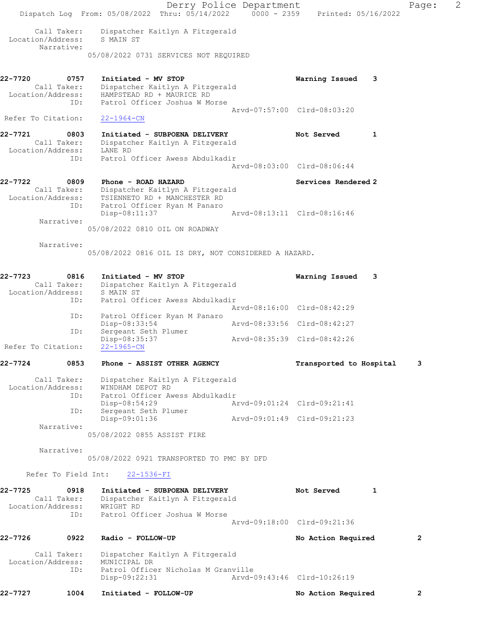|                                                     | Dispatch Log From: 05/08/2022 Thru: 05/14/2022 0000 - 2359 Printed: 05/16/2022                          | Derry Police Department     |                             |   | Page:        | 2 |
|-----------------------------------------------------|---------------------------------------------------------------------------------------------------------|-----------------------------|-----------------------------|---|--------------|---|
| Call Taker:<br>Location/Address:<br>Narrative:      | Dispatcher Kaitlyn A Fitzgerald<br>S MAIN ST                                                            |                             |                             |   |              |   |
|                                                     | 05/08/2022 0731 SERVICES NOT REQUIRED                                                                   |                             |                             |   |              |   |
| 22-7720<br>0757<br>Call Taker:<br>Location/Address: | Initiated - MV STOP<br>Dispatcher Kaitlyn A Fitzgerald<br>HAMPSTEAD RD + MAURICE RD                     |                             | Warning Issued              | 3 |              |   |
| ID:<br>Refer To Citation:                           | Patrol Officer Joshua W Morse<br>$22 - 1964 - CN$                                                       |                             | Arvd-07:57:00 Clrd-08:03:20 |   |              |   |
| 22-7721<br>0803<br>Call Taker:                      | Initiated - SUBPOENA DELIVERY<br>Dispatcher Kaitlyn A Fitzgerald                                        |                             | Not Served                  | 1 |              |   |
| Location/Address:<br>ID:                            | LANE RD<br>Patrol Officer Awess Abdulkadir                                                              |                             | Arvd-08:03:00 Clrd-08:06:44 |   |              |   |
| 22-7722<br>0809<br>Call Taker:<br>Location/Address: | Phone - ROAD HAZARD<br>Dispatcher Kaitlyn A Fitzgerald<br>TSIENNETO RD + MANCHESTER RD                  |                             | Services Rendered 2         |   |              |   |
| ID:<br>Narrative:                                   | Patrol Officer Ryan M Panaro<br>Disp-08:11:37<br>05/08/2022 0810 OIL ON ROADWAY                         |                             | Arvd-08:13:11 Clrd-08:16:46 |   |              |   |
| Narrative:                                          | 05/08/2022 0816 OIL IS DRY, NOT CONSIDERED A HAZARD.                                                    |                             |                             |   |              |   |
| 22-7723<br>0816<br>Call Taker:<br>Location/Address: | Initiated - MV STOP<br>Dispatcher Kaitlyn A Fitzgerald<br>S MAIN ST                                     |                             | Warning Issued              | 3 |              |   |
| ID:                                                 | Patrol Officer Awess Abdulkadir                                                                         |                             | Arvd-08:16:00 Clrd-08:42:29 |   |              |   |
| ID:                                                 | Patrol Officer Ryan M Panaro<br>Disp-08:33:54                                                           |                             | Arvd-08:33:56 Clrd-08:42:27 |   |              |   |
| ID:<br>Refer To Citation:                           | Sergeant Seth Plumer<br>Disp-08:35:37<br>$22 - 1965 - CN$                                               |                             | Arvd-08:35:39 Clrd-08:42:26 |   |              |   |
| 22-7724<br>0853                                     | Phone - ASSIST OTHER AGENCY                                                                             |                             | Transported to Hospital     |   | 3            |   |
| Call Taker:<br>Location/Address:<br>ID:             | Dispatcher Kaitlyn A Fitzgerald<br>WINDHAM DEPOT RD<br>Patrol Officer Awess Abdulkadir<br>Disp-08:54:29 | Arvd-09:01:24 Clrd-09:21:41 |                             |   |              |   |
| ID:                                                 | Sergeant Seth Plumer<br>Disp-09:01:36                                                                   | Arvd-09:01:49 Clrd-09:21:23 |                             |   |              |   |
| Narrative:                                          | 05/08/2022 0855 ASSIST FIRE                                                                             |                             |                             |   |              |   |
| Narrative:                                          | 05/08/2022 0921 TRANSPORTED TO PMC BY DFD                                                               |                             |                             |   |              |   |
|                                                     | Refer To Field Int: 22-1536-FI                                                                          |                             |                             |   |              |   |
| 22-7725<br>0918<br>Call Taker:<br>Location/Address: | Initiated - SUBPOENA DELIVERY<br>Dispatcher Kaitlyn A Fitzgerald<br>WRIGHT RD                           |                             | Not Served                  | 1 |              |   |
| ID:                                                 | Patrol Officer Joshua W Morse                                                                           |                             | Arvd-09:18:00 Clrd-09:21:36 |   |              |   |
| 22-7726<br>0922                                     | Radio - FOLLOW-UP                                                                                       |                             | No Action Required          |   | $\mathbf{2}$ |   |
| Call Taker:<br>Location/Address:<br>ID:             | Dispatcher Kaitlyn A Fitzgerald<br>MUNICIPAL DR<br>Patrol Officer Nicholas M Granville                  |                             |                             |   |              |   |
|                                                     | Disp-09:22:31                                                                                           |                             | Arvd-09:43:46 Clrd-10:26:19 |   |              |   |
| 22-7727<br>1004                                     | Initiated - FOLLOW-UP                                                                                   |                             | No Action Required          |   | $\mathbf{2}$ |   |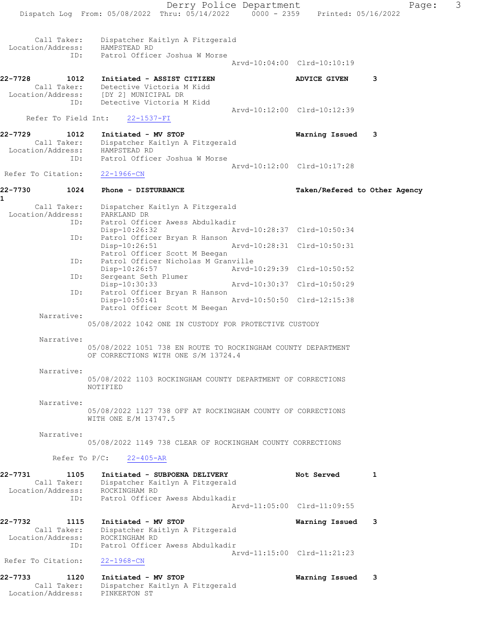Derry Police Department Page: 3 Dispatch Log From: 05/08/2022 Thru: 05/14/2022 0000 - 2359 Printed: 05/16/2022 Call Taker: Dispatcher Kaitlyn A Fitzgerald Location/Address: HAMPSTEAD RD ID: Patrol Officer Joshua W Morse Arvd-10:04:00 Clrd-10:10:19 22-7728 1012 Initiated - ASSIST CITIZEN ADVICE GIVEN 3 Call Taker: Detective Victoria M Kidd Location/Address: [DY 2] MUNICIPAL DR ID: Detective Victoria M Kidd Arvd-10:12:00 Clrd-10:12:39 Refer To Field Int: 22-1537-FI 22-7729 1012 Initiated - MV STOP Warning Issued 3 Call Taker: Dispatcher Kaitlyn A Fitzgerald Location/Address: HAMPSTEAD RD ID: Patrol Officer Joshua W Morse Arvd-10:12:00 Clrd-10:17:28 Refer To Citation: 22-1966-CN 22-7730 1024 Phone - DISTURBANCE TAG Taken/Refered to Other Agency 1 Call Taker: Dispatcher Kaitlyn A Fitzgerald<br>ion/Address: PARKLAND DR Location/Address:<br>ID: ID: Patrol Officer Awess Abdulkadir Disp-10:26:32 Arvd-10:28:37 Clrd-10:50:34 ID: Patrol Officer Bryan R Hanson Disp-10:26:51 Arvd-10:28:31 Clrd-10:50:31 Patrol Officer Scott M Beegan ID: Patrol Officer Nicholas M Granville<br>Disp-10:26:57 Arvd-1 Disp-10:26:57 Arvd-10:29:39 Clrd-10:50:52 ID: Sergeant Seth Plumer Disp-10:30:33 Arvd-10:30:37 Clrd-10:50:29 ID: Patrol Officer Bryan R Hanson Arvd-10:50:50 Clrd-12:15:38 Patrol Officer Scott M Beegan Narrative: 05/08/2022 1042 ONE IN CUSTODY FOR PROTECTIVE CUSTODY Narrative: 05/08/2022 1051 738 EN ROUTE TO ROCKINGHAM COUNTY DEPARTMENT OF CORRECTIONS WITH ONE S/M 13724.4 Narrative: 05/08/2022 1103 ROCKINGHAM COUNTY DEPARTMENT OF CORRECTIONS NOTIFIED Narrative: 05/08/2022 1127 738 OFF AT ROCKINGHAM COUNTY OF CORRECTIONS WITH ONE E/M 13747.5 Narrative: 05/08/2022 1149 738 CLEAR OF ROCKINGHAM COUNTY CORRECTIONS Refer To P/C: 22-405-AR 22-7731 1105 Initiated - SUBPOENA DELIVERY Not Served 1 Call Taker: Dispatcher Kaitlyn A Fitzgerald Location/Address: ROCKINGHAM RD ID: Patrol Officer Awess Abdulkadir Arvd-11:05:00 Clrd-11:09:55 22-7732 1115 Initiated - MV STOP Warning Issued 3 Call Taker: Dispatcher Kaitlyn A Fitzgerald Location/Address: ROCKINGHAM RD ID: Patrol Officer Awess Abdulkadir Arvd-11:15:00 Clrd-11:21:23 Refer To Citation: 22-1968-CN 22-7733 1120 Initiated - MV STOP Warning Issued 3 Call Taker: Dispatcher Kaitlyn A Fitzgerald Location/Address: PINKERTON ST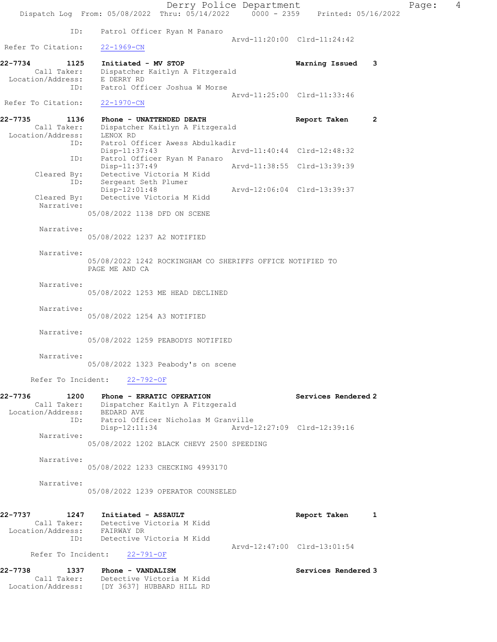Derry Police Department Fage: 4 Dispatch Log From:  $05/08/2022$  Thru:  $05/14/2022$  0000 - 2359 Printed: 05/16/2022 ID: Patrol Officer Ryan M Panaro Arvd-11:20:00 Clrd-11:24:42 Refer To Citation: 22-1969-CN 22-7734 1125 Initiated - MV STOP Warning Issued 3 Call Taker: Dispatcher Kaitlyn A Fitzgerald Location/Address: E DERRY RD ID: Patrol Officer Joshua W Morse Arvd-11:25:00 Clrd-11:33:46 Refer To Citation: 22-1970-CN 22-7735 1136 Phone - UNATTENDED DEATH Report Taken 2 Call Taker: Dispatcher Kaitlyn A Fitzgerald Location/Address: LENOX RD ID: Patrol Officer Awess Abdulkadir<br>Disp-11:37:43 Arvd-11:40:44 Clrd-12:48:32 Disp-11:37:43 Arvd-11:40:44 Clrd-12:48:32 ID: Patrol Officer Ryan M Panaro Disp-11:37:49 Arvd-11:38:55 Clrd-13:39:39 Cleared By: Detective Victoria M Kidd ID: Sergeant Seth Plumer Disp-12:01:48 Arvd-12:06:04 Clrd-13:39:37 Cleared By: Detective Victoria M Kidd Narrative: 05/08/2022 1138 DFD ON SCENE Narrative: 05/08/2022 1237 A2 NOTIFIED Narrative: 05/08/2022 1242 ROCKINGHAM CO SHERIFFS OFFICE NOTIFIED TO PAGE ME AND CA Narrative: 05/08/2022 1253 ME HEAD DECLINED Narrative: 05/08/2022 1254 A3 NOTIFIED Narrative: 05/08/2022 1259 PEABODYS NOTIFIED Narrative: 05/08/2022 1323 Peabody's on scene Refer To Incident: 22-792-OF 22-7736 1200 Phone - ERRATIC OPERATION Services Rendered 2 Call Taker: Dispatcher Kaitlyn A Fitzgerald Location/Address: BEDARD AVE ID: Patrol Officer Nicholas M Granville Disp-12:11:34 Arvd-12:27:09 Clrd-12:39:16 Narrative: 05/08/2022 1202 BLACK CHEVY 2500 SPEEDING Narrative: 05/08/2022 1233 CHECKING 4993170 Narrative: 05/08/2022 1239 OPERATOR COUNSELED 22-7737 1247 Initiated - ASSAULT Report Taken 1 Call Taker: Detective Victoria M Kidd Location/Address: FAIRWAY DR ID: Detective Victoria M Kidd Arvd-12:47:00 Clrd-13:01:54 Refer To Incident: 22-791-OF 22-7738 1337 Phone - VANDALISM Services Rendered 3 Call Taker: Detective Victoria M Kidd Location/Address: [DY 3637] HUBBARD HILL RD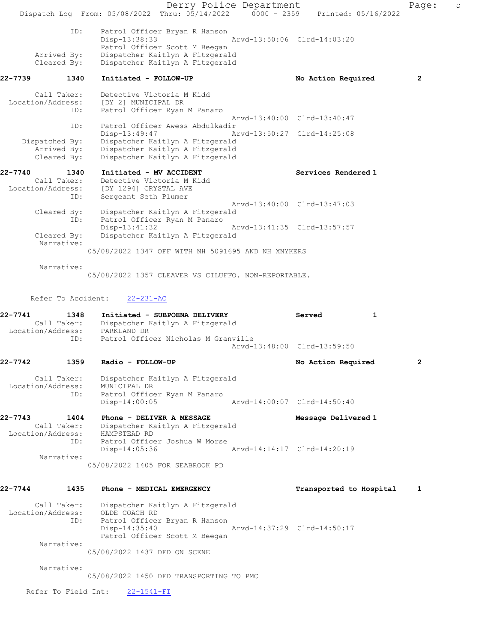|         |                                                 | Dispatch Log From: 05/08/2022 Thru: 05/14/2022 0000 - 2359 Printed: 05/16/2022                                           | Derry Police Department |                             | Page:        | 5 |
|---------|-------------------------------------------------|--------------------------------------------------------------------------------------------------------------------------|-------------------------|-----------------------------|--------------|---|
|         | ID:<br>Arrived By:                              | Patrol Officer Bryan R Hanson<br>Disp-13:38:33<br>Patrol Officer Scott M Beegan<br>Dispatcher Kaitlyn A Fitzgerald       |                         | Arvd-13:50:06 Clrd-14:03:20 |              |   |
|         | Cleared By:                                     | Dispatcher Kaitlyn A Fitzgerald                                                                                          |                         |                             |              |   |
| 22-7739 | 1340                                            | Initiated - FOLLOW-UP                                                                                                    |                         | No Action Required          | $\mathbf{2}$ |   |
|         | Call Taker:<br>Location/Address:<br>ID:         | Detective Victoria M Kidd<br>[DY 2] MUNICIPAL DR<br>Patrol Officer Ryan M Panaro                                         |                         |                             |              |   |
|         | ID:                                             | Patrol Officer Awess Abdulkadir                                                                                          |                         | Arvd-13:40:00 Clrd-13:40:47 |              |   |
|         | Dispatched By:<br>Arrived By:<br>Cleared By:    | $Disp-13:49:47$<br>Dispatcher Kaitlyn A Fitzgerald<br>Dispatcher Kaitlyn A Fitzgerald<br>Dispatcher Kaitlyn A Fitzgerald |                         | Arvd-13:50:27 Clrd-14:25:08 |              |   |
| 22-7740 | 1340<br>Call Taker:<br>Location/Address:<br>ID: | Initiated - MV ACCIDENT<br>Detective Victoria M Kidd<br>[DY 1294] CRYSTAL AVE<br>Sergeant Seth Plumer                    |                         | Services Rendered 1         |              |   |
|         | Cleared By:<br>ID:                              | Dispatcher Kaitlyn A Fitzgerald<br>Patrol Officer Ryan M Panaro                                                          |                         | Arvd-13:40:00 Clrd-13:47:03 |              |   |
|         | Cleared By:<br>Narrative:                       | Disp-13:41:32<br>Dispatcher Kaitlyn A Fitzgerald<br>05/08/2022 1347 OFF WITH NH 5091695 AND NH XNYKERS                   |                         | Arvd-13:41:35 Clrd-13:57:57 |              |   |
|         | Narrative:                                      | 05/08/2022 1357 CLEAVER VS CILUFFO. NON-REPORTABLE.                                                                      |                         |                             |              |   |
|         | Refer To Accident:                              | $22 - 231 - AC$                                                                                                          |                         |                             |              |   |
| 22-7741 | 1348<br>Call Taker:<br>Location/Address:        | Initiated - SUBPOENA DELIVERY<br>Dispatcher Kaitlyn A Fitzgerald<br>PARKLAND DR                                          |                         | Served<br>1                 |              |   |
|         | ID:                                             | Patrol Officer Nicholas M Granville                                                                                      |                         | Arvd-13:48:00 Clrd-13:59:50 |              |   |
| 22-7742 | 1359                                            | Radio - FOLLOW-UP                                                                                                        |                         | No Action Required          | 2            |   |
|         | Call Taker:<br>Location/Address:<br>ID:         | Dispatcher Kaitlyn A Fitzgerald<br>MUNICIPAL DR<br>Patrol Officer Ryan M Panaro                                          |                         |                             |              |   |
|         |                                                 | Disp-14:00:05                                                                                                            |                         | Arvd-14:00:07 Clrd-14:50:40 |              |   |
| 22-7743 | 1404<br>Call Taker:<br>Location/Address:        | Phone - DELIVER A MESSAGE<br>Dispatcher Kaitlyn A Fitzgerald<br>HAMPSTEAD RD                                             |                         | Message Delivered 1         |              |   |
|         | ID:<br>Narrative:                               | Patrol Officer Joshua W Morse<br>$Disp-14:05:36$                                                                         |                         | Arvd-14:14:17 Clrd-14:20:19 |              |   |
|         |                                                 | 05/08/2022 1405 FOR SEABROOK PD                                                                                          |                         |                             |              |   |
| 22-7744 | 1435                                            | Phone - MEDICAL EMERGENCY                                                                                                |                         | Transported to Hospital     | 1            |   |
|         | Call Taker:                                     | Dispatcher Kaitlyn A Fitzgerald                                                                                          |                         |                             |              |   |

 Location/Address: OLDE COACH RD ID: Patrol Officer Bryan R Hanson Disp-14:35:40 Arvd-14:37:29 Clrd-14:50:17 Patrol Officer Scott M Beegan Narrative:

05/08/2022 1437 DFD ON SCENE

Narrative:

05/08/2022 1450 DFD TRANSPORTING TO PMC

Refer To Field Int: 22-1541-FI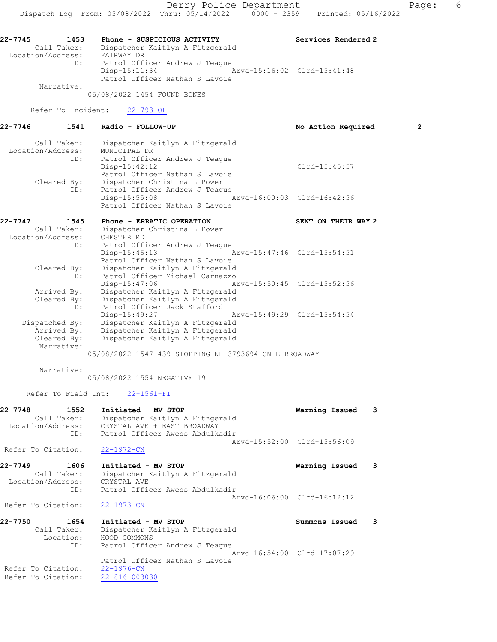05/08/2022 1454 FOUND BONES

Refer To Incident: 22-793-OF

| 22-7746                      | 1541 Radio - FOLLOW-UP                      | No Action Required  | $\overline{2}$ |
|------------------------------|---------------------------------------------|---------------------|----------------|
|                              | Call Taker: Dispatcher Kaitlyn A Fitzgerald |                     |                |
| Location/Address:            | MUNICIPAL DR                                |                     |                |
| ID:                          | Patrol Officer Andrew J Teaque              |                     |                |
|                              | $Disp-15:42:12$                             | $Clrd-15:45:57$     |                |
|                              | Patrol Officer Nathan S Lavoie              |                     |                |
| Cleared By:                  | Dispatcher Christina L Power                |                     |                |
| ID:                          | Patrol Officer Andrew J Teaque              |                     |                |
|                              | Disp-15:55:08 Arvd-16:00:03 Clrd-16:42:56   |                     |                |
|                              | Patrol Officer Nathan S Lavoie              |                     |                |
| 22-7747<br>1545              | Phone - ERRATIC OPERATION                   | SENT ON THEIR WAY 2 |                |
| Call Taker:                  | Dispatcher Christina L Power                |                     |                |
| Location/Address: CHESTER RD |                                             |                     |                |
| ID:                          | Patrol Officer Andrew J Teaque              |                     |                |
|                              | Disp-15:46:13 Arvd-15:47:46 Clrd-15:54:51   |                     |                |
|                              | Patrol Officer Nathan S Lavoie              |                     |                |
| Cleared By:                  | Dispatcher Kaitlyn A Fitzgerald             |                     |                |
| ID:                          | Patrol Officer Michael Carnazzo             |                     |                |
|                              | Disp-15:47:06 Arvd-15:50:45 Clrd-15:52:56   |                     |                |
| Arrived By:                  | Dispatcher Kaitlyn A Fitzgerald             |                     |                |

| Cleared By:    |               | Dispatcher Kaitlyn A Fitzgerald |                             |
|----------------|---------------|---------------------------------|-----------------------------|
| ID:            |               | Patrol Officer Jack Stafford    |                             |
|                | Disp-15:49:27 |                                 | Arvd-15:49:29 Clrd-15:54:54 |
| Dispatched By: |               | Dispatcher Kaitlyn A Fitzgerald |                             |
| Arrived By:    |               | Dispatcher Kaitlyn A Fitzgerald |                             |
| Cleared By:    |               | Dispatcher Kaitlyn A Fitzgerald |                             |
| Narrative:     |               |                                 |                             |

05/08/2022 1547 439 STOPPING NH 3793694 ON E BROADWAY

Narrative:

05/08/2022 1554 NEGATIVE 19

Refer To Field Int: 22-1561-FI

| $22 - 7748$       | 1552        | Initiated - MV STOP             | Warning Issued 3 |  |
|-------------------|-------------|---------------------------------|------------------|--|
|                   | Call Taker: | Dispatcher Kaitlyn A Fitzgerald |                  |  |
| Location/Address: |             | CRYSTAL AVE + EAST BROADWAY     |                  |  |
|                   | ID:         | Patrol Officer Awess Abdulkadir |                  |  |
|                   |             | Arvd-15:52:00 Clrd-15:56:09     |                  |  |

Refer To Citation: 22-1972-CN

```
22-7749 1606 Initiated - MV STOP Warning Issued 3 
 Call Taker: Dispatcher Kaitlyn A Fitzgerald
 Location/Address: CRYSTAL AVE
            ID: Patrol Officer Awess Abdulkadir
                                         Arvd-16:06:00 Clrd-16:12:12
```
Refer To Citation: 22-1973-CN

| 22-7750            | 1654 | Initiated - MV STOP             | Summons Issued              |  |
|--------------------|------|---------------------------------|-----------------------------|--|
| Call Taker:        |      | Dispatcher Kaitlyn A Fitzgerald |                             |  |
| Location:          |      | HOOD COMMONS                    |                             |  |
|                    | ID:  | Patrol Officer Andrew J Teaque  |                             |  |
|                    |      |                                 | Aryd-16:54:00 Clrd-17:07:29 |  |
|                    |      | Patrol Officer Nathan S Lavoie  |                             |  |
| Refer To Citation: |      | 22-1976-CN                      |                             |  |
| Refer To Citation: |      | 22-816-003030                   |                             |  |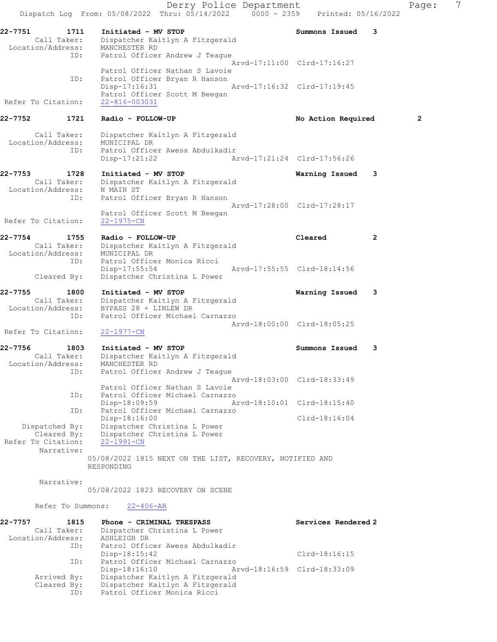Derry Police Department Fage: 7 Dispatch Log From: 05/08/2022 Thru: 05/14/2022 0000 - 2359 Printed: 05/16/2022 22-7751 1711 Initiated - MV STOP 1988 1988 Summons Issued 3 Call Taker: Dispatcher Kaitlyn A Fitzgerald Location/Address: MANCHESTER RD ID: Patrol Officer Andrew J Teague Arvd-17:11:00 Clrd-17:16:27 Patrol Officer Nathan S Lavoie ID: Patrol Officer Bryan R Hanson Disp-17:16:31 Arvd-17:16:32 Clrd-17:19:45 Patrol Officer Scott M Beegan<br>22-816-003031 Refer To Citation: 22-7752 1721 Radio - FOLLOW-UP **No Action Required** 2 Call Taker: Dispatcher Kaitlyn A Fitzgerald Location/Address: MUNICIPAL DR ID: Patrol Officer Awess Abdulkadir Disp-17:21:22 Arvd-17:21:24 Clrd-17:56:26 22-7753 1728 Initiated - MV STOP Warning Issued 3 Call Taker: Dispatcher Kaitlyn A Fitzgerald Location/Address: N MAIN ST ID: Patrol Officer Bryan R Hanson Arvd-17:28:00 Clrd-17:28:17 Patrol Officer Scott M Beegan Refer To Citation: 22-1975-CN 22-7754 1755 Radio - FOLLOW-UP Cleared 2 Call Taker: Dispatcher Kaitlyn A Fitzgerald Location/Address: MUNICIPAL DR ID: Patrol Officer Monica Ricci Disp-17:55:54 Arvd-17:55:55 Clrd-18:14:56 Cleared By: Dispatcher Christina L Power 22-7755 1800 Initiated - MV STOP Warning Issued 3 Call Taker: Dispatcher Kaitlyn A Fitzgerald Location/Address: BYPASS 28 + LINLEW DR ID: Patrol Officer Michael Carnazzo Arvd-18:00:00 Clrd-18:05:25 Refer To Citation: 22-1977-CN 22-7756 1803 Initiated - MV STOP Summons Issued 3 Call Taker: Dispatcher Kaitlyn A Fitzgerald Location/Address: MANCHESTER RD ID: Patrol Officer Andrew J Teague Arvd-18:03:00 Clrd-18:33:49 Patrol Officer Nathan S Lavoie ID: Patrol Officer Michael Carnazzo Disp-18:09:59 Arvd-18:10:01 Clrd-18:15:40<br>ID: Patrol Officer Michael Carnazzo Patrol Officer Michael Carnazzo Disp-18:16:00 Clrd-18:16:04 Dispatched By: Dispatcher Christina L Power Cleared By: Dispatcher Christina L Power Refer To Citation: 22-1991-CN Narrative: 05/08/2022 1815 NEXT ON THE LIST, RECOVERY, NOTIFIED AND RESPONDING Narrative: 05/08/2022 1823 RECOVERY ON SCENE Refer To Summons: 22-406-AR 22-7757 1815 Phone - CRIMINAL TRESPASS Services Rendered 2 Call Taker: Dispatcher Christina L Power Location/Address: ASHLEIGH DR ID: Patrol Officer Awess Abdulkadir Disp-18:15:42 Clrd-18:16:15 ID: Patrol Officer Michael Carnazzo Disp-18:16:10 Arvd-18:16:59 Clrd-18:33:09 Arrived By: Dispatcher Kaitlyn A Fitzgerald Cleared By: Dispatcher Kaitlyn A Fitzgerald ID: Patrol Officer Monica Ricci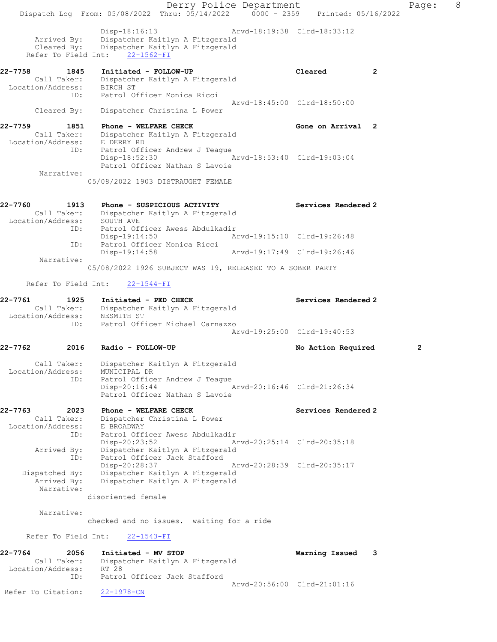Derry Police Department Fage: 8 Dispatch Log From: 05/08/2022 Thru: 05/14/2022 0000 - 2359 Printed: 05/16/2022 Disp-18:16:13 Arvd-18:19:38 Clrd-18:33:12 Arrived By: Dispatcher Kaitlyn A Fitzgerald Cleared By: Dispatcher Kaitlyn A Fitzgerald Refer To Field Int: 22-1562-FI 22-7758 1845 Initiated - FOLLOW-UP Cleared 2 Call Taker: Dispatcher Kaitlyn A Fitzgerald Location/Address: BIRCH ST ID: Patrol Officer Monica Ricci Arvd-18:45:00 Clrd-18:50:00 Cleared By: Dispatcher Christina L Power 22-7759 1851 Phone - WELFARE CHECK Gone on Arrival 2 Call Taker: Dispatcher Kaitlyn A Fitzgerald Location/Address: E DERRY RD ID: Patrol Officer Andrew J Teague Disp-18:52:30 Arvd-18:53:40 Clrd-19:03:04 Patrol Officer Nathan S Lavoie Narrative: 05/08/2022 1903 DISTRAUGHT FEMALE 22-7760 1913 Phone - SUSPICIOUS ACTIVITY Services Rendered 2 Call Taker: Dispatcher Kaitlyn A Fitzgerald Location/Address: SOUTH AVE ID: Patrol Officer Awess Abdulkadir<br>Disp-19:14:50 Arvd-19:15:10 Clrd-19:26:48 Disp-19:14:50 Arvd-19:15:10 Clrd-19:26:48 ID: Patrol Officer Monica Ricci Disp-19:14:58 Arvd-19:17:49 Clrd-19:26:46 Narrative: 05/08/2022 1926 SUBJECT WAS 19, RELEASED TO A SOBER PARTY Refer To Field Int: 22-1544-FI 22-7761 1925 Initiated - PED CHECK Services Rendered 2 Call Taker: Dispatcher Kaitlyn A Fitzgerald Location/Address: NESMITH ST ID: Patrol Officer Michael Carnazzo Arvd-19:25:00 Clrd-19:40:53 22-7762 2016 Radio - FOLLOW-UP No Action Required 2 Call Taker: Dispatcher Kaitlyn A Fitzgerald Location/Address: MUNICIPAL DR ID: Patrol Officer Andrew J Teague Disp-20:16:44 Arvd-20:16:46 Clrd-21:26:34 Patrol Officer Nathan S Lavoie 22-7763 2023 Phone - WELFARE CHECK Services Rendered 2 Call Taker: Dispatcher Christina L Power Location/Address: E BROADWAY ID: Patrol Officer Awess Abdulkadir Disp-20:23:52 Arvd-20:25:14 Clrd-20:35:18 Arrived By: Dispatcher Kaitlyn A Fitzgerald ID: Patrol Officer Jack Stafford Disp-20:28:37 Arvd-20:28:39 Clrd-20:35:17 Dispatched By: Dispatcher Kaitlyn A Fitzgerald Arrived By: Dispatcher Kaitlyn A Fitzgerald Narrative: disoriented female Narrative: checked and no issues. waiting for a ride Refer To Field Int: 22-1543-FI 22-7764 2056 Initiated - MV STOP Warning Issued 3 Call Taker: Dispatcher Kaitlyn A Fitzgerald Location/Address: RT 28 ID: Patrol Officer Jack Stafford Arvd-20:56:00 Clrd-21:01:16 Refer To Citation: 22-1978-CN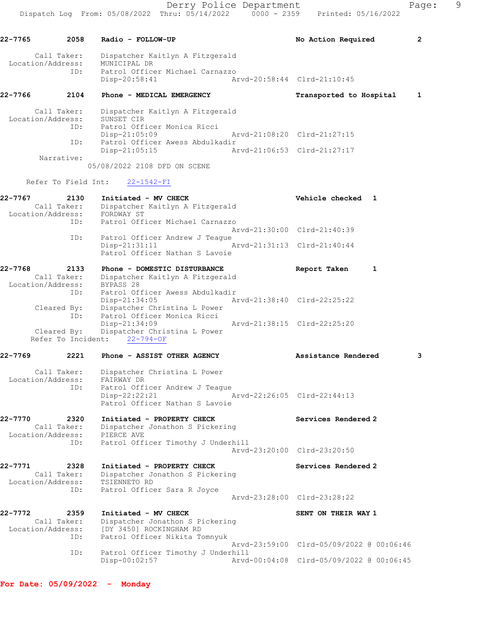22-7765 2058 Radio - FOLLOW-UP **No Action Required** 2

 Call Taker: Dispatcher Kaitlyn A Fitzgerald Location/Address: MUNICIPAL DR ID: Patrol Officer Michael Carnazzo Disp-20:58:41 Arvd-20:58:44 Clrd-21:10:45 22-7766 2104 Phone - MEDICAL EMERGENCY Transported to Hospital 1 Call Taker: Dispatcher Kaitlyn A Fitzgerald Location/Address: SUNSET CIR ID: Patrol Officer Monica Ricci Disp-21:05:09 Arvd-21:08:20 Clrd-21:27:15 ID: Patrol Officer Awess Abdulkadir<br>Disp-21:05:15 Arvd-21:06:53 Clrd-21:27:17 Disp-21:05:15 Narrative: 05/08/2022 2108 DFD ON SCENE Refer To Field Int: 22-1542-FI 22-7767 2130 Initiated - MV CHECK 22-7767 Vehicle checked 1 Call Taker: Dispatcher Kaitlyn A Fitzgerald Location/Address: FORDWAY ST ID: Patrol Officer Michael Carnazzo Arvd-21:30:00 Clrd-21:40:39 ID: Patrol Officer Andrew J Teague Disp-21:31:11 Arvd-21:31:13 Clrd-21:40:44 Patrol Officer Nathan S Lavoie 22-7768 2133 Phone - DOMESTIC DISTURBANCE Report Taken 1 Call Taker: Dispatcher Kaitlyn A Fitzgerald Location/Address: BYPASS 28 ID: Patrol Officer Awess Abdulkadir<br>Disp-21:34:05 Arvd-21:38:40 Clrd-22:25:22 Disp-21:34:05 Arvd-21:38:40 Clrd-22:25:22 Cleared By: Dispatcher Christina L Power ID: Patrol Officer Monica Ricci Disp-21:34:09 Arvd-21:38:15 Clrd-22:25:20 Cleared By: Dispatcher Christina L Power Refer To Incident: 22-794-OF 22-7769 2221 Phone - ASSIST OTHER AGENCY Assistance Rendered 3 Call Taker: Dispatcher Christina L Power Location/Address: FAIRWAY DR ID: Patrol Officer Andrew J Teague Disp-22:22:21 Arvd-22:26:05 Clrd-22:44:13 Patrol Officer Nathan S Lavoie 22-7770 2320 Initiated - PROPERTY CHECK Services Rendered 2 Call Taker: Dispatcher Jonathon S Pickering Location/Address: PIERCE AVE ID: Patrol Officer Timothy J Underhill Arvd-23:20:00 Clrd-23:20:50 22-7771 2328 Initiated - PROPERTY CHECK Services Rendered 2 Call Taker: Dispatcher Jonathon S Pickering Location/Address: TSIENNETO RD ID: Patrol Officer Sara R Joyce Arvd-23:28:00 Clrd-23:28:22 22-7772 2359 Initiated - MV CHECK SENT ON THEIR WAY 1 Call Taker: Dispatcher Jonathon S Pickering Location/Address: [DY 3450] ROCKINGHAM RD ID: Patrol Officer Nikita Tomnyuk Arvd-23:59:00 Clrd-05/09/2022 @ 00:06:46 ID: Patrol Officer Timothy J Underhill Disp-00:02:57 Arvd-00:04:08 Clrd-05/09/2022 @ 00:06:45

For Date: 05/09/2022 - Monday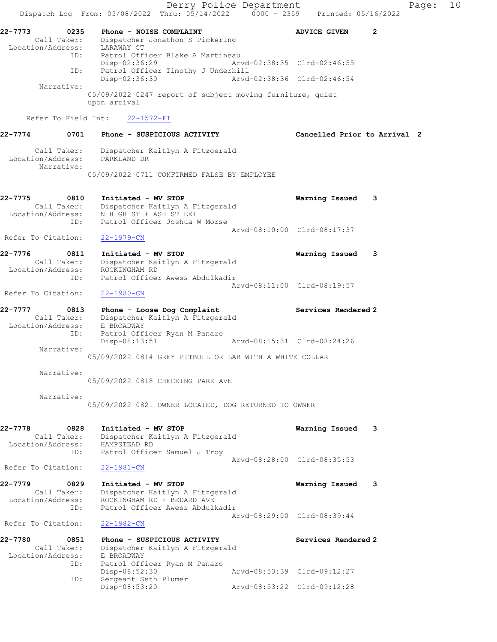Derry Police Department Fage: 10 Dispatch Log From:  $05/08/2022$  Thru:  $05/14/2022$  0000 - 2359 Printed: 05/16/2022 22-7773 0235 Phone - NOISE COMPLAINT ADVICE GIVEN 2 Call Taker: Dispatcher Jonathon S Pickering Location/Address: LARAWAY CT ID: Patrol Officer Blake A Martineau Disp-02:36:29 Arvd-02:38:35 Clrd-02:46:55 ID: Patrol Officer Timothy J Underhill<br>Disp-02:36:30 Mrvd-02:38:36 Clrd-02:46:54 Disp-02:36:30 Narrative: 05/09/2022 0247 report of subject moving furniture, quiet upon arrival Refer To Field Int: 22-1572-FI 22-7774 0701 Phone - SUSPICIOUS ACTIVITY Cancelled Prior to Arrival 2 Call Taker: Dispatcher Kaitlyn A Fitzgerald Location/Address: PARKLAND DR Narrative: 05/09/2022 0711 CONFIRMED FALSE BY EMPLOYEE 22-7775 0810 Initiated - MV STOP Warning Issued 3 Call Taker: Dispatcher Kaitlyn A Fitzgerald Location/Address: N HIGH ST + ASH ST EXT ID: Patrol Officer Joshua W Morse Arvd-08:10:00 Clrd-08:17:37 Refer To Citation: 22-1979-CN 22-7776 0811 Initiated - MV STOP Warning Issued 3 Call Taker: Dispatcher Kaitlyn A Fitzgerald Location/Address: ROCKINGHAM RD ID: Patrol Officer Awess Abdulkadir Arvd-08:11:00 Clrd-08:19:57 Refer To Citation: 22-1980-CN 22-7777 0813 Phone - Loose Dog Complaint Services Rendered 2 Call Taker: Dispatcher Kaitlyn A Fitzgerald Location/Address: E BROADWAY ID: Patrol Officer Ryan M Panaro Disp-08:13:51 Arvd-08:15:31 Clrd-08:24:26 Narrative: 05/09/2022 0814 GREY PITBULL OR LAB WITH A WHITE COLLAR Narrative: 05/09/2022 0818 CHECKING PARK AVE Narrative: 05/09/2022 0821 OWNER LOCATED, DOG RETURNED TO OWNER 22-7778 0828 Initiated - MV STOP Warning Issued 3 Call Taker: Dispatcher Kaitlyn A Fitzgerald Location/Address: HAMPSTEAD RD ID: Patrol Officer Samuel J Troy Arvd-08:28:00 Clrd-08:35:53 Refer To Citation: 22-1981-CN 22-7779 0829 Initiated - MV STOP Warning Issued 3 Call Taker: Dispatcher Kaitlyn A Fitzgerald Location/Address: ROCKINGHAM RD + BEDARD AVE ID: Patrol Officer Awess Abdulkadir Arvd-08:29:00 Clrd-08:39:44 Refer To Citation: 22-1982-CN 22-7780 0851 Phone - SUSPICIOUS ACTIVITY Services Rendered 2 Call Taker: Dispatcher Kaitlyn A Fitzgerald Location/Address: E BROADWAY ID: Patrol Officer Ryan M Panaro Disp-08:52:30 Arvd-08:53:39 Clrd-09:12:27 ID: Sergeant Seth Plumer Disp-08:53:20 Arvd-08:53:22 Clrd-09:12:28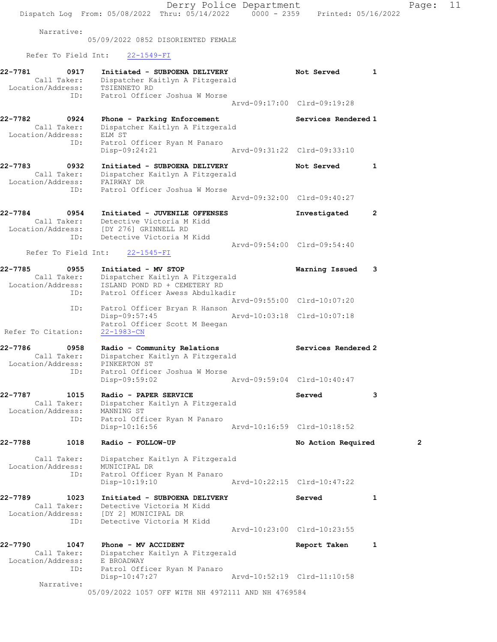Derry Police Department Page: 11 Dispatch Log From:  $05/08/2022$  Thru:  $05/14/2022$  0000 - 2359 Printed: 05/16/2022 Narrative: 05/09/2022 0852 DISORIENTED FEMALE Refer To Field Int: 22-1549-FI 22-7781 0917 Initiated - SUBPOENA DELIVERY Not Served 1 Call Taker: Dispatcher Kaitlyn A Fitzgerald Location/Address: TSIENNETO RD ID: Patrol Officer Joshua W Morse Arvd-09:17:00 Clrd-09:19:28 22-7782 0924 Phone - Parking Enforcement Services Rendered 1 Call Taker: Dispatcher Kaitlyn A Fitzgerald Location/Address: ELM ST ID: Patrol Officer Ryan M Panaro Disp-09:24:21 Arvd-09:31:22 Clrd-09:33:10 22-7783 0932 Initiated - SUBPOENA DELIVERY Not Served 1 Call Taker: Dispatcher Kaitlyn A Fitzgerald Location/Address: FAIRWAY DR ID: Patrol Officer Joshua W Morse Arvd-09:32:00 Clrd-09:40:27 22-7784 0954 Initiated - JUVENILE OFFENSES Investigated 2 Call Taker: Detective Victoria M Kidd Location/Address: [DY 276] GRINNELL RD ID: Detective Victoria M Kidd Arvd-09:54:00 Clrd-09:54:40 Refer To Field Int: 22-1545-FI 22-7785 0955 Initiated - MV STOP Warning Issued 3 Call Taker: Dispatcher Kaitlyn A Fitzgerald Location/Address: ISLAND POND RD + CEMETERY RD ID: Patrol Officer Awess Abdulkadir Arvd-09:55:00 Clrd-10:07:20 ID: Patrol Officer Bryan R Hanson Disp-09:57:45 Arvd-10:03:18 Clrd-10:07:18 Patrol Officer Scott M Beegan Refer To Citation: 22-1983-CN 22-7786 0958 Radio - Community Relations Services Rendered 2 Call Taker: Dispatcher Kaitlyn A Fitzgerald Location/Address: PINKERTON ST ID: Patrol Officer Joshua W Morse Disp-09:59:02 Arvd-09:59:04 Clrd-10:40:47 22-7787 1015 Radio - PAPER SERVICE Served 3 Call Taker: Dispatcher Kaitlyn A Fitzgerald Location/Address: MANNING ST ID: Patrol Officer Ryan M Panaro Disp-10:16:56 Arvd-10:16:59 Clrd-10:18:52 22-7788 1018 Radio - FOLLOW-UP **No Action Required** 2 Call Taker: Dispatcher Kaitlyn A Fitzgerald Location/Address: MUNICIPAL DR ID: Patrol Officer Ryan M Panaro Disp-10:19:10 Arvd-10:22:15 Clrd-10:47:22 22-7789 1023 Initiated - SUBPOENA DELIVERY Served 1 Call Taker: Detective Victoria M Kidd Location/Address: [DY 2] MUNICIPAL DR ID: Detective Victoria M Kidd Arvd-10:23:00 Clrd-10:23:55 22-7790 1047 Phone - MV ACCIDENT Report Taken 1 Call Taker: Dispatcher Kaitlyn A Fitzgerald Location/Address: E BROADWAY ID: Patrol Officer Ryan M Panaro Disp-10:47:27 Arvd-10:52:19 Clrd-11:10:58 Narrative:

05/09/2022 1057 OFF WITH NH 4972111 AND NH 4769584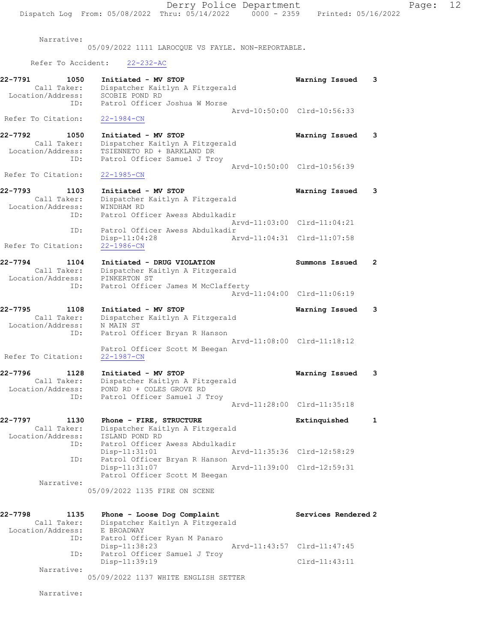Narrative:

05/09/2022 1111 LAROCQUE VS FAYLE. NON-REPORTABLE.

Refer To Accident: 22-232-AC

| 22-7791<br>1050<br>Call Taker:<br>Location/Address:<br>ID: | Initiated - MV STOP<br>Dispatcher Kaitlyn A Fitzgerald<br>SCOBIE POND RD<br>Patrol Officer Joshua W Morse            | Warning Issued              | 3            |
|------------------------------------------------------------|----------------------------------------------------------------------------------------------------------------------|-----------------------------|--------------|
| Refer To Citation:                                         | $22 - 1984 - CN$                                                                                                     | Arvd-10:50:00 Clrd-10:56:33 |              |
| 22-7792<br>1050<br>Call Taker:<br>Location/Address:<br>ID: | Initiated - MV STOP<br>Dispatcher Kaitlyn A Fitzgerald<br>TSIENNETO RD + BARKLAND DR<br>Patrol Officer Samuel J Troy | Warning Issued              | 3            |
| Refer To Citation:                                         | $22 - 1985 - CN$                                                                                                     | Arvd-10:50:00 Clrd-10:56:39 |              |
| 22-7793<br>1103<br>Call Taker:<br>Location/Address:<br>ID: | Initiated - MV STOP<br>Dispatcher Kaitlyn A Fitzgerald<br>WINDHAM RD<br>Patrol Officer Awess Abdulkadir              | Warning Issued              | 3            |
| ID:                                                        | Patrol Officer Awess Abdulkadir                                                                                      | Arvd-11:03:00 Clrd-11:04:21 |              |
| Refer To Citation:                                         | Disp-11:04:28<br>$22 - 1986 - CN$                                                                                    | Arvd-11:04:31 Clrd-11:07:58 |              |
| 22-7794<br>1104<br>Call Taker:<br>Location/Address:        | Initiated - DRUG VIOLATION<br>Dispatcher Kaitlyn A Fitzgerald<br>PINKERTON ST                                        | Summons Issued              | $\mathbf{2}$ |
| ID:                                                        | Patrol Officer James M McClafferty                                                                                   | Arvd-11:04:00 Clrd-11:06:19 |              |
| 22-7795<br>1108<br>Call Taker:<br>Location/Address:<br>ID: | Initiated - MV STOP<br>Dispatcher Kaitlyn A Fitzgerald<br>N MAIN ST<br>Patrol Officer Bryan R Hanson                 | Warning Issued              | 3            |
| Refer To Citation:                                         | Patrol Officer Scott M Beegan<br>22-1987-CN                                                                          | Arvd-11:08:00 Clrd-11:18:12 |              |
| 22-7796<br>1128<br>Call Taker:<br>Location/Address:        | Initiated - MV STOP<br>Dispatcher Kaitlyn A Fitzgerald<br>POND RD + COLES GROVE RD                                   | Warning Issued              | 3            |
| ID:                                                        | Patrol Officer Samuel J Troy                                                                                         | Arvd-11:28:00 Clrd-11:35:18 |              |
| 22-7797<br>1130<br>Call Taker:<br>Location/Address:        | Phone - FIRE, STRUCTURE<br>Dispatcher Kaitlyn A Fitzgerald<br>ISLAND POND RD                                         | Extinquished                | 1            |
| ID:<br>ID:                                                 | Patrol Officer Awess Abdulkadir<br>Disp-11:31:01<br>Patrol Officer Bryan R Hanson                                    | Arvd-11:35:36 Clrd-12:58:29 |              |
|                                                            | Disp-11:31:07<br>Patrol Officer Scott M Beegan                                                                       | Arvd-11:39:00 Clrd-12:59:31 |              |
| Narrative:                                                 | 05/09/2022 1135 FIRE ON SCENE                                                                                        |                             |              |
| 22-7798<br>1135<br>Call Taker:<br>Location/Address:        | Phone - Loose Dog Complaint<br>Dispatcher Kaitlyn A Fitzgerald<br>E BROADWAY                                         | Services Rendered 2         |              |
| ID:<br>ID:                                                 | Patrol Officer Ryan M Panaro<br>Disp-11:38:23<br>Patrol Officer Samuel J Troy                                        | Arvd-11:43:57 Clrd-11:47:45 |              |

 Disp-11:39:19 Clrd-11:43:11 Narrative:

05/09/2022 1137 WHITE ENGLISH SETTER

Narrative: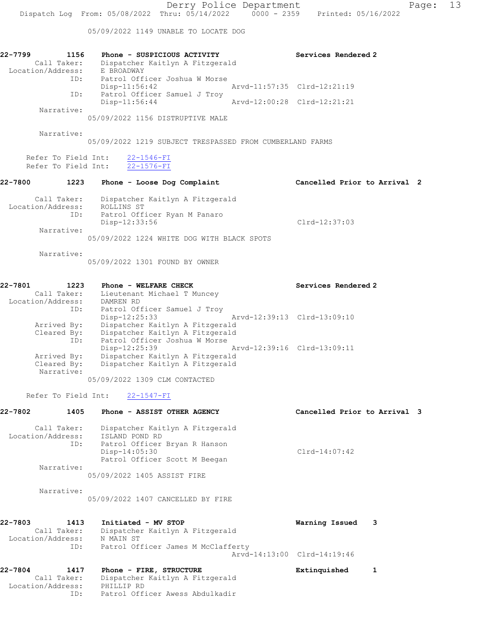05/09/2022 1149 UNABLE TO LOCATE DOG

| 22-7799<br>1156   | Phone - SUSPICIOUS ACTIVITY                              | Services Rendered 2         |
|-------------------|----------------------------------------------------------|-----------------------------|
| Call Taker:       | Dispatcher Kaitlyn A Fitzgerald                          |                             |
| Location/Address: | E BROADWAY                                               |                             |
| ID:               | Patrol Officer Joshua W Morse                            |                             |
|                   | $Disp-11:56:42$                                          | Arvd-11:57:35 Clrd-12:21:19 |
| ID:               | Patrol Officer Samuel J Troy                             |                             |
|                   | $Disp-11:56:44$                                          | Arvd-12:00:28 Clrd-12:21:21 |
| Narrative:        |                                                          |                             |
|                   | 05/09/2022 1156 DISTRUPTIVE MALE                         |                             |
|                   |                                                          |                             |
| Narrative:        |                                                          |                             |
|                   | 05/09/2022 1219 SUBJECT TRESPASSED FROM CUMBERLAND FARMS |                             |
|                   | Refer To Field Int: 22-1546-FI                           |                             |

Disp-12:33:56 Clrd-12:37:03

Refer To Field Int: 22-1576-FI

### 22-7800 1223 Phone - Loose Dog Complaint Cancelled Prior to Arrival 2

| Call Taker:<br>Location/Address:<br>ID: | Dispatcher Kaitlyn A Fitzgerald<br>ROLLINS ST<br>Patrol Officer Ryan M Panaro<br>Disp-12:33:56 |
|-----------------------------------------|------------------------------------------------------------------------------------------------|
| Narrative:                              |                                                                                                |

05/09/2022 1224 WHITE DOG WITH BLACK SPOTS

Narrative:

05/09/2022 1301 FOUND BY OWNER

#### 22-7801 1223 Phone - WELFARE CHECK Services Rendered 2 Call Taker: Lieutenant Michael T Muncey Location/Address: DAMREN RD ID: Patrol Officer Samuel J Troy Disp-12:25:33 Arvd-12:39:13 Clrd-13:09:10 Arrived By: Dispatcher Kaitlyn A Fitzgerald Cleared By: Dispatcher Kaitlyn A Fitzgerald ID: Patrol Officer Joshua W Morse Disp-12:25:39 Arvd-12:39:16 Clrd-13:09:11 Arrived By: Dispatcher Kaitlyn A Fitzgerald Cleared By: Dispatcher Kaitlyn A Fitzgerald Narrative:

05/09/2022 1309 CLM CONTACTED

#### Refer To Field Int: 22-1547-FI

| 22-7802 | 1405                     | Phone - ASSIST OTHER AGENCY                                        | Cancelled Prior to Arrival 3 |  |
|---------|--------------------------|--------------------------------------------------------------------|------------------------------|--|
|         | Call Taker:              | Dispatcher Kaitlyn A Fitzgerald                                    |                              |  |
|         | Location/Address:<br>ID: | ISLAND POND RD<br>Patrol Officer Bryan R Hanson<br>$Disp-14:05:30$ | $Clrd-14:07:42$              |  |
|         | Narrative:               | Patrol Officer Scott M Beegan                                      |                              |  |
|         |                          | 05/09/2022 1405 ASSIST FIRE                                        |                              |  |
|         | Narrative:               | 05/09/2022 1407 CANCELLED BY FIRE                                  |                              |  |
| 22-7803 | 1413                     | Initiated - MV STOP                                                | з<br>Warning Issued          |  |

| Call Taker:       | Dispatcher Kaitlyn A Fitzgerald    |  |
|-------------------|------------------------------------|--|
| Location/Address: | N MAIN ST                          |  |
| ID:               | Patrol Officer James M McClafferty |  |
|                   | Arvd-14:13:00 Clrd-14:19:46        |  |
|                   |                                    |  |

| 22-7804           | 1417 | Phone - FIRE, STRUCTURE         | Extinquished |  |
|-------------------|------|---------------------------------|--------------|--|
| Call Taker:       |      | Dispatcher Kaitlyn A Fitzgerald |              |  |
| Location/Address: |      | PHILLIP RD                      |              |  |
|                   | ID:  | Patrol Officer Awess Abdulkadir |              |  |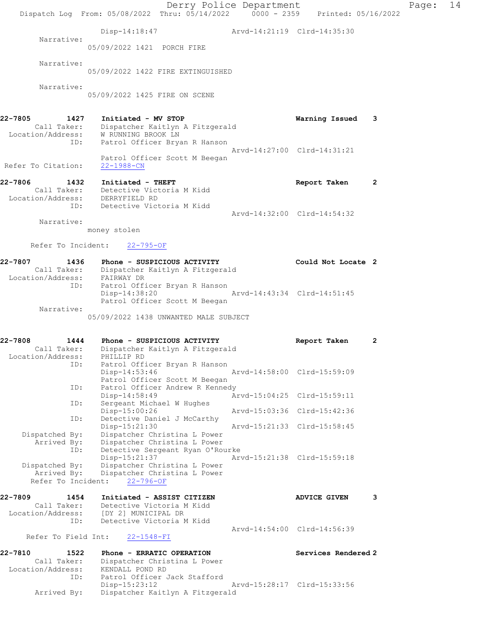Derry Police Department Page: 14 Dispatch Log From: 05/08/2022 Thru: 05/14/2022 0000 - 2359 Printed: 05/16/2022 Disp-14:18:47 Arvd-14:21:19 Clrd-14:35:30 Narrative: 05/09/2022 1421 PORCH FIRE Narrative: 05/09/2022 1422 FIRE EXTINGUISHED Narrative: 05/09/2022 1425 FIRE ON SCENE 22-7805 1427 Initiated - MV STOP Warning Issued 3 Call Taker: Dispatcher Kaitlyn A Fitzgerald Location/Address: W RUNNING BROOK LN ID: Patrol Officer Bryan R Hanson Arvd-14:27:00 Clrd-14:31:21 Patrol Officer Scott M Beegan Refer To Citation: 22-1988-CN 22-7806 1432 Initiated - THEFT **Report Taken** 2 Call Taker: Detective Victoria M Kidd Location/Address: DERRYFIELD RD ID: Detective Victoria M Kidd Arvd-14:32:00 Clrd-14:54:32 Narrative: money stolen Refer To Incident: 22-795-OF 22-7807 1436 Phone - SUSPICIOUS ACTIVITY Could Not Locate 2 Call Taker: Dispatcher Kaitlyn A Fitzgerald Location/Address: FAIRWAY DR ID: Patrol Officer Bryan R Hanson Disp-14:38:20 Arvd-14:43:34 Clrd-14:51:45 Patrol Officer Scott M Beegan Narrative: 05/09/2022 1438 UNWANTED MALE SUBJECT 22-7808 1444 Phone - SUSPICIOUS ACTIVITY Report Taken 2 Call Taker: Dispatcher Kaitlyn A Fitzgerald Location/Address: PHILLIP RD ID: Patrol Officer Bryan R Hanson Disp-14:53:46 Arvd-14:58:00 Clrd-15:59:09 Patrol Officer Scott M Beegan<br>ID: Patrol Officer Andrew R Kenned Patrol Officer Andrew R Kennedy<br>Disp-14:58:49 A Arvd-15:04:25 Clrd-15:59:11 ID: Sergeant Michael W Hughes Disp-15:00:26 Arvd-15:03:36 Clrd-15:42:36 ID: Detective Daniel J McCarthy Disp-15:21:30 Arvd-15:21:33 Clrd-15:58:45 Dispatched By: Dispatcher Christina L Power Arrived By: Dispatcher Christina L Power ID: Detective Sergeant Ryan O'Rourke Disp-15:21:37 Arvd-15:21:38 Clrd-15:59:18 Dispatched By: Dispatcher Christina L Power Arrived By: Dispatcher Christina L Power Refer To Incident: 22-796-OF 22-7809 1454 Initiated - ASSIST CITIZEN ADVICE GIVEN 3 Call Taker: Detective Victoria M Kidd Location/Address: [DY 2] MUNICIPAL DR ID: Detective Victoria M Kidd Arvd-14:54:00 Clrd-14:56:39 Refer To Field Int: 22-1548-FI 22-7810 1522 Phone - ERRATIC OPERATION Services Rendered 2 Call Taker: Dispatcher Christina L Power Location/Address: KENDALL POND RD ID: Patrol Officer Jack Stafford Disp-15:23:12 Arvd-15:28:17 Clrd-15:33:56 Arrived By: Dispatcher Kaitlyn A Fitzgerald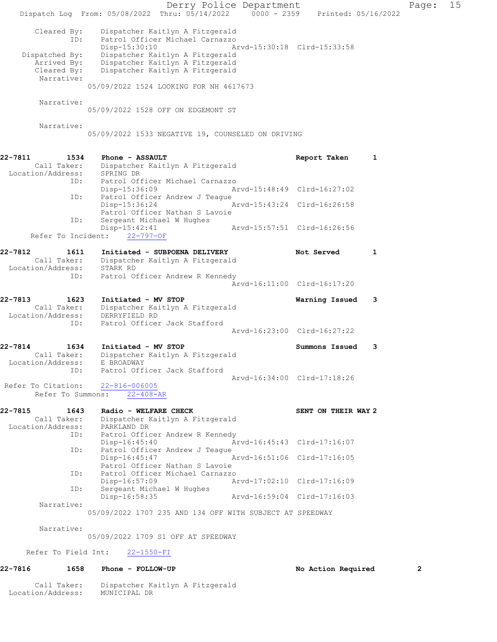|                                              | Dispatch Log From: 05/08/2022 Thru: 05/14/2022 0000 - 2359 Printed: 05/16/2022      | Derry Police Department     |                             |   | Page:          | 15 |
|----------------------------------------------|-------------------------------------------------------------------------------------|-----------------------------|-----------------------------|---|----------------|----|
|                                              |                                                                                     |                             |                             |   |                |    |
| Cleared By:<br>ID:                           | Dispatcher Kaitlyn A Fitzgerald<br>Patrol Officer Michael Carnazzo<br>Disp-15:30:10 | Arvd-15:30:18 Clrd-15:33:58 |                             |   |                |    |
| Dispatched By:                               | Dispatcher Kaitlyn A Fitzgerald                                                     |                             |                             |   |                |    |
| Arrived By:                                  | Dispatcher Kaitlyn A Fitzgerald                                                     |                             |                             |   |                |    |
| Cleared By:<br>Narrative:                    | Dispatcher Kaitlyn A Fitzgerald                                                     |                             |                             |   |                |    |
|                                              | 05/09/2022 1524 LOOKING FOR NH 4617673                                              |                             |                             |   |                |    |
| Narrative:                                   |                                                                                     |                             |                             |   |                |    |
|                                              | 05/09/2022 1528 OFF ON EDGEMONT ST                                                  |                             |                             |   |                |    |
| Narrative:                                   |                                                                                     |                             |                             |   |                |    |
|                                              | 05/09/2022 1533 NEGATIVE 19, COUNSELED ON DRIVING                                   |                             |                             |   |                |    |
| 22-7811<br>1534                              | Phone - ASSAULT                                                                     |                             | Report Taken                | 1 |                |    |
| Call Taker:                                  | Dispatcher Kaitlyn A Fitzgerald                                                     |                             |                             |   |                |    |
| Location/Address:                            | SPRING DR                                                                           |                             |                             |   |                |    |
| ID:                                          | Patrol Officer Michael Carnazzo<br>Disp-15:36:09                                    | Arvd-15:48:49 Clrd-16:27:02 |                             |   |                |    |
|                                              | Patrol Officer Andrew J Teague<br>ID:<br>$Disp-15:36:24$                            | Arvd-15:43:24 Clrd-16:26:58 |                             |   |                |    |
|                                              | Patrol Officer Nathan S Lavoie                                                      |                             |                             |   |                |    |
| ID:                                          | Sergeant Michael W Hughes<br>Disp-15:42:41                                          | Arvd-15:57:51 Clrd-16:26:56 |                             |   |                |    |
| Refer To Incident:                           | $22 - 797 - OF$                                                                     |                             |                             |   |                |    |
| 22-7812<br>1611                              | Initiated - SUBPOENA DELIVERY                                                       |                             | Not Served                  | 1 |                |    |
| Call Taker:                                  | Dispatcher Kaitlyn A Fitzgerald                                                     |                             |                             |   |                |    |
| Location/Address:<br>ID:                     | STARK RD<br>Patrol Officer Andrew R Kennedy                                         |                             |                             |   |                |    |
|                                              |                                                                                     | Arvd-16:11:00 Clrd-16:17:20 |                             |   |                |    |
| 22-7813<br>1623                              | Initiated - MV STOP                                                                 |                             | Warning Issued              | 3 |                |    |
| Call Taker:                                  | Dispatcher Kaitlyn A Fitzgerald                                                     |                             |                             |   |                |    |
| Location/Address:<br>ID:                     | DERRYFIELD RD<br>Patrol Officer Jack Stafford                                       |                             |                             |   |                |    |
|                                              |                                                                                     |                             | Arvd-16:23:00 Clrd-16:27:22 |   |                |    |
| 22-7814<br>1634                              | Initiated - MV STOP                                                                 |                             | Summons Issued              | 3 |                |    |
| Call Taker:                                  | Dispatcher Kaitlyn A Fitzgerald                                                     |                             |                             |   |                |    |
| Location/Address:<br>ID:                     | E BROADWAY<br>Patrol Officer Jack Stafford                                          |                             |                             |   |                |    |
|                                              |                                                                                     |                             | Aryd-16:34:00 Clrd-17:18:26 |   |                |    |
| Refer To Citation:                           | 22-816-006005                                                                       |                             |                             |   |                |    |
| Refer To Summons:                            | $22 - 408 - AR$                                                                     |                             |                             |   |                |    |
| 22-7815<br>1643                              | Radio - WELFARE CHECK                                                               |                             | SENT ON THEIR WAY 2         |   |                |    |
| Call Taker:<br>Location/Address: PARKLAND DR | Dispatcher Kaitlyn A Fitzgerald                                                     |                             |                             |   |                |    |
| ID:                                          | Patrol Officer Andrew R Kennedy                                                     |                             |                             |   |                |    |
| ID:                                          | $Disp-16:45:40$<br>Patrol Officer Andrew J Teague                                   | Arvd-16:45:43 Clrd-17:16:07 |                             |   |                |    |
|                                              | Disp-16:45:47                                                                       | Arvd-16:51:06 Clrd-17:16:05 |                             |   |                |    |
|                                              | Patrol Officer Nathan S Lavoie                                                      |                             |                             |   |                |    |
| ID:                                          | Patrol Officer Michael Carnazzo<br>$Disp-16:57:09$                                  | Arvd-17:02:10 Clrd-17:16:09 |                             |   |                |    |
| ID:                                          | Sergeant Michael W Hughes<br>Disp-16:58:35                                          | Arvd-16:59:04 Clrd-17:16:03 |                             |   |                |    |
| Narrative:                                   |                                                                                     |                             |                             |   |                |    |
|                                              | 05/09/2022 1707 235 AND 134 OFF WITH SUBJECT AT SPEEDWAY                            |                             |                             |   |                |    |
| Narrative:                                   | 05/09/2022 1709 S1 OFF AT SPEEDWAY                                                  |                             |                             |   |                |    |
|                                              |                                                                                     |                             |                             |   |                |    |
| Refer To Field Int:                          | $22 - 1550 - FI$                                                                    |                             |                             |   |                |    |
| 22-7816<br>1658                              | Phone - FOLLOW-UP                                                                   |                             | No Action Required          |   | $\overline{2}$ |    |

 Call Taker: Dispatcher Kaitlyn A Fitzgerald Location/Address: MUNICIPAL DR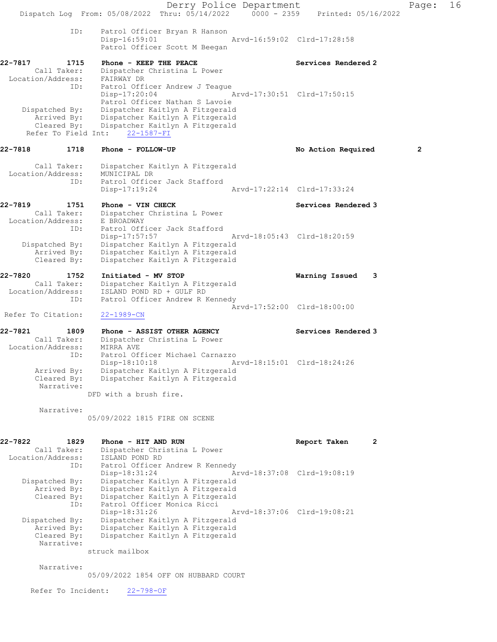Derry Police Department Page: 16 Dispatch Log From: 05/08/2022 Thru: 05/14/2022 0000 - 2359 Printed: 05/16/2022 ID: Patrol Officer Bryan R Hanson Disp-16:59:01 Arvd-16:59:02 Clrd-17:28:58 Patrol Officer Scott M Beegan 22-7817 1715 Phone - KEEP THE PEACE Services Rendered 2 Call Taker: Dispatcher Christina L Power Location/Address: FAIRWAY DR ID: Patrol Officer Andrew J Teague<br>Disp-17:20:04 Disp-17:20:04 Arvd-17:30:51 Clrd-17:50:15 Patrol Officer Nathan S Lavoie Dispatched By: Dispatcher Kaitlyn A Fitzgerald Arrived By: Dispatcher Kaitlyn A Fitzgerald Cleared By: Dispatcher Kaitlyn A Fitzgerald Refer To Field Int: 22-1587-FI 22-7818 1718 Phone - FOLLOW-UP No Required 2 Call Taker: Dispatcher Kaitlyn A Fitzgerald Location/Address: MUNICIPAL DR ID: Patrol Officer Jack Stafford<br>Disp-17:19:24 Arvd-17:22:14 Clrd-17:33:24 Disp-17:19:24 22-7819 1751 Phone - VIN CHECK Services Rendered 3 Call Taker: Dispatcher Christina L Power Location/Address: E BROADWAY ID: Patrol Officer Jack Stafford<br>Disp-17:57:57 Arvd-18:05:43 Clrd-18:20:59 Dispatched By: Dispatcher Kaitlyn A Fitzgerald Arrived By: Dispatcher Kaitlyn A Fitzgerald Cleared By: Dispatcher Kaitlyn A Fitzgerald 22-7820 1752 Initiated - MV STOP Warning Issued 3 Call Taker: Dispatcher Kaitlyn A Fitzgerald Location/Address: ISLAND POND RD + GULF RD ID: Patrol Officer Andrew R Kennedy Arvd-17:52:00 Clrd-18:00:00<br>22-1989-CN Refer To Citation: 22-7821 1809 Phone - ASSIST OTHER AGENCY Services Rendered 3 Call Taker: Dispatcher Christina L Power Location/Address: MIRRA AVE ID: Patrol Officer Michael Carnazzo Disp-18:10:18 Arvd-18:15:01 Clrd-18:24:26 Arrived By: Dispatcher Kaitlyn A Fitzgerald<br>Cleared By: Dispatcher Kaitlyn A Fitzgerald Dispatcher Kaitlyn A Fitzgerald Narrative: DFD with a brush fire. Narrative: 05/09/2022 1815 FIRE ON SCENE 22-7822 1829 Phone - HITAND RUN Report Taken 2 Call Taker: Dispatcher Christina L Power Location/Address: ISLAND POND RD ID: Patrol Officer Andrew R Kennedy Disp-18:31:24 Arvd-18:37:08 Clrd-19:08:19 Dispatched By: Dispatcher Kaitlyn A Fitzgerald Arrived By: Dispatcher Kaitlyn A Fitzgerald Cleared By: Dispatcher Kaitlyn A Fitzgerald ID: Patrol Officer Monica Ricci Disp-18:31:26 Arvd-18:37:06 Clrd-19:08:21 Dispatched By: Dispatcher Kaitlyn A Fitzgerald Arrived By: Dispatcher Kaitlyn A Fitzgerald<br>Cleared By: Dispatcher Kaitlyn A Fitzgerald Dispatcher Kaitlyn A Fitzgerald Narrative:

struck mailbox

Narrative:

05/09/2022 1854 OFF ON HUBBARD COURT

Refer To Incident: 22-798-OF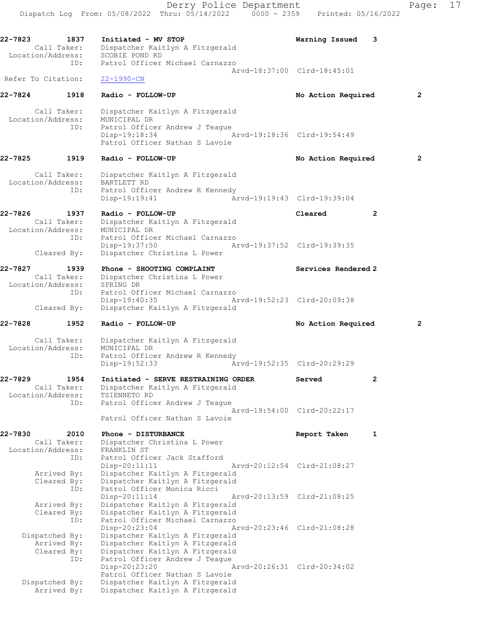Dispatch Log From: 05/08/2022 Thru: 05/14/2022 0000 - 2359 Printed: 05/16/2022 22-7823 1837 Initiated - MV STOP Warning Issued 3 Call Taker: Dispatcher Kaitlyn A Fitzgerald Location/Address: SCOBIE POND RD ID: Patrol Officer Michael Carnazzo Arvd-18:37:00 Clrd-18:45:01 Refer To Citation: 22-1990-CN 22-7824 1918 Radio - FOLLOW-UP No Action Required 2 Call Taker: Dispatcher Kaitlyn A Fitzgerald Location/Address: MUNICIPAL DR ID: Patrol Officer Andrew J Teague Disp-19:18:34 Arvd-19:18:36 Clrd-19:54:49 Patrol Officer Nathan S Lavoie 22-7825 1919 Radio - FOLLOW-UP No Action Required 2 Call Taker: Dispatcher Kaitlyn A Fitzgerald Location/Address: BARTLETT RD ID: Patrol Officer Andrew R Kennedy Disp-19:19:41 Arvd-19:19:43 Clrd-19:39:04 22-7826 1937 Radio - FOLLOW-UP Cleared 2 Call Taker: Dispatcher Kaitlyn A Fitzgerald Location/Address: MUNICIPAL DR ID: Patrol Officer Michael Carnazzo Disp-19:37:50 Arvd-19:37:52 Clrd-19:39:35 Cleared By: Dispatcher Christina L Power 22-7827 1939 Phone - SHOOTING COMPLAINT Services Rendered 2 Call Taker: Dispatcher Christina L Power Location/Address: SPRING DR ID: Patrol Officer Michael Carnazzo<br>Disp-19:40:35 Arvd-19:52:23 Clrd-20:09:38 Disp-19:40:35 Arvd-19:52:23 Clrd-20:09:38 Cleared By: Dispatcher Kaitlyn A Fitzgerald 22-7828 1952 Radio - FOLLOW-UP No Action Required 2 Call Taker: Dispatcher Kaitlyn A Fitzgerald Location/Address: MUNICIPAL DR ID: Patrol Officer Andrew R Kennedy Disp-19:52:33 Arvd-19:52:35 Clrd-20:29:29 22-7829 1954 Initiated - SERVE RESTRAINING ORDER Served 2 Call Taker: Dispatcher Kaitlyn A Fitzgerald Location/Address: TSIENNETO RD ID: Patrol Officer Andrew J Teague Arvd-19:54:00 Clrd-20:22:17 Patrol Officer Nathan S Lavoie 22-7830 2010 Phone - DISTURBANCE 2010 Report Taken 1 Call Taker: Dispatcher Christina L Power Location/Address: FRANKLIN ST ID: Patrol Officer Jack Stafford Disp-20:11:11 Arvd-20:12:54 Clrd-21:08:27 Arrived By: Dispatcher Kaitlyn A Fitzgerald Cleared By: Dispatcher Kaitlyn A Fitzgerald ID: Patrol Officer Monica Ricci Disp-20:11:14 Arvd-20:13:59 Clrd-21:08:25 Arrived By: Dispatcher Kaitlyn A Fitzgerald Cleared By: Dispatcher Kaitlyn A Fitzgerald ID: Patrol Officer Michael Carnazzo<br>Disp-20:23:04 Arvd-20:23:46 Clrd-21:08:28 Disp-20:23:04 Arvd-20:23:46 Clrd-21:08:28 Dispatched By: Dispatcher Kaitlyn A Fitzgerald Arrived By: Dispatcher Kaitlyn A Fitzgerald Cleared By: Dispatcher Kaitlyn A Fitzgerald ID: Patrol Officer Andrew J Teague Disp-20:23:20 Arvd-20:26:31 Clrd-20:34:02 Patrol Officer Nathan S Lavoie Dispatched By: Dispatcher Kaitlyn A Fitzgerald Arrived By: Dispatcher Kaitlyn A Fitzgerald

Derry Police Department Fage: 17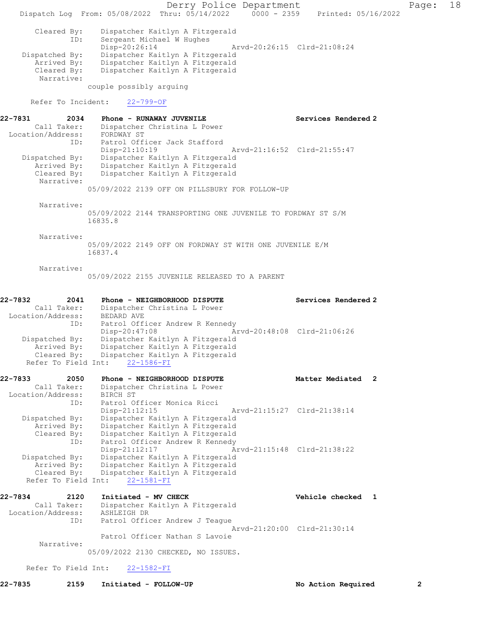Derry Police Department Fage: 18 Dispatch Log From: 05/08/2022 Thru: 05/14/2022 0000 - 2359 Printed: 05/16/2022 Cleared By: Dispatcher Kaitlyn A Fitzgerald ID: Sergeant Michael W Hughes<br>Disp-20:26:14 Disp-20:26:14 Arvd-20:26:15 Clrd-21:08:24 Dispatched By: Dispatcher Kaitlyn A Fitzgerald Arrived By: Dispatcher Kaitlyn A Fitzgerald Cleared By: Dispatcher Kaitlyn A Fitzgerald Narrative: couple possibly arguing Refer To Incident: 22-799-OF 22-7831 2034 Phone - RUNAWAY JUVENILE New Services Rendered 2 Call Taker: Dispatcher Christina L Power Location/Address: FORDWAY ST ID: Patrol Officer Jack Stafford Disp-21:10:19 Arvd-21:16:52 Clrd-21:55:47 Dispatched By: Dispatcher Kaitlyn A Fitzgerald Arrived By: Dispatcher Kaitlyn A Fitzgerald Cleared By: Dispatcher Kaitlyn A Fitzgerald Narrative: 05/09/2022 2139 OFF ON PILLSBURY FOR FOLLOW-UP Narrative: 05/09/2022 2144 TRANSPORTING ONE JUVENILE TO FORDWAY ST S/M 16835.8 Narrative: 05/09/2022 2149 OFF ON FORDWAY ST WITH ONE JUVENILE E/M 16837.4 Narrative: 05/09/2022 2155 JUVENILE RELEASED TO A PARENT 22-7832 2041 Phone - NEIGHBORHOOD DISPUTE Services Rendered 2 Call Taker: Dispatcher Christina L Power Location/Address: BEDARD AVE ID: Patrol Officer Andrew R Kennedy Disp-20:47:08 Arvd-20:48:08 Clrd-21:06:26 Dispatched By: Dispatcher Kaitlyn A Fitzgerald Arrived By: Dispatcher Kaitlyn A Fitzgerald Cleared By: Dispatcher Kaitlyn A Fitzgerald Refer To Field Int: 22-1586-FI 22-7833 2050 Phone - NEIGHBORHOOD DISPUTE Matter Mediated 2 Call Taker: Dispatcher Christina L Power Location/Address: BIRCH ST ID: Patrol Officer Monica Ricci Disp-21:12:15 Arvd-21:15:27 Clrd-21:38:14 Dispatched By: Dispatcher Kaitlyn A Fitzgerald Arrived By: Dispatcher Kaitlyn A Fitzgerald Cleared By: Dispatcher Kaitlyn A Fitzgerald ID: Patrol Officer Andrew R Kennedy Disp-21:12:17 Arvd-21:15:48 Clrd-21:38:22 Dispatched By: Dispatcher Kaitlyn A Fitzgerald Arrived By: Dispatcher Kaitlyn A Fitzgerald Cleared By: Dispatcher Kaitlyn A Fitzgerald Refer To Field Int: 22-1581-FI 22-7834 2120 Initiated - MV CHECK Vehicle checked 1 Call Taker: Dispatcher Kaitlyn A Fitzgerald Location/Address: ASHLEIGH DR ID: Patrol Officer Andrew J Teague Arvd-21:20:00 Clrd-21:30:14 Patrol Officer Nathan S Lavoie Narrative: 05/09/2022 2130 CHECKED, NO ISSUES. Refer To Field Int: 22-1582-FI

22-7835 2159 Initiated - FOLLOW-UP No Action Required 2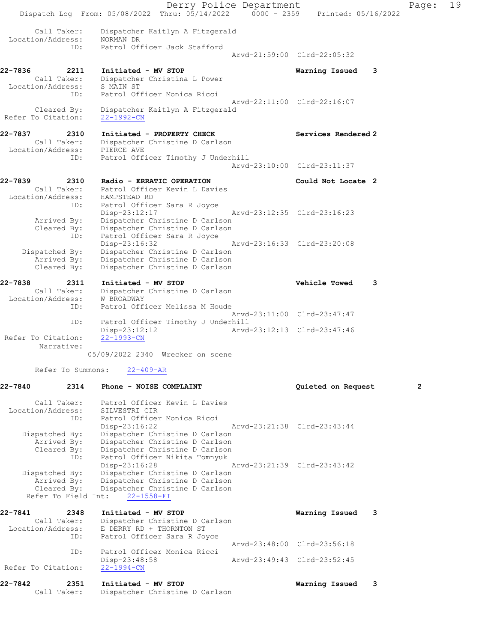Derry Police Department Fage: 19 Dispatch Log From: 05/08/2022 Thru: 05/14/2022 0000 - 2359 Printed: 05/16/2022 Call Taker: Dispatcher Kaitlyn A Fitzgerald Location/Address: NORMAN DR ID: Patrol Officer Jack Stafford Arvd-21:59:00 Clrd-22:05:32 22-7836 2211 Initiated - MV STOP Warning Issued 3 Call Taker: Dispatcher Christina L Power Location/Address: S MAIN ST ID: Patrol Officer Monica Ricci Arvd-22:11:00 Clrd-22:16:07 Cleared By: Dispatcher Kaitlyn A Fitzgerald Refer To Citation: 22-1992-CN 22-7837 2310 Initiated - PROPERTY CHECK Services Rendered 2 Call Taker: Dispatcher Christine D Carlson Location/Address: PIERCE AVE ID: Patrol Officer Timothy J Underhill Arvd-23:10:00 Clrd-23:11:37 22-7839 2310 Radio - ERRATIC OPERATION Could Not Locate 2 Call Taker: Patrol Officer Kevin L Davies Location/Address: HAMPSTEAD RD ID: Patrol Officer Sara R Joyce Disp-23:12:17 Arvd-23:12:35 Clrd-23:16:23 Arrived By: Dispatcher Christine D Carlson Cleared By: Dispatcher Christine D Carlson ID: Patrol Officer Sara R Joyce Disp-23:16:32 Arvd-23:16:33 Clrd-23:20:08 Dispatched By: Dispatcher Christine D Carlson Arrived By: Dispatcher Christine D Carlson Cleared By: Dispatcher Christine D Carlson 22-7838 2311 Initiated - MV STOP Vehicle Towed 3 Call Taker: Dispatcher Christine D Carlson Location/Address: W BROADWAY ID: Patrol Officer Melissa M Houde Arvd-23:11:00 Clrd-23:47:47 ID: Patrol Officer Timothy J Underhill<br>Disp-23:12:12<br>Arvd Disp-23:12:12 Arvd-23:12:13 Clrd-23:47:46 Refer To Citation: Narrative: 05/09/2022 2340 Wrecker on scene Refer To Summons: 22-409-AR 22-7840 2314 Phone - NOISE COMPLAINT Quieted on Request 2 Call Taker: Patrol Officer Kevin L Davies Location/Address: SILVESTRI CIR ID: Patrol Officer Monica Ricci Disp-23:16:22 Arvd-23:21:38 Clrd-23:43:44 Dispatched By: Dispatcher Christine D Carlson Arrived By: Dispatcher Christine D Carlson Cleared By: Dispatcher Christine D Carlson ID: Patrol Officer Nikita Tomnyuk Disp-23:16:28 Arvd-23:21:39 Clrd-23:43:42 Dispatched By: Dispatcher Christine D Carlson Arrived By: Dispatcher Christine D Carlson Cleared By: Dispatcher Christine D Carlson Refer To Field Int: 22-1558-FI 22-7841 2348 Initiated - MV STOP Warning Issued 3 Call Taker: Dispatcher Christine D Carlson Location/Address: E DERRY RD + THORNTON ST ID: Patrol Officer Sara R Joyce Arvd-23:48:00 Clrd-23:56:18 ID: Patrol Officer Monica Ricci Disp-23:48:58 Arvd-23:49:43 Clrd-23:52:45 Refer To Citation: 22-1994-CN 22-7842 2351 Initiated - MV STOP Warning Issued 3 Call Taker: Dispatcher Christine D Carlson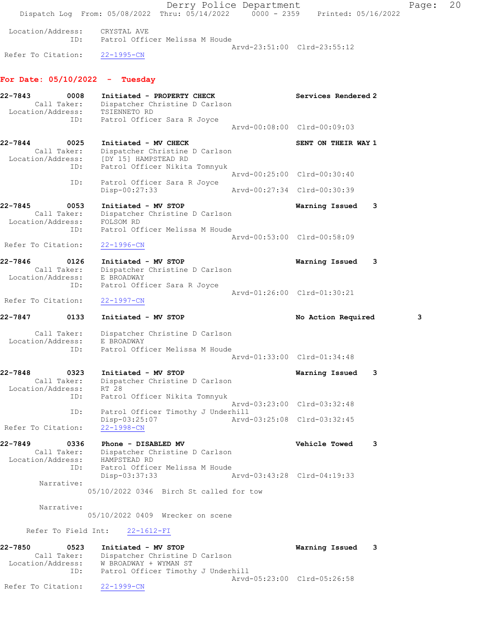Derry Police Department Fage: 20 Dispatch Log From: 05/08/2022 Thru: 05/14/2022 0000 - 2359 Printed: 05/16/2022 Location/Address: CRYSTAL AVE ID: Patrol Officer Melissa M Houde Arvd-23:51:00 Clrd-23:55:12 Refer To Citation: 22-1995-CN For Date: 05/10/2022 - Tuesday 22-7843 0008 Initiated - PROPERTY CHECK Services Rendered 2 Call Taker: Dispatcher Christine D Carlson Location/Address: TSIENNETO RD ID: Patrol Officer Sara R Joyce Arvd-00:08:00 Clrd-00:09:03 22-7844 0025 Initiated - MV CHECK SENT ON THEIR WAY 1 Call Taker: Dispatcher Christine D Carlson Location/Address: [DY 15] HAMPSTEAD RD ID: Patrol Officer Nikita Tomnyuk Arvd-00:25:00 Clrd-00:30:40 ID: Patrol Officer Sara R Joyce<br>Disp-00:27:33 Disp-00:27:33 Arvd-00:27:34 Clrd-00:30:39 22-7845 0053 Initiated - MV STOP Warning Issued 3 Call Taker: Dispatcher Christine D Carlson Location/Address: FOLSOM RD ID: Patrol Officer Melissa M Houde Arvd-00:53:00 Clrd-00:58:09 Refer To Citation: 22-1996-CN 22-7846 0126 Initiated - MV STOP Warning Issued 3 Call Taker: Dispatcher Christine D Carlson Location/Address: E BROADWAY ID: Patrol Officer Sara R Joyce Arvd-01:26:00 Clrd-01:30:21 Refer To Citation: 22-1997-CN 22-7847 0133 Initiated - MV STOP No Action Required 3 Call Taker: Dispatcher Christine D Carlson Location/Address: E BROADWAY ID: Patrol Officer Melissa M Houde Arvd-01:33:00 Clrd-01:34:48 22-7848 0323 Initiated - MV STOP Warning Issued 3 Call Taker: Dispatcher Christine D Carlson Location/Address: RT 28 ID: Patrol Officer Nikita Tomnyuk Arvd-03:23:00 Clrd-03:32:48 ID: Patrol Officer Timothy J Underhill Disp-03:25:07 Arvd-03:25:08 Clrd-03:32:45 Refer To Citation: 22-1998-CN 22-7849 0336 Phone - DISABLED MV Vehicle Towed 3 Call Taker: Dispatcher Christine D Carlson Location/Address: HAMPSTEAD RD ID: Patrol Officer Melissa M Houde Disp-03:37:33 Arvd-03:43:28 Clrd-04:19:33 Narrative: 05/10/2022 0346 Birch St called for tow Narrative: 05/10/2022 0409 Wrecker on scene Refer To Field Int: 22-1612-FI 22-7850 0523 Initiated - MV STOP Warning Issued 3 Call Taker: Dispatcher Christine D Carlson Location/Address: W BROADWAY + WYMAN ST ID: Patrol Officer Timothy J Underhill Arvd-05:23:00 Clrd-05:26:58 Refer To Citation: 22-1999-CN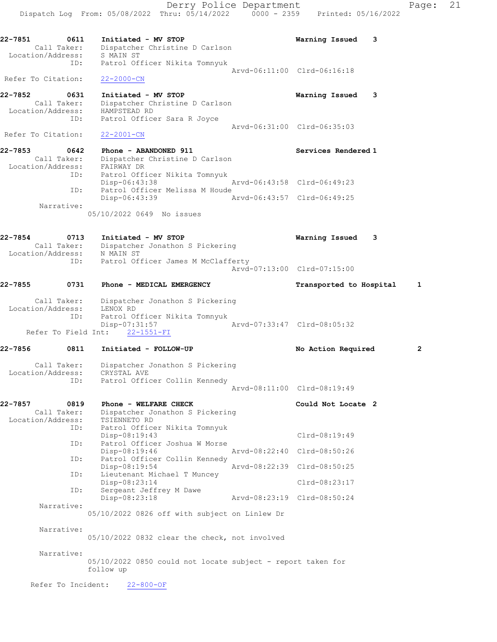Dispatch Log From: 05/08/2022 Thru: 05/14/2022 0000 - 2359 Printed: 05/16/2022 22-7851 0611 Initiated - MV STOP Warning Issued 3 Call Taker: Dispatcher Christine D Carlson Location/Address: S MAIN ST ID: Patrol Officer Nikita Tomnyuk Arvd-06:11:00 Clrd-06:16:18 Refer To Citation: 22-2000-CN 22-7852 0631 Initiated - MV STOP Warning Issued 3 Call Taker: Dispatcher Christine D Carlson Location/Address: HAMPSTEAD RD ID: Patrol Officer Sara R Joyce Arvd-06:31:00 Clrd-06:35:03 Refer To Citation: 22-2001-CN 22-7853 0642 Phone - ABANDONED 911 Services Rendered 1 Call Taker: Dispatcher Christine D Carlson Location/Address: FAIRWAY DR ID: Patrol Officer Nikita Tomnyuk Disp-06:43:38 Arvd-06:43:58 Clrd-06:49:23 ID: Patrol Officer Melissa M Houde Disp-06:43:39 Arvd-06:43:57 Clrd-06:49:25 Narrative: 05/10/2022 0649 No issues 22-7854 0713 Initiated - MV STOP Warning Issued 3 Call Taker: Dispatcher Jonathon S Pickering Location/Address: N MAIN ST ID: Patrol Officer James M McClafferty Arvd-07:13:00 Clrd-07:15:00 22-7855 0731 Phone - MEDICAL EMERGENCY Transported to Hospital 1 Call Taker: Dispatcher Jonathon S Pickering Location/Address: LENOX RD ID: Patrol Officer Nikita Tomnyuk Disp-07:31:57 Arvd-07:33:47 Clrd-08:05:32 Refer To Field Int: 22-1551-FI 22-7856 0811 Initiated - FOLLOW-UP No Action Required 2 Call Taker: Dispatcher Jonathon S Pickering Location/Address: CRYSTAL AVE ID: Patrol Officer Collin Kennedy Arvd-08:11:00 Clrd-08:19:49 22-7857 0819 Phone - WELFARE CHECK Could Not Locate 2 Call Taker: Dispatcher Jonathon S Pickering Location/Address: TSIENNETO RD ID: Patrol Officer Nikita Tomnyuk Disp-08:19:43 Clrd-08:19:49 ID: Patrol Officer Joshua W Morse Disp-08:19:46 Arvd-08:22:40 Clrd-08:50:26 ID: Patrol Officer Collin Kennedy<br>Disp-08:19:54 Disp-08:19:54 Arvd-08:22:39 Clrd-08:50:25<br>ID: Lieutenant Michael T Muncey ID: Lieutenant Michael T Muncey Disp-08:23:14 Clrd-08:23:17 ID: Sergeant Jeffrey M Dawe Disp-08:23:18 Arvd-08:23:19 Clrd-08:50:24 Narrative: 05/10/2022 0826 off with subject on Linlew Dr Narrative: 05/10/2022 0832 clear the check, not involved Narrative: 05/10/2022 0850 could not locate subject - report taken for follow up Refer To Incident: 22-800-OF

Derry Police Department Fage: 21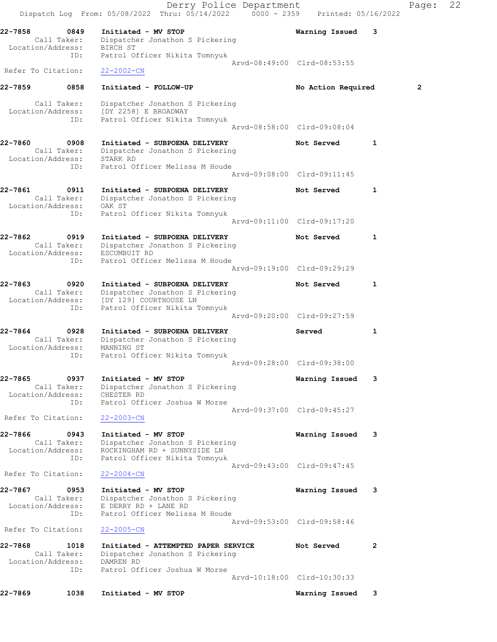|                              |                                                 | Dispatch Log From: 05/08/2022 Thru: 05/14/2022 0000 - 2359 Printed: 05/16/2022                                          | Derry Police Department |                             |   | Page:          | 22 |
|------------------------------|-------------------------------------------------|-------------------------------------------------------------------------------------------------------------------------|-------------------------|-----------------------------|---|----------------|----|
| 22-7858                      | 0849<br>Call Taker:<br>Location/Address:        | Initiated - MV STOP<br>Dispatcher Jonathon S Pickering<br>BIRCH ST                                                      |                         | Warning Issued              | 3 |                |    |
|                              | ID:                                             | Patrol Officer Nikita Tomnyuk                                                                                           |                         | Arvd-08:49:00 Clrd-08:53:55 |   |                |    |
| Refer To Citation:           |                                                 | $22 - 2002 - CN$                                                                                                        |                         |                             |   |                |    |
| 22-7859                      | 0858                                            | Initiated - FOLLOW-UP                                                                                                   |                         | No Action Required          |   | $\overline{2}$ |    |
|                              | Call Taker:<br>ID:                              | Dispatcher Jonathon S Pickering<br>Location/Address: [DY 2258] E BROADWAY<br>Patrol Officer Nikita Tomnyuk              |                         | Arvd-08:58:00 Clrd-09:08:04 |   |                |    |
| 22-7860                      | 0908                                            | Initiated - SUBPOENA DELIVERY                                                                                           |                         | Not Served                  | 1 |                |    |
|                              | Location/Address: STARK RD<br>ID:               | Call Taker: Dispatcher Jonathon S Pickering<br>Patrol Officer Melissa M Houde                                           |                         |                             |   |                |    |
|                              |                                                 |                                                                                                                         |                         | Arvd-09:08:00 Clrd-09:11:45 |   |                |    |
| 22-7861                      | 0911<br>Call Taker:<br>Location/Address: OAK ST | Initiated - SUBPOENA DELIVERY<br>Dispatcher Jonathon S Pickering                                                        |                         | Not Served                  | 1 |                |    |
|                              | ID:                                             | Patrol Officer Nikita Tomnyuk                                                                                           |                         | Arvd-09:11:00 Clrd-09:17:20 |   |                |    |
| 22-7862                      | 0919<br>Call Taker:<br>Location/Address:        | Initiated - SUBPOENA DELIVERY<br>Dispatcher Jonathon S Pickering<br>ESCUMBUIT RD                                        |                         | Not Served                  | 1 |                |    |
|                              | ID:                                             | Patrol Officer Melissa M Houde                                                                                          |                         | Arvd-09:19:00 Clrd-09:29:29 |   |                |    |
| 22-7863<br>Location/Address: | 0920<br>Call Taker:                             | Initiated - SUBPOENA DELIVERY<br>Dispatcher Jonathon S Pickering<br>[DY 129] COURTHOUSE LN                              |                         | Not Served                  | 1 |                |    |
|                              | ID:                                             | Patrol Officer Nikita Tomnyuk                                                                                           |                         | Arvd-09:20:00 Clrd-09:27:59 |   |                |    |
| 22-7864<br>Location/Address: | 0928<br>Call Taker:<br>ID:                      | Initiated - SUBPOENA DELIVERY<br>Dispatcher Jonathon S Pickering<br>MANNING ST<br>Patrol Officer Nikita Tomnyuk         |                         | Served                      | 1 |                |    |
|                              |                                                 |                                                                                                                         |                         | Arvd-09:28:00 Clrd-09:38:00 |   |                |    |
| 22-7865                      | 0937<br>Call Taker:<br>Location/Address:<br>ID: | Initiated - MV STOP<br>Dispatcher Jonathon S Pickering<br>CHESTER RD<br>Patrol Officer Joshua W Morse                   |                         | Warning Issued              | 3 |                |    |
| Refer To Citation:           |                                                 | $22 - 2003 - CN$                                                                                                        |                         | Arvd-09:37:00 Clrd-09:45:27 |   |                |    |
| 22-7866                      | 0943<br>Call Taker:<br>Location/Address:<br>ID: | Initiated - MV STOP<br>Dispatcher Jonathon S Pickering<br>ROCKINGHAM RD + SUNNYSIDE LN<br>Patrol Officer Nikita Tomnyuk |                         | Warning Issued              | 3 |                |    |
| Refer To Citation:           |                                                 | $22 - 2004 - CN$                                                                                                        |                         | Arvd-09:43:00 Clrd-09:47:45 |   |                |    |
| 22-7867                      | 0953<br>Call Taker:<br>Location/Address:<br>ID: | Initiated - MV STOP<br>Dispatcher Jonathon S Pickering<br>E DERRY RD + LANE RD<br>Patrol Officer Melissa M Houde        |                         | Warning Issued              | 3 |                |    |
| Refer To Citation:           |                                                 | $22 - 2005 - CN$                                                                                                        |                         | Arvd-09:53:00 Clrd-09:58:46 |   |                |    |
| 22-7868                      | 1018<br>Call Taker:<br>Location/Address:<br>ID: | Initiated - ATTEMPTED PAPER SERVICE<br>Dispatcher Jonathon S Pickering<br>DAMREN RD<br>Patrol Officer Joshua W Morse    |                         | Not Served                  | 2 |                |    |
|                              |                                                 |                                                                                                                         |                         | Arvd-10:18:00 Clrd-10:30:33 |   |                |    |
| 22-7869                      | 1038                                            | Initiated - MV STOP                                                                                                     |                         | Warning Issued              | 3 |                |    |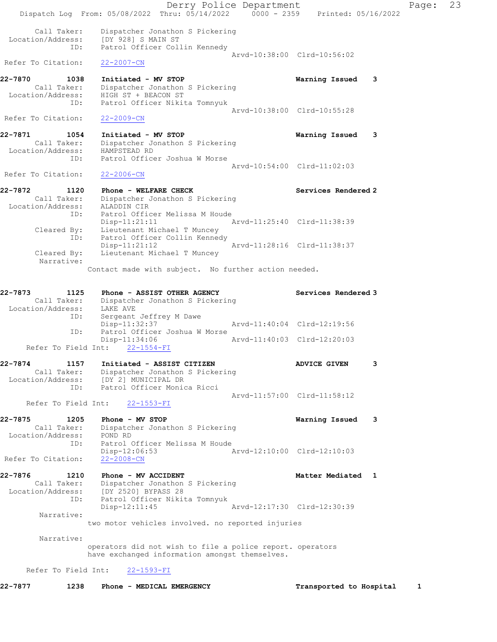Derry Police Department Fage: 23 Dispatch Log From:  $05/08/2022$  Thru:  $05/14/2022$  0000 - 2359 Printed: 05/16/2022 Call Taker: Dispatcher Jonathon S Pickering Location/Address: [DY 928] S MAIN ST ID: Patrol Officer Collin Kennedy Arvd-10:38:00 Clrd-10:56:02 Refer To Citation: 22-2007-CN 22-7870 1038 Initiated - MV STOP Warning Issued 3 Call Taker: Dispatcher Jonathon S Pickering Location/Address: HIGH ST + BEACON ST ID: Patrol Officer Nikita Tomnyuk Arvd-10:38:00 Clrd-10:55:28 Refer To Citation: 22-2009-CN 22-7871 1054 Initiated - MV STOP Warning Issued 3 Call Taker: Dispatcher Jonathon S Pickering Location/Address: HAMPSTEAD RD ID: Patrol Officer Joshua W Morse Arvd-10:54:00 Clrd-11:02:03 Refer To Citation: 22-2006-CN 22-7872 1120 Phone - WELFARE CHECK Services Rendered 2 Call Taker: Dispatcher Jonathon S Pickering Location/Address: ALADDIN CIR ID: Patrol Officer Melissa M Houde Disp-11:21:11 Arvd-11:25:40 Clrd-11:38:39 Cleared By: Lieutenant Michael T Muncey ID: Patrol Officer Collin Kennedy Disp-11:21:12 Arvd-11:28:16 Clrd-11:38:37 Cleared By: Lieutenant Michael T Muncey Narrative: Contact made with subject. No further action needed. 22-7873 1125 Phone - ASSIST OTHER AGENCY Services Rendered 3 Call Taker: Dispatcher Jonathon S Pickering Location/Address: LAKE AVE ID: Sergeant Jeffrey M Dawe Disp-11:32:37 Arvd-11:40:04 Clrd-12:19:56 ID: Patrol Officer Joshua W Morse Disp-11:34:06 Arvd-11:40:03 Clrd-12:20:03 Refer To Field Int: 22-1554-FI 22-7874 1157 Initiated - ASSIST CITIZEN ADVICE GIVEN 3 Call Taker: Dispatcher Jonathon S Pickering Location/Address: [DY 2] MUNICIPAL DR ID: Patrol Officer Monica Ricci Arvd-11:57:00 Clrd-11:58:12 Refer To Field Int: 22-1553-FI 22-7875 1205 Phone - MV STOP Warning Issued 3 Call Taker: Dispatcher Jonathon S Pickering Location/Address: POND RD ID: Patrol Officer Melissa M Houde Disp-12:06:53 Arvd-12:10:00 Clrd-12:10:03 Refer To Citation: 22-2008-CN 22-7876 1210 Phone - MV ACCIDENT North Matter Mediated 1 Call Taker: Dispatcher Jonathon S Pickering Location/Address: [DY 2520] BYPASS 28 ID: Patrol Officer Nikita Tomnyuk Disp-12:11:45 Arvd-12:17:30 Clrd-12:30:39 Narrative: two motor vehicles involved. no reported injuries Narrative: operators did not wish to file a police report. operators have exchanged information amongst themselves. Refer To Field Int: 22-1593-FI

22-7877 1238 Phone - MEDICAL EMERGENCY 1 Transported to Hospital 1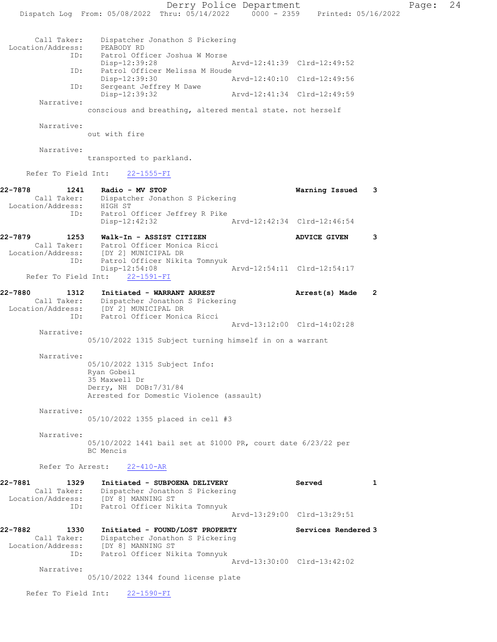Derry Police Department Page: 24 Dispatch Log From:  $05/08/2022$  Thru:  $05/14/2022$  0000 - 2359 Printed: 05/16/2022 Call Taker: Dispatcher Jonathon S Pickering Location/Address: PEABODY RD ID: Patrol Officer Joshua W Morse Disp-12:39:28 Arvd-12:41:39 Clrd-12:49:52 ID: Patrol Officer Melissa M Houde<br>Disp-12:39:30 Ar Disp-12:39:30 Arvd-12:40:10 Clrd-12:49:56 ID: Sergeant Jeffrey M Dawe<br>Disp-12:39:32 Disp-12:39:32 Arvd-12:41:34 Clrd-12:49:59 Narrative: conscious and breathing, altered mental state. not herself Narrative: out with fire Narrative: transported to parkland. Refer To Field Int: 22-1555-FI 22-7878 1241 Radio - MV STOP Warning Issued 3 Call Taker: Dispatcher Jonathon S Pickering Location/Address: HIGH ST ID: Patrol Officer Jeffrey R Pike Disp-12:42:32 Arvd-12:42:34 Clrd-12:46:54 22-7879 1253 Walk-In - ASSIST CITIZEN ADVICE GIVEN 3 Call Taker: Patrol Officer Monica Ricci Location/Address: [DY 2] MUNICIPAL DR ID: Patrol Officer Nikita Tomnyuk Disp-12:54:08 Arvd-12:54:11 Clrd-12:54:17 Refer To Field Int: 22-1591-FI 22-7880 1312 Initiated - WARRANT ARREST Arrest(s) Made 2 Call Taker: Dispatcher Jonathon S Pickering Location/Address: [DY 2] MUNICIPAL DR ID: Patrol Officer Monica Ricci Arvd-13:12:00 Clrd-14:02:28 Narrative: 05/10/2022 1315 Subject turning himself in on a warrant Narrative: 05/10/2022 1315 Subject Info: Ryan Gobeil 35 Maxwell Dr Derry, NH DOB:7/31/84 Arrested for Domestic Violence (assault) Narrative: 05/10/2022 1355 placed in cell #3 Narrative: 05/10/2022 1441 bail set at \$1000 PR, court date 6/23/22 per BC Mencis Refer To Arrest: 22-410-AR 22-7881 1329 Initiated - SUBPOENA DELIVERY Served 1 Call Taker: Dispatcher Jonathon S Pickering Location/Address: [DY 8] MANNING ST

 ID: Patrol Officer Nikita Tomnyuk Arvd-13:29:00 Clrd-13:29:51 22-7882 1330 Initiated - FOUND/LOST PROPERTY Services Rendered 3 Call Taker: Dispatcher Jonathon S Pickering Location/Address: [DY 8] MANNING ST ID: Patrol Officer Nikita Tomnyuk Arvd-13:30:00 Clrd-13:42:02

 Narrative: 05/10/2022 1344 found license plate

Refer To Field Int: 22-1590-FI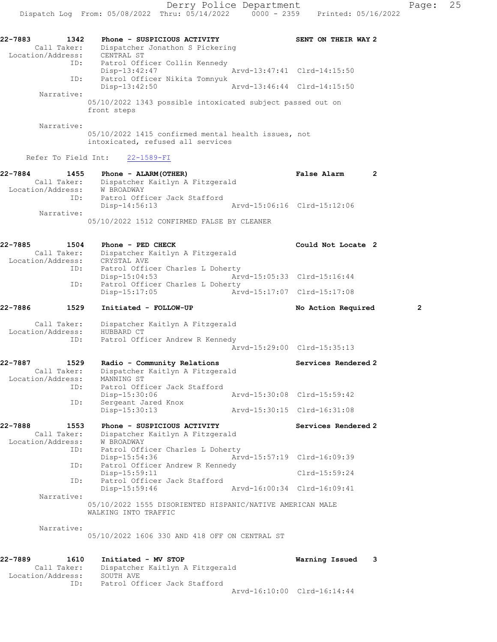| 22-7883<br>Location/Address: | 1342<br>Call Taker:        | Phone - SUSPICIOUS ACTIVITY<br>Dispatcher Jonathon S Pickering<br>CENTRAL ST                           | SENT ON THEIR WAY 2         |                |
|------------------------------|----------------------------|--------------------------------------------------------------------------------------------------------|-----------------------------|----------------|
|                              | ID:                        | Patrol Officer Collin Kennedy<br>$Disp-13:42:47$                                                       | Arvd-13:47:41 Clrd-14:15:50 |                |
|                              | ID:                        | Patrol Officer Nikita Tomnyuk<br>Disp-13:42:50                                                         | Arvd-13:46:44 Clrd-14:15:50 |                |
|                              | Narrative:                 | 05/10/2022 1343 possible intoxicated subject passed out on<br>front steps                              |                             |                |
|                              | Narrative:                 | 05/10/2022 1415 confirmed mental health issues, not<br>intoxicated, refused all services               |                             |                |
|                              | Refer To Field Int:        | 22-1589-FI                                                                                             |                             |                |
| 22-7884<br>Location/Address: | 1455<br>Call Taker:<br>ID: | Phone - ALARM (OTHER)<br>Dispatcher Kaitlyn A Fitzgerald<br>W BROADWAY<br>Patrol Officer Jack Stafford | False Alarm                 | 2              |
|                              | Narrative:                 | Disp-14:56:13                                                                                          | Arvd-15:06:16 Clrd-15:12:06 |                |
|                              |                            | 05/10/2022 1512 CONFIRMED FALSE BY CLEANER                                                             |                             |                |
| 22-7885<br>Location/Address: | 1504<br>Call Taker:        | Phone - PED CHECK<br>Dispatcher Kaitlyn A Fitzgerald<br>CRYSTAL AVE                                    | Could Not Locate 2          |                |
|                              | ID:                        | Patrol Officer Charles L Doherty<br>$Disp-15:04:53$                                                    | Arvd-15:05:33 Clrd-15:16:44 |                |
|                              | ID:                        | Patrol Officer Charles L Doherty<br>Disp-15:17:05                                                      | Arvd-15:17:07 Clrd-15:17:08 |                |
| 22-7886                      | 1529                       | Initiated - FOLLOW-UP                                                                                  | No Action Required          | $\overline{2}$ |
| Location/Address:            | Call Taker:                | Dispatcher Kaitlyn A Fitzgerald<br>HUBBARD CT                                                          |                             |                |
|                              | ID:                        | Patrol Officer Andrew R Kennedy                                                                        | Arvd-15:29:00 Clrd-15:35:13 |                |
| 22-7887                      | 1529<br>Call Taker:        | Radio - Community Relations<br>Dispatcher Kaitlyn A Fitzgerald                                         | Services Rendered 2         |                |
| Location/Address:            | ID:                        | MANNING ST<br>Patrol Officer Jack Stafford<br>Disp-15:30:06                                            | Arvd-15:30:08 Clrd-15:59:42 |                |
|                              | ID:                        | Sergeant Jared Knox<br>Disp-15:30:13                                                                   | Arvd-15:30:15 Clrd-16:31:08 |                |
| 22-7888                      | 1553<br>Call Taker:        | Phone - SUSPICIOUS ACTIVITY<br>Dispatcher Kaitlyn A Fitzgerald                                         | Services Rendered 2         |                |
| Location/Address:            | ID:                        | W BROADWAY<br>Patrol Officer Charles L Doherty<br>Disp-15:54:36                                        | Arvd-15:57:19 Clrd-16:09:39 |                |
|                              | ID:                        | Patrol Officer Andrew R Kennedy<br>$Disp-15:59:11$                                                     | Clrd-15:59:24               |                |
|                              | ID:                        | Patrol Officer Jack Stafford                                                                           | Arvd-16:00:34 Clrd-16:09:41 |                |
|                              | Narrative:                 | $Disp-15:59:46$                                                                                        |                             |                |
|                              |                            | 05/10/2022 1555 DISORIENTED HISPANIC/NATIVE AMERICAN MALE<br>WALKING INTO TRAFFIC                      |                             |                |
|                              | Narrative:                 | 05/10/2022 1606 330 AND 418 OFF ON CENTRAL ST                                                          |                             |                |
| 22-7889<br>Location/Address: | 1610<br>Call Taker:        | Initiated - MV STOP<br>Dispatcher Kaitlyn A Fitzgerald<br>SOUTH AVE                                    | Warning Issued              | 3              |

ID: Patrol Officer Jack Stafford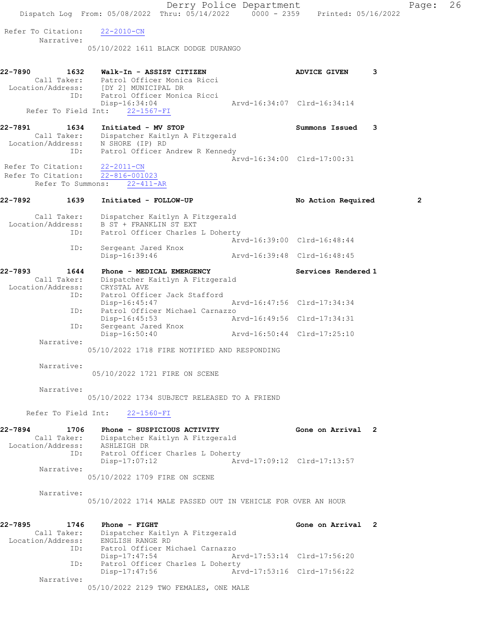|                                          | Derry Police Department<br>Dispatch Log From: 05/08/2022 Thru: 05/14/2022 0000 - 2359 Printed: 05/16/2022 |                             |   | Page:        | 26 |
|------------------------------------------|-----------------------------------------------------------------------------------------------------------|-----------------------------|---|--------------|----|
| Refer To Citation:                       |                                                                                                           |                             |   |              |    |
| Narrative:                               | $22 - 2010 - CN$                                                                                          |                             |   |              |    |
|                                          | 05/10/2022 1611 BLACK DODGE DURANGO                                                                       |                             |   |              |    |
| 22-7890<br>1632                          | Walk-In - ASSIST CITIZEN                                                                                  | <b>ADVICE GIVEN</b>         | 3 |              |    |
|                                          | Call Taker: Patrol Officer Monica Ricci<br>Location/Address: [DY 2] MUNICIPAL DR                          |                             |   |              |    |
|                                          | ID: Patrol Officer Monica Ricci<br>Disp-16:34:04                                                          | Arvd-16:34:07 Clrd-16:34:14 |   |              |    |
|                                          | Refer To Field Int: 22-1567-FI                                                                            |                             |   |              |    |
| 22-7891<br>1634                          | Initiated - MV STOP<br>Call Taker: Dispatcher Kaitlyn A Fitzgerald                                        | Summons Issued 3            |   |              |    |
|                                          | Location/Address: N SHORE (IP) RD                                                                         |                             |   |              |    |
| ID:                                      | Patrol Officer Andrew R Kennedy                                                                           | Arvd-16:34:00 Clrd-17:00:31 |   |              |    |
| Refer To Citation:<br>Refer To Citation: | 22-2011-CN<br>$22 - 816 - 001023$                                                                         |                             |   |              |    |
| Refer To Summons:                        | $22 - 411 - AR$                                                                                           |                             |   |              |    |
| 22-7892<br>1639                          | Initiated - FOLLOW-UP                                                                                     | No Action Required          |   | $\mathbf{2}$ |    |
| Call Taker:                              | Dispatcher Kaitlyn A Fitzgerald                                                                           |                             |   |              |    |
| Location/Address:<br>ID:                 | B ST + FRANKLIN ST EXT<br>Patrol Officer Charles L Doherty                                                |                             |   |              |    |
| ID:                                      | Sergeant Jared Knox                                                                                       | Arvd-16:39:00 Clrd-16:48:44 |   |              |    |
|                                          | Disp-16:39:46                                                                                             | Arvd-16:39:48 Clrd-16:48:45 |   |              |    |
| 22-7893<br>1644                          | Phone - MEDICAL EMERGENCY                                                                                 | Services Rendered 1         |   |              |    |
| Call Taker:<br>Location/Address:         | Dispatcher Kaitlyn A Fitzgerald<br>CRYSTAL AVE                                                            |                             |   |              |    |
| ID:                                      | Patrol Officer Jack Stafford<br>Disp-16:45:47                                                             | Arvd-16:47:56 Clrd-17:34:34 |   |              |    |
| ID:                                      | Patrol Officer Michael Carnazzo<br>Disp-16:45:53                                                          | Arvd-16:49:56 Clrd-17:34:31 |   |              |    |
| ID:                                      | Sergeant Jared Knox<br>Disp-16:50:40                                                                      | Arvd-16:50:44 Clrd-17:25:10 |   |              |    |
| Narrative:                               |                                                                                                           |                             |   |              |    |
|                                          | 05/10/2022 1718 FIRE NOTIFIED AND RESPONDING                                                              |                             |   |              |    |
| Narrative:                               | 05/10/2022 1721 FIRE ON SCENE                                                                             |                             |   |              |    |
| Narrative:                               |                                                                                                           |                             |   |              |    |
|                                          | 05/10/2022 1734 SUBJECT RELEASED TO A FRIEND                                                              |                             |   |              |    |
|                                          | Refer To Field Int: 22-1560-FI                                                                            |                             |   |              |    |
| 22-7894<br>1706                          | Phone - SUSPICIOUS ACTIVITY                                                                               | Gone on Arrival 2           |   |              |    |
| Location/Address: ASHLEIGH DR            | Call Taker: Dispatcher Kaitlyn A Fitzgerald                                                               |                             |   |              |    |
|                                          | ID: Patrol Officer Charles L Doherty<br>Disp-17:07:12                                                     | Arvd-17:09:12 Clrd-17:13:57 |   |              |    |
| Narrative:                               | 05/10/2022 1709 FIRE ON SCENE                                                                             |                             |   |              |    |
| Narrative:                               |                                                                                                           |                             |   |              |    |
|                                          | 05/10/2022 1714 MALE PASSED OUT IN VEHICLE FOR OVER AN HOUR                                               |                             |   |              |    |
| 22-7895<br>1746                          | Phone - FIGHT                                                                                             | Gone on Arrival 2           |   |              |    |
|                                          | Call Taker: Dispatcher Kaitlyn A Fitzgerald                                                               |                             |   |              |    |
| Location/Address:                        | ENGLISH RANGE RD<br>ID: Patrol Officer Michael Carnazzo                                                   |                             |   |              |    |
| ID:                                      | Disp-17:47:54<br>Patrol Officer Charles L Doherty                                                         | Arvd-17:53:14 Clrd-17:56:20 |   |              |    |
| Narrative:                               | Disp-17:47:56                                                                                             | Arvd-17:53:16 Clrd-17:56:22 |   |              |    |
|                                          | 05/10/2022 2129 TWO FEMALES, ONE MALE                                                                     |                             |   |              |    |
|                                          |                                                                                                           |                             |   |              |    |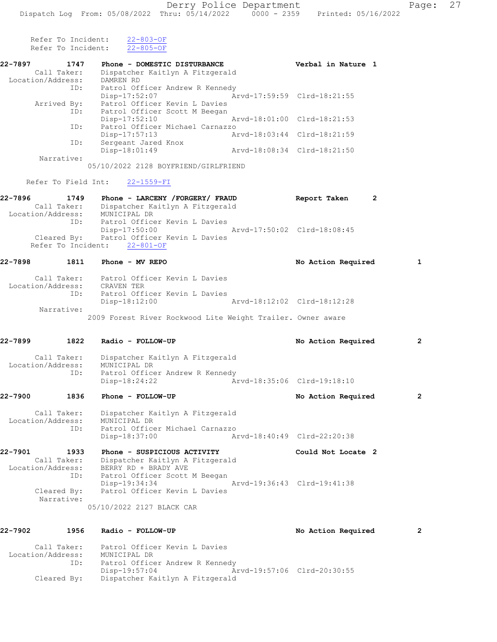Refer To Incident:  $\frac{22-803-OF}{22-805-OF}$ Refer To Incident:

| 22-7897           | 1747                | Phone - DOMESTIC DISTURBANCE         |                             | Verbal in Nature 1 |   |
|-------------------|---------------------|--------------------------------------|-----------------------------|--------------------|---|
|                   | Call Taker:         | Dispatcher Kaitlyn A Fitzgerald      |                             |                    |   |
| Location/Address: |                     | DAMREN RD                            |                             |                    |   |
|                   | ID:                 | Patrol Officer Andrew R Kennedy      |                             |                    |   |
|                   |                     | Disp-17:52:07                        | Arvd-17:59:59 Clrd-18:21:55 |                    |   |
|                   | Arrived By:         | Patrol Officer Kevin L Davies        |                             |                    |   |
|                   |                     | ID: Patrol Officer Scott M Beegan    |                             |                    |   |
|                   |                     | $Disp-17:52:10$                      | Arvd-18:01:00 Clrd-18:21:53 |                    |   |
|                   | ID:                 | Patrol Officer Michael Carnazzo      |                             |                    |   |
|                   |                     | Disp-17:57:13                        | Arvd-18:03:44 Clrd-18:21:59 |                    |   |
|                   | ID:                 | Sergeant Jared Knox                  |                             |                    |   |
|                   |                     | Disp-18:01:49                        | Arvd-18:08:34 Clrd-18:21:50 |                    |   |
|                   | Narrative:          |                                      |                             |                    |   |
|                   |                     | 05/10/2022 2128 BOYFRIEND/GIRLFRIEND |                             |                    |   |
|                   | Refer To Field Int: | 22-1559-FI                           |                             |                    |   |
| 22-7896           | 1749                | Phone - LARCENY / FORGERY / FRAUD    |                             | Report Taken       | 2 |

| Call Taker:<br>Location/Address: | Dispatcher Kaitlyn A Fitzgerald<br>MUNICIPAL DR                               |
|----------------------------------|-------------------------------------------------------------------------------|
| ID:                              | Patrol Officer Kevin L Davies<br>Arvd-17:50:02 Clrd-18:08:45<br>Disp-17:50:00 |
|                                  | Cleared By: Patrol Officer Kevin L Davies<br>Refer To Incident: 22-801-OF     |

# 22-7898 1811 Phone - MV REPO No Action Required 1

| Call Taker:       | Patrol Officer Kevin L Davies                               |
|-------------------|-------------------------------------------------------------|
| Location/Address: | CRAVEN TER                                                  |
| ID:               | Patrol Officer Kevin L Davies                               |
|                   | Disp-18:12:00<br>Arvd-18:12:02 Clrd-18:12:28                |
| Narrative:        |                                                             |
|                   | 2009 Forest River Rockwood Lite Weight Trailer. Owner aware |

#### 22-7899 1822 Radio - FOLLOW-UP No Action Required 2

| Call Taker:<br>Location/Address: | Dispatcher Kaitlyn A Fitzgerald<br>MUNICIPAL DR  |                             |
|----------------------------------|--------------------------------------------------|-----------------------------|
| ID:                              | Patrol Officer Andrew R Kennedy<br>Disp-18:24:22 | Arvd-18:35:06 Clrd-19:18:10 |

## 22-7900 1836 Phone - FOLLOW-UP **No Action Required** 2

 Call Taker: Dispatcher Kaitlyn A Fitzgerald Location/Address: MUNICIPAL DR ID: Patrol Officer Michael Carnazzo Disp-18:37:00 Arvd-18:40:49 Clrd-22:20:38

22-7901 1933 Phone - SUSPICIOUS ACTIVITY Could Not Locate 2 Call Taker: Dispatcher Kaitlyn A Fitzgerald Location/Address: BERRY RD + BRADY AVE ID: Patrol Officer Scott M Beegan Disp-19:34:34 Arvd-19:36:43 Clrd-19:41:38 Cleared By: Patrol Officer Kevin L Davies Narrative:

05/10/2022 2127 BLACK CAR

| 22-7902           | 1956        | Radio - FOLLOW-UP               |                             | No Action Required | $\overline{2}$ |
|-------------------|-------------|---------------------------------|-----------------------------|--------------------|----------------|
|                   | Call Taker: | Patrol Officer Kevin L Davies   |                             |                    |                |
| Location/Address: |             | MUNICIPAL DR                    |                             |                    |                |
|                   | ID:         | Patrol Officer Andrew R Kennedy |                             |                    |                |
|                   |             | Disp-19:57:04                   | Arvd-19:57:06 Clrd-20:30:55 |                    |                |
|                   | Cleared By: | Dispatcher Kaitlyn A Fitzgerald |                             |                    |                |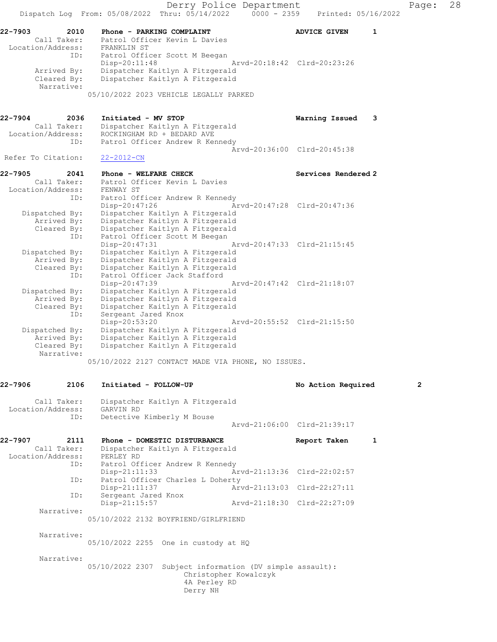Derry Police Department Fage: 28 Dispatch Log From: 05/08/2022 Thru: 05/14/2022 0000 - 2359 Printed: 05/16/2022 22-7903 2010 Phone - PARKING COMPLAINT ADVICE GIVEN 1 Call Taker: Patrol Officer Kevin L Davies Location/Address: FRANKLIN ST ID: Patrol Officer Scott M Beegan Disp-20:11:48 Arvd-20:18:42 Clrd-20:23:26 Arrived By: Dispatcher Kaitlyn A Fitzgerald Cleared By: Dispatcher Kaitlyn A Fitzgerald Narrative: 05/10/2022 2023 VEHICLE LEGALLY PARKED 22-7904 2036 Initiated - MV STOP Warning Issued 3 Call Taker: Dispatcher Kaitlyn A Fitzgerald Location/Address: ROCKINGHAM RD + BEDARD AVE ID: Patrol Officer Andrew R Kennedy Arvd-20:36:00 Clrd-20:45:38 Refer To Citation: 22-2012-CN 22-7905 2041 Phone - WELFARE CHECK Services Rendered 2 Call Taker: Patrol Officer Kevin L Davies Location/Address: FENWAY ST ID: Patrol Officer Andrew R Kennedy<br>Disp-20:47:26 Arvd-20:47:28 Clrd-20:47:36 Disp-20:47:26 Arvd-20:47:28 Clrd-20:47:36 Dispatched By: Dispatcher Kaitlyn A Fitzgerald Arrived By: Dispatcher Kaitlyn A Fitzgerald Cleared By: Dispatcher Kaitlyn A Fitzgerald ID: Patrol Officer Scott M Beegan Disp-20:47:31 Arvd-20:47:33 Clrd-21:15:45 Dispatched By: Dispatcher Kaitlyn A Fitzgerald Arrived By: Dispatcher Kaitlyn A Fitzgerald Cleared By: Dispatcher Kaitlyn A Fitzgerald ID: Patrol Officer Jack Stafford Disp-20:47:39 Arvd-20:47:42 Clrd-21:18:07 Dispatched By: Dispatcher Kaitlyn A Fitzgerald Arrived By: Dispatcher Kaitlyn A Fitzgerald Cleared By: Dispatcher Kaitlyn A Fitzgerald ID: Sergeant Jared Knox Disp-20:53:20 Arvd-20:55:52 Clrd-21:15:50 Dispatched By: Dispatcher Kaitlyn A Fitzgerald Arrived By: Dispatcher Kaitlyn A Fitzgerald Cleared By: Dispatcher Kaitlyn A Fitzgerald Narrative: 05/10/2022 2127 CONTACT MADE VIA PHONE, NO ISSUES. 22-7906 2106 Initiated - FOLLOW-UP No Action Required 2 Call Taker: Dispatcher Kaitlyn A Fitzgerald Location/Address: GARVIN RD ID: Detective Kimberly M Bouse Arvd-21:06:00 Clrd-21:39:17 22-7907 2111 Phone - DOMESTIC DISTURBANCE Report Taken 1 Call Taker: Dispatcher Kaitlyn A Fitzgerald Location/Address: PERLEY RD ID: Patrol Officer Andrew R Kennedy Disp-21:11:33 Arvd-21:13:36 Clrd-22:02:57 ID: Patrol Officer Charles L Doherty Disp-21:11:37 Arvd-21:13:03 Clrd-22:27:11 ID: Sergeant Jared Knox Disp-21:15:57 Arvd-21:18:30 Clrd-22:27:09 Narrative: 05/10/2022 2132 BOYFRIEND/GIRLFRIEND Narrative: 05/10/2022 2255 One in custody at HQ Narrative: 05/10/2022 2307 Subject information (DV simple assault): Christopher Kowalczyk 4A Perley RD Derry NH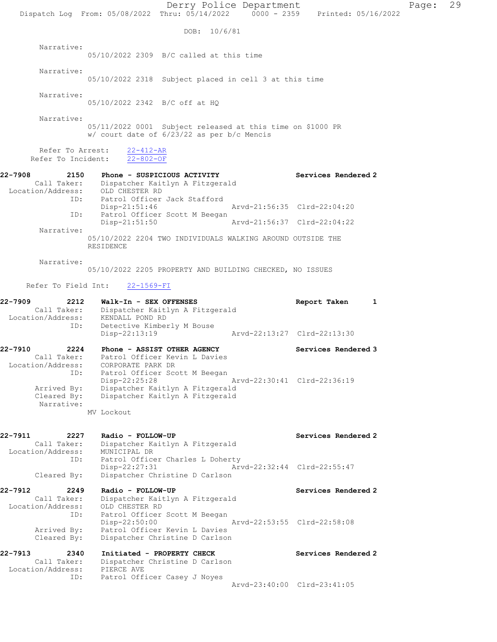Derry Police Department Fage: 29 Dispatch Log From: 05/08/2022 Thru: 05/14/2022 0000 - 2359 Printed: 05/16/2022 DOB: 10/6/81 Narrative: 05/10/2022 2309 B/C called at this time Narrative: 05/10/2022 2318 Subject placed in cell 3 at this time Narrative: 05/10/2022 2342 B/C off at HQ Narrative: 05/11/2022 0001 Subject released at this time on \$1000 PR w/ court date of 6/23/22 as per b/c Mencis Refer To Arrest: 22-412-AR Refer To Incident: 22-802-OF 22-7908 2150 Phone - SUSPICIOUS ACTIVITY Services Rendered 2 Call Taker: Dispatcher Kaitlyn A Fitzgerald Location/Address: OLD CHESTER RD ID: Patrol Officer Jack Stafford Disp-21:51:46 Arvd-21:56:35 Clrd-22:04:20 ID: Patrol Officer Scott M Beegan Disp-21:51:50 Arvd-21:56:37 Clrd-22:04:22 Narrative: 05/10/2022 2204 TWO INDIVIDUALS WALKING AROUND OUTSIDE THE RESIDENCE Narrative: 05/10/2022 2205 PROPERTY AND BUILDING CHECKED, NO ISSUES Refer To Field Int: 22-1569-FI 22-7909 2212 Walk-In - SEX OFFENSES Report Taken 1 Call Taker: Dispatcher Kaitlyn A Fitzgerald Location/Address: KENDALL POND RD<br>ID: Detective Kimber Detective Kimberly M Bouse<br>Disp-22:13:19 Disp-22:13:19 Arvd-22:13:27 Clrd-22:13:30 22-7910 2224 Phone - ASSIST OTHER AGENCY Services Rendered 3 Call Taker: Patrol Officer Kevin L Davies Location/Address: CORPORATE PARK DR ID: Patrol Officer Scott M Beegan Disp-22:25:28 Arvd-22:30:41 Clrd-22:36:19 Arrived By: Dispatcher Kaitlyn A Fitzgerald Cleared By: Dispatcher Kaitlyn A Fitzgerald Narrative: MV Lockout 22-7911 2227 Radio - FOLLOW-UP Services Rendered 2 Call Taker: Dispatcher Kaitlyn A Fitzgerald Location/Address: MUNICIPAL DR ID: Patrol Officer Charles L Doherty Disp-22:27:31 Arvd-22:32:44 Clrd-22:55:47 Cleared By: Dispatcher Christine D Carlson 22-7912 2249 Radio - FOLLOW-UP Services Rendered 2 Call Taker: Dispatcher Kaitlyn A Fitzgerald Location/Address: OLD CHESTER RD ID: Patrol Officer Scott M Beegan Disp-22:50:00 Arvd-22:53:55 Clrd-22:58:08 Arrived By: Patrol Officer Kevin L Davies Cleared By: Dispatcher Christine D Carlson 22-7913 2340 Initiated - PROPERTY CHECK Services Rendered 2 Call Taker: Dispatcher Christine D Carlson Location/Address: PIERCE AVE ID: Patrol Officer Casey J Noyes Arvd-23:40:00 Clrd-23:41:05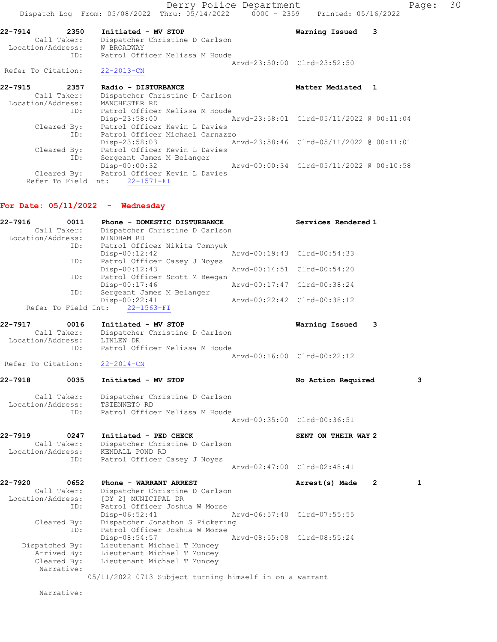Derry Police Department Fage: 30 Dispatch Log From:  $05/08/2022$  Thru:  $05/14/2022$  0000 - 2359 Printed: 05/16/2022 22-7914 2350 Initiated - MV STOP Warning Issued 3 Call Taker: Dispatcher Christine D Carlson Location/Address: W BROADWAY ID: Patrol Officer Melissa M Houde Arvd-23:50:00 Clrd-23:52:50 Refer To Citation: 22-2013-CN 22-7915 2357 Radio - DISTURBANCE 1988 Matter Mediated 1 Call Taker: Dispatcher Christine D Carlson Location/Address: MANCHESTER RD ID: Patrol Officer Melissa M Houde Disp-23:58:00 Arvd-23:58:01 Clrd-05/11/2022 @ 00:11:04 Cleared By: Patrol Officer Kevin L Davies ID: Patrol Officer Michael Carnazzo Disp-23:58:03 Arvd-23:58:46 Clrd-05/11/2022 @ 00:11:01 Cleared By: Patrol Officer Kevin L Davies ID: Sergeant James M Belanger

Disp-00:00:32 Arvd-00:00:34 Clrd-05/11/2022 @ 00:10:58

#### For Date:  $05/11/2022 -$  Wednesday

Refer To Field Int: 22-1571-FI

Cleared By: Patrol Officer Kevin L Davies

| 22-7916<br>0011    | Phone - DOMESTIC DISTURBANCE                            | Services Rendered 1                              |
|--------------------|---------------------------------------------------------|--------------------------------------------------|
| Call Taker:        | Dispatcher Christine D Carlson                          |                                                  |
| Location/Address:  | WINDHAM RD                                              |                                                  |
| ID:                | Patrol Officer Nikita Tomnyuk                           |                                                  |
|                    | $Disp-00:12:42$                                         | Arvd-00:19:43 Clrd-00:54:33                      |
| ID:                | Patrol Officer Casey J Noyes                            |                                                  |
|                    | $Disp-00:12:43$                                         | Arvd-00:14:51 Clrd-00:54:20                      |
| ID:                | Patrol Officer Scott M Beegan<br>Disp-00:17:46          | Arvd-00:17:47 Clrd-00:38:24                      |
| ID:                | Sergeant James M Belanger                               |                                                  |
|                    | Disp-00:22:41                                           | Arvd-00:22:42 Clrd-00:38:12                      |
|                    | Refer To Field Int: 22-1563-FI                          |                                                  |
| 22-7917<br>0016    | Initiated - MV STOP                                     | 3                                                |
| Call Taker:        | Dispatcher Christine D Carlson                          | Warning Issued                                   |
| Location/Address:  | LINLEW DR                                               |                                                  |
| ID:                | Patrol Officer Melissa M Houde                          |                                                  |
|                    |                                                         | Arvd-00:16:00 Clrd-00:22:12                      |
| Refer To Citation: | $22 - 2014 - CN$                                        |                                                  |
|                    |                                                         |                                                  |
| 22-7918<br>0035    | Initiated - MV STOP                                     | 3<br>No Action Required                          |
| Call Taker:        | Dispatcher Christine D Carlson                          |                                                  |
| Location/Address:  | TSIENNETO RD                                            |                                                  |
| ID:                | Patrol Officer Melissa M Houde                          |                                                  |
|                    |                                                         | Arvd-00:35:00 Clrd-00:36:51                      |
| 22-7919<br>0247    | Initiated - PED CHECK                                   | SENT ON THEIR WAY 2                              |
| Call Taker:        | Dispatcher Christine D Carlson                          |                                                  |
| Location/Address:  | KENDALL POND RD                                         |                                                  |
| ID:                | Patrol Officer Casey J Noyes                            |                                                  |
|                    |                                                         | Arvd-02:47:00 Clrd-02:48:41                      |
| 22-7920<br>0652    | Phone - WARRANT ARREST                                  | Arrest(s) Made<br>$\overline{2}$<br>$\mathbf{1}$ |
| Call Taker:        | Dispatcher Christine D Carlson                          |                                                  |
| Location/Address:  | [DY 2] MUNICIPAL DR                                     |                                                  |
| ID:                | Patrol Officer Joshua W Morse                           |                                                  |
|                    | $Disp-06:52:41$                                         | Arvd-06:57:40 Clrd-07:55:55                      |
| Cleared By:        | Dispatcher Jonathon S Pickering                         |                                                  |
| ID:                | Patrol Officer Joshua W Morse<br>Disp-08:54:57          | Arvd-08:55:08 Clrd-08:55:24                      |
| Dispatched By:     | Lieutenant Michael T Muncey                             |                                                  |
| Arrived By:        | Lieutenant Michael T Muncey                             |                                                  |
| Cleared By:        | Lieutenant Michael T Muncey                             |                                                  |
| Narrative:         |                                                         |                                                  |
|                    | 05/11/2022 0713 Subject turning himself in on a warrant |                                                  |
|                    |                                                         |                                                  |

Narrative: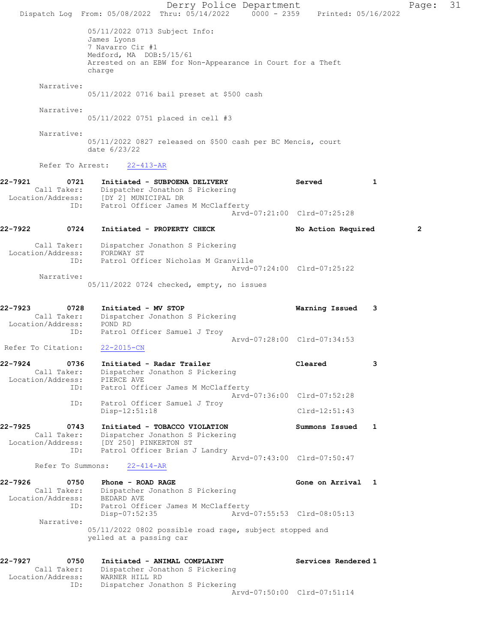Derry Police Department Page: 31 Dispatch Log From:  $05/08/2022$  Thru:  $05/14/2022$  0000 - 2359 Printed: 05/16/2022 05/11/2022 0713 Subject Info: James Lyons 7 Navarro Cir #1 Medford, MA DOB:5/15/61 Arrested on an EBW for Non-Appearance in Court for a Theft charge Narrative: 05/11/2022 0716 bail preset at \$500 cash Narrative: 05/11/2022 0751 placed in cell #3 Narrative: 05/11/2022 0827 released on \$500 cash per BC Mencis, court date 6/23/22 Refer To Arrest: 22-413-AR 22-7921 0721 Initiated - SUBPOENA DELIVERY Served 1 Call Taker: Dispatcher Jonathon S Pickering Location/Address: [DY 2] MUNICIPAL DR ID: Patrol Officer James M McClafferty Arvd-07:21:00 Clrd-07:25:28 22-7922 0724 Initiated - PROPERTY CHECK No Action Required 2 Call Taker: Dispatcher Jonathon S Pickering Location/Address: FORDWAY ST ID: Patrol Officer Nicholas M Granville Arvd-07:24:00 Clrd-07:25:22 Narrative: 05/11/2022 0724 checked, empty, no issues 22-7923 0728 Initiated - MV STOP Warning Issued 3 Dispatcher Jonathon S Pickering Location/Address: POND RD ID: Patrol Officer Samuel J Troy Arvd-07:28:00 Clrd-07:34:53 Refer To Citation: 22-2015-CN 22-7924 0736 Initiated - Radar Trailer Cleared 3 Call Taker: Dispatcher Jonathon S Pickering Location/Address: PIERCE AVE ID: Patrol Officer James M McClafferty Arvd-07:36:00 Clrd-07:52:28 ID: Patrol Officer Samuel J Troy Disp-12:51:18 Clrd-12:51:43 22-7925 0743 Initiated - TOBACCO VIOLATION Summons Issued 1 Call Taker: Dispatcher Jonathon S Pickering Location/Address: [DY 250] PINKERTON ST ID: Patrol Officer Brian J Landry Arvd-07:43:00 Clrd-07:50:47 Refer To Summons: 22-414-AR 22-7926 0750 Phone - ROAD RAGE **Gone on Arrival** 1 Call Taker: Dispatcher Jonathon S Pickering Location/Address: BEDARD AVE ID: Patrol Officer James M McClafferty<br>Disp-07:52:35 Arvd-07:55:53 Clrd-08:05:13 Disp-07:52:35 Narrative: 05/11/2022 0802 possible road rage, subject stopped and yelled at a passing car 22-7927 0750 Initiated - ANIMAL COMPLAINT Services Rendered 1 Call Taker: Dispatcher Jonathon S Pickering Location/Address: WARNER HILL RD ID: Dispatcher Jonathon S Pickering Arvd-07:50:00 Clrd-07:51:14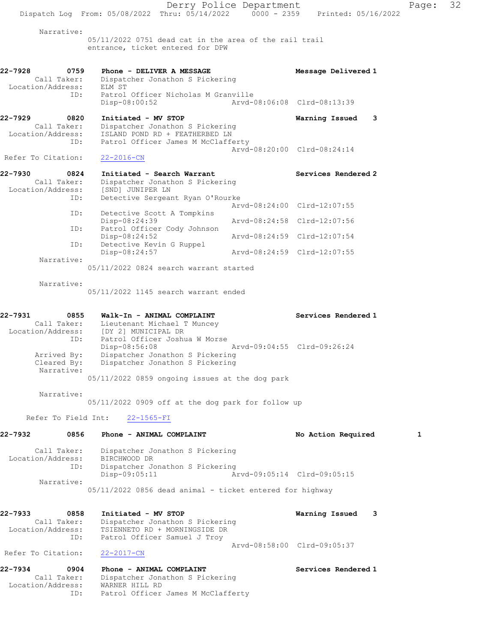|                                                     | Dispatch Log From: 05/08/2022 Thru: 05/14/2022 0000 - 2359                                                        | Derry Police Department | Printed: 05/16/2022         | Page: | 32 |
|-----------------------------------------------------|-------------------------------------------------------------------------------------------------------------------|-------------------------|-----------------------------|-------|----|
| Narrative:                                          |                                                                                                                   |                         |                             |       |    |
|                                                     | $05/11/2022$ 0751 dead cat in the area of the rail trail<br>entrance, ticket entered for DPW                      |                         |                             |       |    |
| 22-7928<br>0759                                     | Phone - DELIVER A MESSAGE<br>Call Taker: Dispatcher Jonathon S Pickering                                          |                         | Message Delivered 1         |       |    |
| Location/Address: ELM ST<br>ID:                     | Patrol Officer Nicholas M Granville<br>Disp-08:00:52                                                              |                         | Arvd-08:06:08 Clrd-08:13:39 |       |    |
| 22-7929<br>0820<br>Call Taker:<br>Location/Address: | Initiated - MV STOP<br>Dispatcher Jonathon S Pickering<br>ISLAND POND RD + FEATHERBED LN                          |                         | Warning Issued 3            |       |    |
| ID:<br>Refer To Citation:                           | Patrol Officer James M McClafferty<br>$22 - 2016 - CN$                                                            |                         | Arvd-08:20:00 Clrd-08:24:14 |       |    |
| 22-7930<br>0824<br>Call Taker:                      | Initiated - Search Warrant<br>Dispatcher Jonathon S Pickering                                                     |                         | Services Rendered 2         |       |    |
| Location/Address:<br>ID:                            | [SND] JUNIPER LN<br>Detective Sergeant Ryan O'Rourke                                                              |                         | Arvd-08:24:00 Clrd-12:07:55 |       |    |
| ID:                                                 | Detective Scott A Tompkins<br>Disp-08:24:39                                                                       |                         | Arvd-08:24:58 Clrd-12:07:56 |       |    |
| ID:<br>ID:                                          | Patrol Officer Cody Johnson<br>Disp-08:24:52<br>Detective Kevin G Ruppel                                          |                         | Arvd-08:24:59 Clrd-12:07:54 |       |    |
| Narrative:                                          | Disp-08:24:57                                                                                                     |                         | Arvd-08:24:59 Clrd-12:07:55 |       |    |
| Narrative:                                          | 05/11/2022 0824 search warrant started<br>05/11/2022 1145 search warrant ended                                    |                         |                             |       |    |
| 22-7931<br>0855                                     | Walk-In - ANIMAL COMPLAINT                                                                                        |                         | Services Rendered 1         |       |    |
| ID:                                                 | Call Taker: Lieutenant Michael T Muncey<br>Location/Address: [DY 2] MUNICIPAL DR<br>Patrol Officer Joshua W Morse |                         |                             |       |    |
| Arrived By:<br>Cleared By:<br>Narrative:            | Disp-08:56:08<br>Dispatcher Jonathon S Pickering<br>Dispatcher Jonathon S Pickering                               |                         | Arvd-09:04:55 Clrd-09:26:24 |       |    |
| Narrative:                                          | 05/11/2022 0859 ongoing issues at the dog park<br>05/11/2022 0909 off at the dog park for follow up               |                         |                             |       |    |
| Refer To Field Int:                                 | $22 - 1565 - FI$                                                                                                  |                         |                             |       |    |
| 22-7932<br>0856                                     | Phone - ANIMAL COMPLAINT                                                                                          |                         | No Action Required          | 1     |    |
| Call Taker:<br>Location/Address:<br>ID:             | Dispatcher Jonathon S Pickering<br>BIRCHWOOD DR<br>Dispatcher Jonathon S Pickering                                |                         |                             |       |    |
| Narrative:                                          | $Disp-09:05:11$<br>05/11/2022 0856 dead animal - ticket entered for highway                                       |                         | Arvd-09:05:14 Clrd-09:05:15 |       |    |
| 22-7933<br>0858<br>Call Taker:                      | Initiated - MV STOP<br>Dispatcher Jonathon S Pickering                                                            |                         | Warning Issued 3            |       |    |
| Location/Address:<br>ID:                            | TSIENNETO RD + MORNINGSIDE DR<br>Patrol Officer Samuel J Troy                                                     |                         | Arvd-08:58:00 Clrd-09:05:37 |       |    |
| Refer To Citation:                                  | $22 - 2017 - CN$                                                                                                  |                         |                             |       |    |
| 22-7934<br>0904<br>Call Taker:<br>Location/Address: | Phone - ANIMAL COMPLAINT<br>Dispatcher Jonathon S Pickering<br>WARNER HILL RD                                     |                         | Services Rendered 1         |       |    |

ID: Patrol Officer James M McClafferty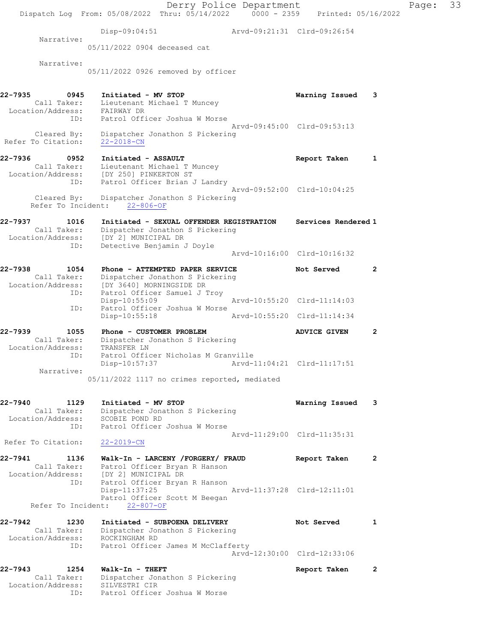Derry Police Department Fage: 33 Dispatch Log From: 05/08/2022 Thru: 05/14/2022 0000 - 2359 Printed: 05/16/2022 Disp-09:04:51 Arvd-09:21:31 Clrd-09:26:54 Narrative: 05/11/2022 0904 deceased cat Narrative: 05/11/2022 0926 removed by officer 22-7935 0945 Initiated - MV STOP Warning Issued 3 Call Taker: Lieutenant Michael T Muncey Location/Address: FAIRWAY DR ID: Patrol Officer Joshua W Morse Arvd-09:45:00 Clrd-09:53:13 Cleared By: Dispatcher Jonathon S Pickering Refer To Citation: 22-2018-CN 22-7936 0952 Initiated - ASSAULT Report Taken 1 Call Taker: Lieutenant Michael T Muncey Location/Address: [DY 250] PINKERTON ST ID: Patrol Officer Brian J Landry Arvd-09:52:00 Clrd-10:04:25 Cleared By: Dispatcher Jonathon S Pickering Refer To Incident: 22-806-OF 22-7937 1016 Initiated - SEXUAL OFFENDER REGISTRATION Services Rendered 1 Call Taker: Dispatcher Jonathon S Pickering Location/Address: [DY 2] MUNICIPAL DR ID: Detective Benjamin J Doyle Arvd-10:16:00 Clrd-10:16:32 22-7938 1054 Phone - ATTEMPTED PAPER SERVICE Not Served 2 Call Taker: Dispatcher Jonathon S Pickering Location/Address: [DY 3640] MORNINGSIDE DR ID: Patrol Officer Samuel J Troy Disp-10:55:09 Arvd-10:55:20 Clrd-11:14:03 ID: Patrol Officer Joshua W Morse Disp-10:00:00<br>ID: Patrol Officer Joshua W Morse<br>Disp-10:55:18 Arvd-10:55:20 Clrd-11:14:34 22-7939 1055 Phone - CUSTOMER PROBLEM 2 Call Taker: Dispatcher Jonathon S Pickering Location/Address: TRANSFER LN ID: Patrol Officer Nicholas M Granville Disp-10:57:37 Arvd-11:04:21 Clrd-11:17:51 Narrative: 05/11/2022 1117 no crimes reported, mediated 22-7940 1129 Initiated - MV STOP Warning Issued 3 Call Taker: Dispatcher Jonathon S Pickering Location/Address: SCOBIE POND RD ID: Patrol Officer Joshua W Morse Arvd-11:29:00 Clrd-11:35:31 Refer To Citation: 22-2019-CN 22-7941 1136 Walk-In - LARCENY /FORGERY/ FRAUD Report Taken 2 Call Taker: Patrol Officer Bryan R Hanson Location/Address: [DY 2] MUNICIPAL DR ID: Patrol Officer Bryan R Hanson Disp-11:37:25 Arvd-11:37:28 Clrd-12:11:01 Patrol Officer Scott M Beegan Refer To Incident: 22-807-OF 22-7942 1230 Initiated - SUBPOENA DELIVERY Not Served 1 Call Taker: Dispatcher Jonathon S Pickering Location/Address: ROCKINGHAM RD ID: Patrol Officer James M McClafferty Arvd-12:30:00 Clrd-12:33:06 22-7943 1254 Walk-In - THEFT Report Taken 2 Call Taker: Dispatcher Jonathon S Pickering Location/Address: SILVESTRI CIR ID: Patrol Officer Joshua W Morse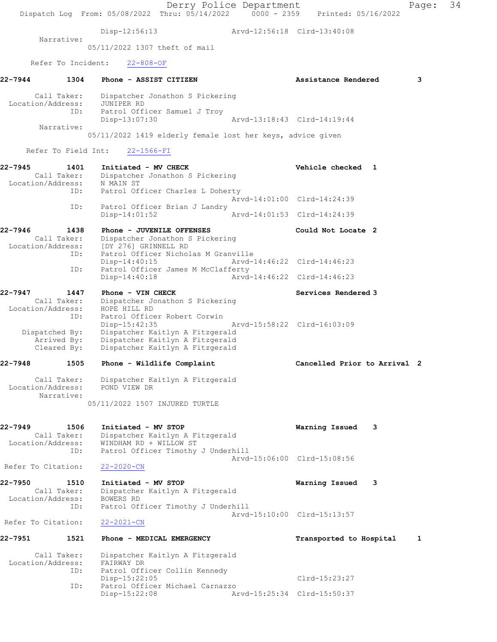Derry Police Department Page: 34 Dispatch Log From: 05/08/2022 Thru: 05/14/2022 0000 - 2359 Printed: 05/16/2022 Disp-12:56:13 Arvd-12:56:18 Clrd-13:40:08 Narrative: 05/11/2022 1307 theft of mail Refer To Incident: 22-808-OF 22-7944 1304 Phone - ASSIST CITIZEN Assistance Rendered 3 Call Taker: Dispatcher Jonathon S Pickering Location/Address: JUNIPER RD ID: Patrol Officer Samuel J Troy Disp-13:07:30 Arvd-13:18:43 Clrd-14:19:44 Narrative: 05/11/2022 1419 elderly female lost her keys, advice given Refer To Field Int: 22-1566-FI 22-7945 1401 Initiated - MV CHECK Vehicle checked 1 Call Taker: Dispatcher Jonathon S Pickering Location/Address: N MAIN ST ID: Patrol Officer Charles L Doherty<br>Arvd-14:01:00 Clrd-14:24:39 Arvd-14:01:00 Clrd-14:24:39 ID: Patrol Officer Brian J Landry Disp-14:01:52 Arvd-14:01:53 Clrd-14:24:39 22-7946 1438 Phone - JUVENILE OFFENSES Could Not Locate 2 Call Taker: Dispatcher Jonathon S Pickering Location/Address: [DY 276] GRINNELL RD ID: Patrol Officer Nicholas M Granville<br>Disp-14:40:15 Mrvd-14:46:22 Clrd-14:46:23 Disp-14:40:15 Arvd-14:46:22 Clrd-14:46:23 ID: Patrol Officer James M McClafferty Disp-14:40:18 Arvd-14:46:22 Clrd-14:46:23 22-7947 1447 Phone - VIN CHECK Services Rendered 3 Call Taker: Dispatcher Jonathon S Pickering Location/Address: HOPE HILL RD ID: Patrol Officer Robert Corwin Disp-15:42:35 Arvd-15:58:22 Clrd-16:03:09 Dispatched By: Dispatcher Kaitlyn A Fitzgerald Arrived By: Dispatcher Kaitlyn A Fitzgerald Cleared By: Dispatcher Kaitlyn A Fitzgerald 22-7948 1505 Phone - Wildlife Complaint Cancelled Prior to Arrival 2 Call Taker: Dispatcher Kaitlyn A Fitzgerald Location/Address: POND VIEW DR Narrative: 05/11/2022 1507 INJURED TURTLE 22-7949 1506 Initiated - MV STOP Warning Issued 3 Call Taker: Dispatcher Kaitlyn A Fitzgerald Location/Address: WINDHAM RD + WILLOW ST ID: Patrol Officer Timothy J Underhill Arvd-15:06:00 Clrd-15:08:56 Refer To Citation: 22-2020-CN 22-7950 1510 Initiated - MV STOP Warning Issued 3 Call Taker: Dispatcher Kaitlyn A Fitzgerald Location/Address: BOWERS RD ID: Patrol Officer Timothy J Underhill Arvd-15:10:00 Clrd-15:13:57 Refer To Citation: 22-2021-CN 22-7951 1521 Phone - MEDICAL EMERGENCY TRANSPORTED to Hospital 1 Call Taker: Dispatcher Kaitlyn A Fitzgerald Location/Address: FAIRWAY DR ID: Patrol Officer Collin Kennedy Disp-15:22:05 Clrd-15:23:27 ID: Patrol Officer Michael Carnazzo Arvd-15:25:34 Clrd-15:50:37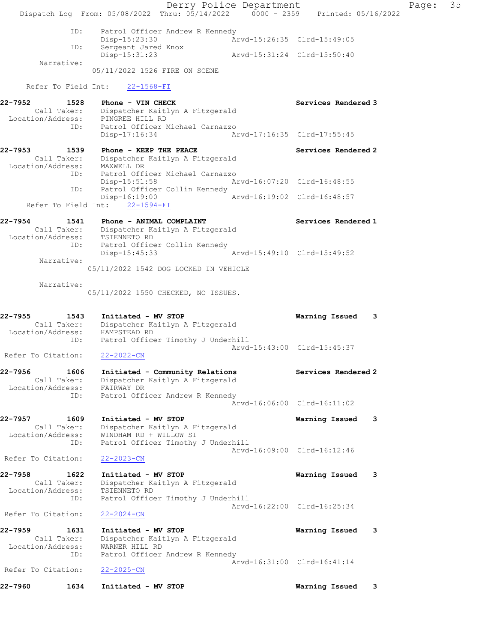Derry Police Department Fage: 35 Dispatch Log From: 05/08/2022 Thru: 05/14/2022 0000 - 2359 Printed: 05/16/2022 ID: Patrol Officer Andrew R Kennedy Disp-15:23:30 Arvd-15:26:35 Clrd-15:49:05 ID: Sergeant Jared Knox Disp-15:31:23 Arvd-15:31:24 Clrd-15:50:40 Narrative: 05/11/2022 1526 FIRE ON SCENE Refer To Field Int: 22-1568-FI 22-7952 1528 Phone - VIN CHECK Services Rendered 3 Call Taker: Dispatcher Kaitlyn A Fitzgerald Location/Address: PINGREE HILL RD ID: Patrol Officer Michael Carnazzo Disp-17:16:34 Arvd-17:16:35 Clrd-17:55:45 22-7953 1539 Phone - KEEP THE PEACE New Services Rendered 2 Call Taker: Dispatcher Kaitlyn A Fitzgerald Location/Address: MAXWELL DR ID: Patrol Officer Michael Carnazzo Disp-15:51:58 Arvd-16:07:20 Clrd-16:48:55 ID: Patrol Officer Collin Kennedy Disp-16:19:00 Arvd-16:19:02 Clrd-16:48:57 Refer To Field Int: 22-1594-FI 22-7954 1541 Phone - ANIMAL COMPLAINT Number of Services Rendered 1 Call Taker: Dispatcher Kaitlyn A Fitzgerald Location/Address: TSIENNETO RD ID: Patrol Officer Collin Kennedy Disp-15:45:33 Arvd-15:49:10 Clrd-15:49:52 Narrative: 05/11/2022 1542 DOG LOCKED IN VEHICLE Narrative: 05/11/2022 1550 CHECKED, NO ISSUES. 22-7955 1543 Initiated - MV STOP Warning Issued 3 Call Taker: Dispatcher Kaitlyn A Fitzgerald Location/Address: HAMPSTEAD RD ID: Patrol Officer Timothy J Underhill Arvd-15:43:00 Clrd-15:45:37 Refer To Citation: 22-2022-CN 22-7956 1606 Initiated - Community Relations Services Rendered 2 Call Taker: Dispatcher Kaitlyn A Fitzgerald Location/Address: FAIRWAY DR ID: Patrol Officer Andrew R Kennedy Arvd-16:06:00 Clrd-16:11:02 22-7957 1609 Initiated - MV STOP Warning Issued 3 Call Taker: Dispatcher Kaitlyn A Fitzgerald Location/Address: WINDHAM RD + WILLOW ST ID: Patrol Officer Timothy J Underhill Arvd-16:09:00 Clrd-16:12:46 Refer To Citation: 22-2023-CN 22-7958 1622 Initiated - MV STOP Warning Issued 3 Call Taker: Dispatcher Kaitlyn A Fitzgerald Location/Address: TSIENNETO RD ID: Patrol Officer Timothy J Underhill Arvd-16:22:00 Clrd-16:25:34 Refer To Citation: 22-2024-CN 22-7959 1631 Initiated - MV STOP Warning Issued 3 Call Taker: Dispatcher Kaitlyn A Fitzgerald Location/Address: WARNER HILL RD ID: Patrol Officer Andrew R Kennedy Arvd-16:31:00 Clrd-16:41:14 Refer To Citation: 22-2025-CN 22-7960 1634 Initiated - MV STOP Warning Issued 3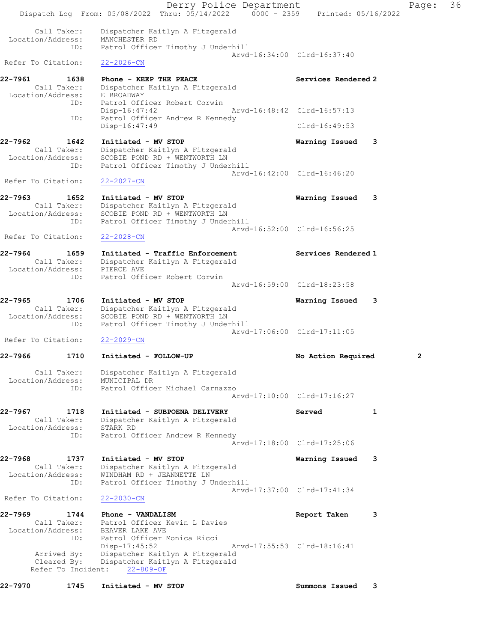Derry Police Department Fage: 36 Dispatch Log From: 05/08/2022 Thru: 05/14/2022 0000 - 2359 Printed: 05/16/2022 Call Taker: Dispatcher Kaitlyn A Fitzgerald Location/Address: MANCHESTER RD ID: Patrol Officer Timothy J Underhill Arvd-16:34:00 Clrd-16:37:40 Refer To Citation: 22-2026-CN 22-7961 1638 Phone - KEEP THE PEACE Network Services Rendered 2 Call Taker: Dispatcher Kaitlyn A Fitzgerald Location/Address: E BROADWAY ID: Patrol Officer Robert Corwin Disp-16:47:42 Arvd-16:48:42 Clrd-16:57:13 ID: Patrol Officer Andrew R Kennedy Disp-16:47:49 Clrd-16:49:53 22-7962 1642 Initiated - MV STOP Warning Issued 3 Call Taker: Dispatcher Kaitlyn A Fitzgerald Location/Address: SCOBIE POND RD + WENTWORTH LN ID: Patrol Officer Timothy J Underhill Arvd-16:42:00 Clrd-16:46:20 Refer To Citation: 22-2027-CN 22-7963 1652 Initiated - MV STOP Warning Issued 3 Call Taker: Dispatcher Kaitlyn A Fitzgerald Location/Address: SCOBIE POND RD + WENTWORTH LN ID: Patrol Officer Timothy J Underhill Arvd-16:52:00 Clrd-16:56:25 Refer To Citation: 22-2028-CN 22-7964 1659 Initiated - Traffic Enforcement Services Rendered 1 Call Taker: Dispatcher Kaitlyn A Fitzgerald Location/Address: PIERCE AVE ID: Patrol Officer Robert Corwin Arvd-16:59:00 Clrd-18:23:58 22-7965 1706 Initiated - MV STOP Warning Issued 3 Call Taker: Dispatcher Kaitlyn A Fitzgerald Location/Address: SCOBIE POND RD + WENTWORTH LN ID: Patrol Officer Timothy J Underhill Arvd-17:06:00 Clrd-17:11:05 Refer To Citation: 22-2029-CN 22-7966 1710 Initiated - FOLLOW-UP No Action Required 2 Call Taker: Dispatcher Kaitlyn A Fitzgerald Location/Address: MUNICIPAL DR ID: Patrol Officer Michael Carnazzo Arvd-17:10:00 Clrd-17:16:27 22-7967 1718 Initiated - SUBPOENA DELIVERY Served 1 Call Taker: Dispatcher Kaitlyn A Fitzgerald Location/Address: STARK RD ID: Patrol Officer Andrew R Kennedy Arvd-17:18:00 Clrd-17:25:06 22-7968 1737 Initiated - MV STOP Warning Issued 3 Call Taker: Dispatcher Kaitlyn A Fitzgerald Location/Address: WINDHAM RD + JEANNETTE LN ID: Patrol Officer Timothy J Underhill Arvd-17:37:00 Clrd-17:41:34 Refer To Citation: 22-2030-CN 22-7969 1744 Phone - VANDALISM Report Taken 3 Call Taker: Patrol Officer Kevin L Davies Location/Address: BEAVER LAKE AVE ID: Patrol Officer Monica Ricci Disp-17:45:52 Arvd-17:55:53 Clrd-18:16:41 Arrived By: Dispatcher Kaitlyn A Fitzgerald Cleared By: Dispatcher Kaitlyn A Fitzgerald Refer To Incident: 22-809-OF 22-7970 1745 Initiated - MV STOP Summons Issued 3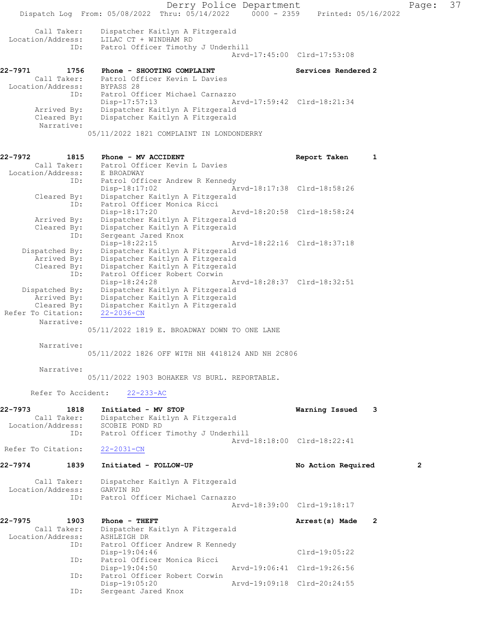Derry Police Department Page: 37 Dispatch Log From: 05/08/2022 Thru: 05/14/2022 0000 - 2359 Printed: 05/16/2022 Call Taker: Dispatcher Kaitlyn A Fitzgerald Location/Address: LILAC CT + WINDHAM RD ID: Patrol Officer Timothy J Underhill Arvd-17:45:00 Clrd-17:53:08 22-7971 1756 Phone - SHOOTING COMPLAINT Services Rendered 2 Call Taker: Patrol Officer Kevin L Davies Location/Address: BYPASS 28 ID: Patrol Officer Michael Carnazzo Disp-17:57:13 Arvd-17:59:42 Clrd-18:21:34 Arrived By: Dispatcher Kaitlyn A Fitzgerald Cleared By: Dispatcher Kaitlyn A Fitzgerald Narrative: 05/11/2022 1821 COMPLAINT IN LONDONDERRY 22-7972 1815 Phone - MV ACCIDENT Report Taken 1 Call Taker: Patrol Officer Kevin L Davies Location/Address: E BROADWAY ID: Patrol Officer Andrew R Kennedy<br>Disp-18:17:02 Az Arvd-18:17:38 Clrd-18:58:26 Cleared By: Dispatcher Kaitlyn A Fitzgerald ID: Patrol Officer Monica Ricci Disp-18:17:20 Arvd-18:20:58 Clrd-18:58:24 Arrived By: Dispatcher Kaitlyn A Fitzgerald Cleared By: Dispatcher Kaitlyn A Fitzgerald ID: Sergeant Jared Knox Disp-18:22:15 Arvd-18:22:16 Clrd-18:37:18 Dispatched By: Dispatcher Kaitlyn A Fitzgerald Arrived By: Dispatcher Kaitlyn A Fitzgerald Cleared By: Dispatcher Kaitlyn A Fitzgerald ID: Patrol Officer Robert Corwin Disp-18:24:28 Arvd-18:28:37 Clrd-18:32:51 Dispatched By: Dispatcher Kaitlyn A Fitzgerald Arrived By: Dispatcher Kaitlyn A Fitzgerald Cleared By: Dispatcher Kaitlyn A Fitzgerald Refer To Citation: 22-2036-CN Narrative: 05/11/2022 1819 E. BROADWAY DOWN TO ONE LANE Narrative: 05/11/2022 1826 OFF WITH NH 4418124 AND NH 2C806 Narrative: 05/11/2022 1903 BOHAKER VS BURL. REPORTABLE. Refer To Accident: 22-233-AC 22-7973 1818 Initiated - MV STOP Warning Issued 3 Call Taker: Dispatcher Kaitlyn A Fitzgerald Location/Address: SCOBIE POND RD ID: Patrol Officer Timothy J Underhill Arvd-18:18:00 Clrd-18:22:41 Refer To Citation: 22-2031-CN 22-7974 1839 Initiated - FOLLOW-UP No Action Required 2 Call Taker: Dispatcher Kaitlyn A Fitzgerald Location/Address: GARVIN RD ID: Patrol Officer Michael Carnazzo Arvd-18:39:00 Clrd-19:18:17 22-7975 1903 Phone - THEFT **Arrest(s)** Made 2 Call Taker: Dispatcher Kaitlyn A Fitzgerald Location/Address: ASHLEIGH DR ID: Patrol Officer Andrew R Kennedy Disp-19:04:46 Clrd-19:05:22<br>ID: Patrol Officer Monica Ricci Patrol Officer Monica Ricci<br>Disp-19:04:50 Disp-19:04:50 Arvd-19:06:41 Clrd-19:26:56 ID: Patrol Officer Robert Corwin Disp-19:05:20 Arvd-19:09:18 Clrd-20:24:55<br>ID: Sergeant Jared Knox Sergeant Jared Knox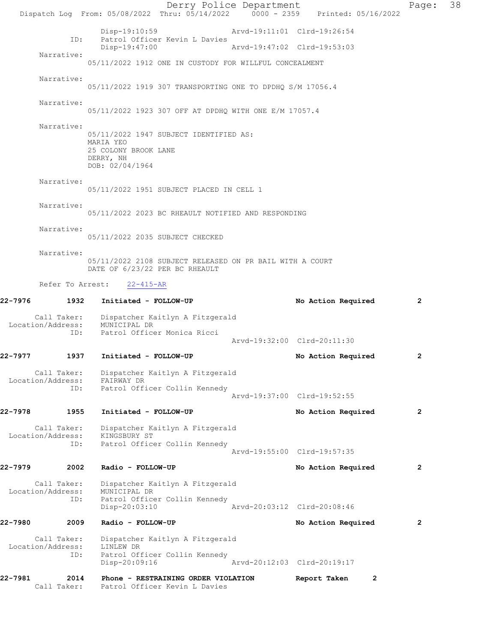Derry Police Department Page: 38 Dispatch Log From: 05/08/2022 Thru: 05/14/2022 0000 - 2359 Printed: 05/16/2022 Disp-19:10:59 Arvd-19:11:01 Clrd-19:26:54<br>TD: Patrol Officer Kevin L Davies Patrol Officer Kevin L Davies<br>Disp-19:47:00 Disp-19:47:00 Arvd-19:47:02 Clrd-19:53:03 Narrative: 05/11/2022 1912 ONE IN CUSTODY FOR WILLFUL CONCEALMENT Narrative: 05/11/2022 1919 307 TRANSPORTING ONE TO DPDHQ S/M 17056.4 Narrative: 05/11/2022 1923 307 OFF AT DPDHQ WITH ONE E/M 17057.4 Narrative: 05/11/2022 1947 SUBJECT IDENTIFIED AS: MARIA YEO 25 COLONY BROOK LANE DERRY, NH DOB: 02/04/1964 Narrative: 05/11/2022 1951 SUBJECT PLACED IN CELL 1 Narrative: 05/11/2022 2023 BC RHEAULT NOTIFIED AND RESPONDING Narrative: 05/11/2022 2035 SUBJECT CHECKED Narrative: 05/11/2022 2108 SUBJECT RELEASED ON PR BAIL WITH A COURT DATE OF 6/23/22 PER BC RHEAULT Refer To Arrest: 22-415-AR 22-7976 1932 Initiated - FOLLOW-UP No Action Required 2 Call Taker: Dispatcher Kaitlyn A Fitzgerald Location/Address: MUNICIPAL DR ID: Patrol Officer Monica Ricci Arvd-19:32:00 Clrd-20:11:30 22-7977 1937 Initiated - FOLLOW-UP No Action Required 2 Call Taker: Dispatcher Kaitlyn A Fitzgerald Location/Address: FAIRWAY DR ID: Patrol Officer Collin Kennedy Arvd-19:37:00 Clrd-19:52:55 22-7978 1955 Initiated - FOLLOW-UP No Action Required 2 Call Taker: Dispatcher Kaitlyn A Fitzgerald<br>ion/Address: KINGSBURY ST Location/Address: ID: Patrol Officer Collin Kennedy Arvd-19:55:00 Clrd-19:57:35 22-7979 2002 Radio - FOLLOW-UP No Action Required 2 Call Taker: Dispatcher Kaitlyn A Fitzgerald<br>ion/Address: MUNICIPAL DR Location/Address:<br>ID: Patrol Officer Collin Kennedy<br>Disp-20:03:10 Disp-20:03:10 Arvd-20:03:12 Clrd-20:08:46 22-7980 2009 Radio - FOLLOW-UP No Action Required 2 Call Taker: Dispatcher Kaitlyn A Fitzgerald<br>ion/Address: LINLEW DR Location/Address: ID: Patrol Officer Collin Kennedy<br>Disp-20:09:16 Disp-20:09:16 Arvd-20:12:03 Clrd-20:19:17 22-7981 2014 Phone - RESTRAINING ORDER VIOLATION Report Taken 2 Call Taker: Patrol Officer Kevin L Davies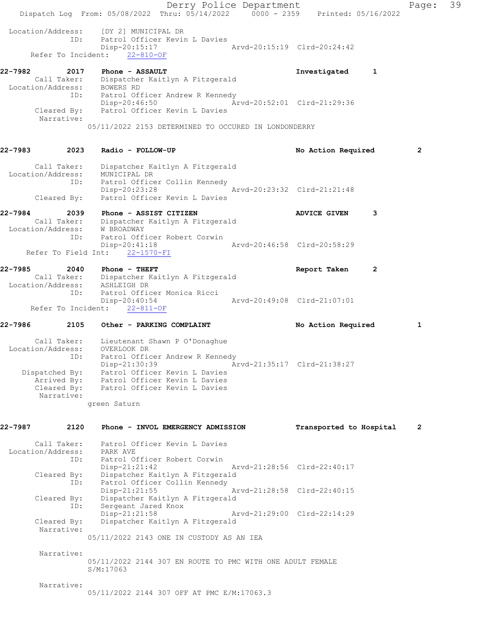Derry Police Department The Rage: 39 Dispatch Log From: 05/08/2022 Thru: 05/14/2022 0000 - 2359 Printed: 05/16/2022 Location/Address: [DY 2] MUNICIPAL DR<br>ID: Patrol Officer Kevin Patrol Officer Kevin L Davies<br>Disp-20:15:17 Arvd-20:15:19 Clrd-20:24:42 Refer To Incident: 22-810-OF 22-7982 2017 Phone - ASSAULT Investigated 1 Call Taker: Dispatcher Kaitlyn A Fitzgerald Location/Address: BOWERS RD ID: Patrol Officer Andrew R Kennedy Disp-20:46:50 Arvd-20:52:01 Clrd-21:29:36 Cleared By: Patrol Officer Kevin L Davies Narrative: 05/11/2022 2153 DETERMINED TO OCCURED IN LONDONDERRY 22-7983 2023 Radio - FOLLOW-UP No Action Required 2 Call Taker: Dispatcher Kaitlyn A Fitzgerald Location/Address: MUNICIPAL DR ID: Patrol Officer Collin Kennedy Disp-20:23:28 Arvd-20:23:32 Clrd-21:21:48 Cleared By: Patrol Officer Kevin L Davies 22-7984 2039 Phone - ASSIST CITIZEN ADVICE GIVEN 3 Call Taker: Dispatcher Kaitlyn A Fitzgerald Location/Address: W BROADWAY ID: Patrol Officer Robert Corwin<br>Disp-20:41:18 Arvd-20:46:58 Clrd-20:58:29 Disp-20:41:18 Refer To Field Int: 22-1570-FI 22-7985 2040 Phone - THEFT **Report Taken** 2 Call Taker: Dispatcher Kaitlyn A Fitzgerald Location/Address: ASHLEIGH DR ID: Patrol Officer Monica Ricci<br>Disp-20:40:54 Disp-20:40:54 Arvd-20:49:08 Clrd-21:07:01 Refer To Incident: 22-811-OF 22-7986 2105 Other - PARKING COMPLAINT No Action Required 1 Call Taker: Lieutenant Shawn P O'Donaghue Location/Address: OVERLOOK DR ID: Patrol Officer Andrew R Kennedy Disp-21:30:39 Arvd-21:35:17 Clrd-21:38:27 Dispatched By: Patrol Officer Kevin L Davies Arrived By: Patrol Officer Kevin L Davies Cleared By: Patrol Officer Kevin L Davies Narrative: green Saturn 22-7987 2120 Phone - INVOL EMERGENCY ADMISSION Transported to Hospital 2 Call Taker: Patrol Officer Kevin L Davies Location/Address: PARK AVE ID: Patrol Officer Robert Corwin Disp-21:21:42 Arvd-21:28:56 Clrd-22:40:17 Cleared By: Dispatcher Kaitlyn A Fitzgerald ID: Patrol Officer Collin Kennedy Disp-21:21:55 Arvd-21:28:58 Clrd-22:40:15 Cleared By: Dispatcher Kaitlyn A Fitzgerald ID: Sergeant Jared Knox Arvd-21:29:00 Clrd-22:14:29 Cleared By: Dispatcher Kaitlyn A Fitzgerald Narrative: 05/11/2022 2143 ONE IN CUSTODY AS AN IEA Narrative: 05/11/2022 2144 307 EN ROUTE TO PMC WITH ONE ADULT FEMALE S/M:17063 Narrative: 05/11/2022 2144 307 OFF AT PMC E/M:17063.3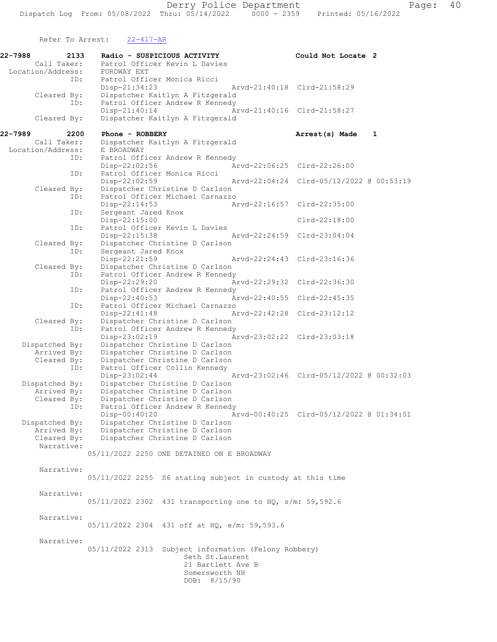Refer To Arrest: 22-417-AR

22-7988 2133 Radio - SUSPICIOUS ACTIVITY Could Not Locate 2 Call Taker: Patrol Officer Kevin L Davies Location/Address: FORDWAY EXT ID: Patrol Officer Monica Ricci Disp-21:34:23 Arvd-21:40:18 Clrd-21:58:29 Cleared By: Dispatcher Kaitlyn A Fitzgerald<br>ID: Patrol Officer Andrew R Kennedy Patrol Officer Andrew R Kennedy Disp-21:40:14 Arvd-21:40:16 Clrd-21:58:27 Cleared By: Dispatcher Kaitlyn A Fitzgerald 22-7989 2200 Phone - ROBBERY **1989 1200 Phone - ROBBERY** 1200 2200 Phone - ROBBERY Call Taker: Dispatcher Kaitlyn A Fitzgerald<br>.on/Address: E BROADWAY Location/Address: ID: Patrol Officer Andrew R Kennedy<br>Disp-22:02:56 Ar Disp-22:02:56 <br>D: Patrol Officer Monica Ricci<br>D: Patrol Officer Monica Ricci Patrol Officer Monica Ricci Disp-22:02:59 Arvd-22:04:24 Clrd-05/12/2022 @ 00:53:19<br>Cleared By: Dispatcher Christine D Carlson Dispatcher Christine D Carlson ID: Patrol Officer Michael Carnazzo<br>Disp-22:14:53 A Disp-22:14:53 Arvd-22:16:57 Clrd-22:35:00<br>ID: Sergeant Jared Knox Sergeant Jared Knox Disp-22:15:00 Clrd-22:18:00<br>The Patrol Officer Kevin L Davies Patrol Officer Kevin L Davies<br>Disp-22:15:38 Disp-22:15:38 Arvd-22:24:59 Clrd-23:04:04 Cleared By: Dispatcher Christine D Carlson ID: Sergeant Jared Knox<br>Disp-22:21:59 Disp-22:21:59 Arvd-22:24:43 Clrd-23:16:36<br>Cleared By: Dispatcher Christine D Carlson Dispatcher Christine D Carlson ID: Patrol Officer Andrew R Kennedy<br>Disp-22:29:20 A Disp-22:29:20 Arvd-22:29:32 Clrd-22:36:30<br>ID: Patrol Officer Andrew R Kennedy Patrol Officer Andrew R Kennedy Disp-22:40:53 Arvd-22:40:55 Clrd-22:45:35 ID: Patrol Officer Michael Carnazzo Disp-22:41:48 Arvd-22:42:28 Clrd-23:12:12 Cleared By: Dispatcher Christine D Carlson<br>ID: Patrol Officer Andrew R Kennedy Patrol Officer Andrew R Kennedy<br>Disp-23:02:19 A Disp-23:02:19 Arvd-23:02:22 Clrd-23:03:18 Dispatched By: Dispatcher Christine D Carlson Arrived By: Dispatcher Christine D Carlson<br>Cleared By: Dispatcher Christine D Carlson Dispatcher Christine D Carlson ID: Patrol Officer Collin Kennedy Disp-23:02:44 Arvd-23:02:46 Clrd-05/12/2022 @ 00:32:03 Dispatched By: Dispatcher Christine D Carlson Arrived By: Dispatcher Christine D Carlson Cleared By: Dispatcher Christine D Carlson ID: Patrol Officer Andrew R Kennedy Disp-00:40:20 Arvd-00:40:25 Clrd-05/12/2022 @ 01:34:51 Dispatched By: Dispatcher Christine D Carlson<br>Arrived By: Dispatcher Christine D Carlson Dispatcher Christine D Carlson Cleared By: Dispatcher Christine D Carlson Narrative: 05/11/2022 2250 ONE DETAINED ON E BROADWAY Narrative: 05/11/2022 2255 S6 stating subject in custody at this time Narrative: 05/11/2022 2302 431 transporting one to HQ, s/m: 59,592.6 Narrative: 05/11/2022 2304 431 off at HQ, e/m: 59,593.6 Narrative: 05/11/2022 2313 Subject information (Felony Robbery) Seth St.Laurent 21 Bartlett Ave B Somersworth NH DOB: 8/15/90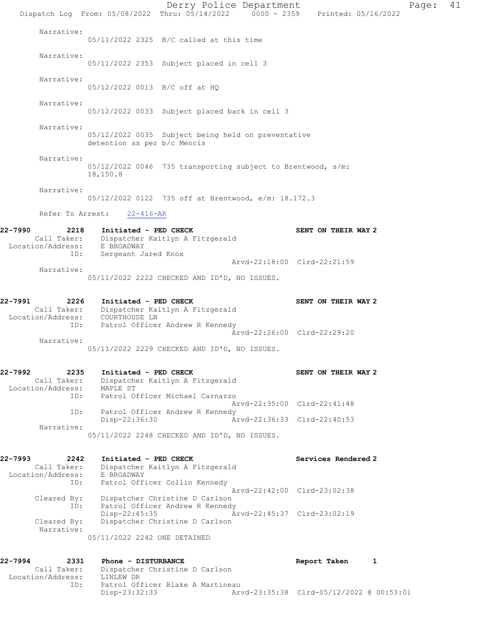Derry Police Department Page: 41 Dispatch Log From: 05/08/2022 Thru: 05/14/2022 0000 - 2359 Printed: 05/16/2022 Narrative: 05/11/2022 2325 B/C called at this time Narrative: 05/11/2022 2353 Subject placed in cell 3 Narrative: 05/12/2022 0013 B/C off at HQ Narrative: 05/12/2022 0033 Subject placed back in cell 3 Narrative: 05/12/2022 0035 Subject being held on preventative detention as per b/c Mencis Narrative: 05/12/2022 0046 735 transporting subject to Brentwood, s/m: 18,150.8 Narrative: 05/12/2022 0122 735 off at Brentwood, e/m: 18.172.3 Refer To Arrest: 22-416-AR 22-7990 2218 Initiated - PED CHECK SENT ON THEIR WAY 2 Call Taker: Dispatcher Kaitlyn A Fitzgerald Location/Address: E BROADWAY ID: Sergeant Jared Knox Arvd-22:18:00 Clrd-22:21:59 Narrative: 05/11/2022 2222 CHECKED AND ID'D, NO ISSUES. 22-7991 2226 Initiated - PED CHECK SENT ON THEIR WAY 2 Call Taker: Dispatcher Kaitlyn A Fitzgerald Location/Address: COURTHOUSE LN ID: Patrol Officer Andrew R Kennedy Arvd-22:26:00 Clrd-22:29:20 Narrative: 05/11/2022 2229 CHECKED AND ID'D, NO ISSUES. 22-7992 2235 Initiated - PED CHECK SENT ON THEIR WAY 2 Call Taker: Dispatcher Kaitlyn A Fitzgerald Location/Address: MAPLE ST ID: Patrol Officer Michael Carnazzo Arvd-22:35:00 Clrd-22:41:48 ID: Patrol Officer Andrew R Kennedy<br>Disp-22:36:30 Ar Disp-22:36:30 Arvd-22:36:33 Clrd-22:40:53 Narrative: 05/11/2022 2248 CHECKED AND ID'D, NO ISSUES. 22-7993 2242 Initiated - PED CHECK Services Rendered 2 Call Taker: Dispatcher Kaitlyn A Fitzgerald Location/Address: E BROADWAY ID: Patrol Officer Collin Kennedy Arvd-22:42:00 Clrd-23:02:38 Cleared By: Dispatcher Christine D Carlson ID: Patrol Officer Andrew R Kennedy Disp-22:45:35 Arvd-22:45:37 Clrd-23:02:19 Cleared By: Dispatcher Christine D Carlson Narrative: 05/11/2022 2242 ONE DETAINED 22-7994 2331 Phone - DISTURBANCE 22-7994 Report Taken 1 Call Taker: Dispatcher Christine D Carlson Location/Address: LINLEW DR Patrol Officer Blake A Martineau<br>Disp-23:32:33 Art Disp-23:32:33 Arvd-23:35:38 Clrd-05/12/2022 @ 00:53:01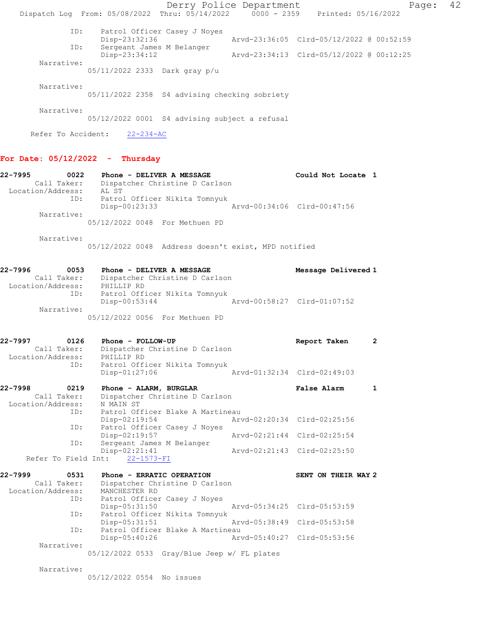Derry Police Department Controller Page: 42 Dispatch Log From: 05/08/2022 Thru: 05/14/2022 0000 - 2359 Printed: 05/16/2022 ID: Patrol Officer Casey J Noyes Disp-23:32:36 Arvd-23:36:05 Clrd-05/12/2022 @ 00:52:59 Disp-23:32:36<br>ID: Sergeant James M Belanger<br>Disp-23:34:12 Disp-23:34:12 Arvd-23:34:13 Clrd-05/12/2022 @ 00:12:25 Narrative: 05/11/2022 2333 Dark gray p/u Narrative: 05/11/2022 2358 S4 advising checking sobriety Narrative: 05/12/2022 0001 S4 advising subject a refusal

Refer To Accident: 22-234-AC

#### For Date: 05/12/2022 - Thursday

22-7995 0022 Phone - DELIVER A MESSAGE Could Not Locate 1 Call Taker: Dispatcher Christine D Carlson Location/Address: AL ST ID: Patrol Officer Nikita Tomnyuk Disp-00:23:33 Arvd-00:34:06 Clrd-00:47:56 Narrative: 05/12/2022 0048 For Methuen PD

Narrative:

05/12/2022 0048 Address doesn't exist, MPD notified

#### 22-7996 0053 Phone - DELIVER A MESSAGE Message Delivered 1 Call Taker: Dispatcher Christine D Carlson Location/Address: PHILLIP RD ID: Patrol Officer Nikita Tomnyuk Disp-00:53:44 Arvd-00:58:27 Clrd-01:07:52 Narrative: 05/12/2022 0056 For Methuen PD

| 22-7997           | 0126 | Phone - FOLLOW-UP                |  | Report Taken                | $\overline{2}$ |
|-------------------|------|----------------------------------|--|-----------------------------|----------------|
| Call Taker:       |      | Dispatcher Christine D Carlson   |  |                             |                |
| Location/Address: |      | PHILLIP RD                       |  |                             |                |
|                   | ID:  | Patrol Officer Nikita Tomnyuk    |  |                             |                |
|                   |      | $Disp-01:27:06$                  |  | Arvd-01:32:34 Clrd-02:49:03 |                |
| 22-7998           | 0219 | Phone - ALARM, BURGLAR           |  | False Alarm                 |                |
| Call Taker:       |      | Dispatcher Christine D Carlson   |  |                             |                |
| Location/Address: |      | N MAIN ST                        |  |                             |                |
|                   | ID:  | Patrol Officer Blake A Martineau |  |                             |                |
|                   |      | $Disp-02:19:54$                  |  | Arvd-02:20:34 Clrd-02:25:56 |                |
|                   | ID:  | Patrol Officer Casey J Noyes     |  |                             |                |
|                   |      | Disp-02:19:57                    |  | Arvd-02:21:44 Clrd-02:25:54 |                |
|                   | ID:  | Sergeant James M Belanger        |  |                             |                |
|                   |      | Disp-02:21:41                    |  | Arvd-02:21:43 Clrd-02:25:50 |                |
|                   |      | Refer To Field Int: 22-1573-FI   |  |                             |                |

| 22-7999           | 0531 | Phone - ERRATIC OPERATION        |                             | SENT ON THEIR WAY 2 |
|-------------------|------|----------------------------------|-----------------------------|---------------------|
| Call Taker:       |      | Dispatcher Christine D Carlson   |                             |                     |
| Location/Address: |      | MANCHESTER RD                    |                             |                     |
|                   | ID:  | Patrol Officer Casey J Noyes     |                             |                     |
|                   |      | $Disp-05:31:50$                  | Arvd-05:34:25 Clrd-05:53:59 |                     |
|                   | ID:  | Patrol Officer Nikita Tomnyuk    |                             |                     |
|                   |      | Disp-05:31:51                    | Arvd-05:38:49 Clrd-05:53:58 |                     |
|                   | ID:  | Patrol Officer Blake A Martineau |                             |                     |
|                   |      | $Disp-05:40:26$                  | Arvd-05:40:27 Clrd-05:53:56 |                     |
| Narrative:        |      |                                  |                             |                     |
|                   |      |                                  |                             |                     |

05/12/2022 0533 Gray/Blue Jeep w/ FL plates

Narrative:

05/12/2022 0554 No issues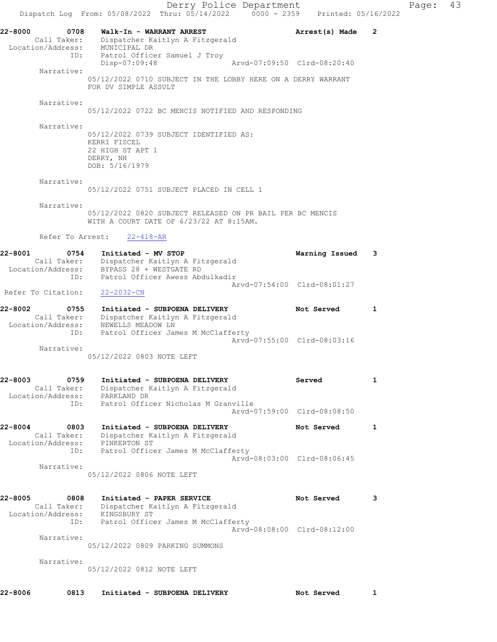Derry Police Department Fage: 43 Dispatch Log From:  $05/08/2022$  Thru:  $05/14/2022$  0000 - 2359 Printed: 05/16/2022 22-8000 0708 Walk-In - WARRANT ARREST Arrest(s) Made 2 Call Taker: Dispatcher Kaitlyn A Fitzgerald Location/Address: MUNICIPAL DR ID: Patrol Officer Samuel J Troy Disp-07:09:48 Arvd-07:09:50 Clrd-08:20:40 Narrative: 05/12/2022 0710 SUBJECT IN THE LOBBY HERE ON A DERRY WARRANT FOR DV SIMPLE ASSULT Narrative: 05/12/2022 0722 BC MENCIS NOTIFIED AND RESPONDING Narrative: 05/12/2022 0739 SUBJECT IDENTIFIED AS: KERRI FISCEL 22 HIGH ST APT 1 DERRY, NH DOB: 5/16/1979 Narrative: 05/12/2022 0751 SUBJECT PLACED IN CELL 1 Narrative: 05/12/2022 0820 SUBJECT RELEASED ON PR BAIL PER BC MENCIS WITH A COURT DATE OF 6/23/22 AT 8:15AM. Refer To Arrest: 22-418-AR 22-8001 0754 Initiated - MV STOP Warning Issued 3 Call Taker: Dispatcher Kaitlyn A Fitzgerald Location/Address: BYPASS 28 + WESTGATE RD ID: Patrol Officer Awess Abdulkadir Arvd-07:54:00 Clrd-08:01:27 Refer To Citation: 22-2032-CN 22-8002 0755 Initiated - SUBPOENA DELIVERY Not Served 1 Call Taker: Dispatcher Kaitlyn A Fitzgerald Location/Address: NEWELLS MEADOW LN ID: Patrol Officer James M McClafferty Arvd-07:55:00 Clrd-08:03:16 Narrative: 05/12/2022 0803 NOTE LEFT 22-8003 0759 Initiated - SUBPOENA DELIVERY Served 1 Call Taker: Dispatcher Kaitlyn A Fitzgerald Location/Address: PARKLAND DR ID: Patrol Officer Nicholas M Granville Arvd-07:59:00 Clrd-08:08:50 22-8004 0803 Initiated - SUBPOENA DELIVERY Not Served 1 Call Taker: Dispatcher Kaitlyn A Fitzgerald Location/Address: PINKERTON ST ID: Patrol Officer James M McClafferty Arvd-08:03:00 Clrd-08:06:45 Narrative: 05/12/2022 0806 NOTE LEFT 22-8005 0808 Initiated - PAPER SERVICE Not Served 3 Call Taker: Dispatcher Kaitlyn A Fitzgerald Location/Address: KINGSBURY ST ID: Patrol Officer James M McClafferty Arvd-08:08:00 Clrd-08:12:00 Narrative: 05/12/2022 0809 PARKING SUMMONS Narrative: 05/12/2022 0812 NOTE LEFT

22-8006 0813 Initiated - SUBPOENA DELIVERY Not Served 1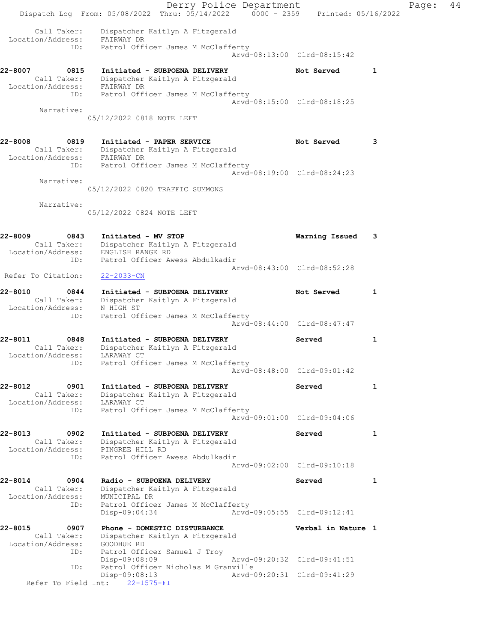Derry Police Department Fage: 44 Dispatch Log From: 05/08/2022 Thru: 05/14/2022 0000 - 2359 Printed: 05/16/2022 Call Taker: Dispatcher Kaitlyn A Fitzgerald Location/Address: FAIRWAY DR ID: Patrol Officer James M McClafferty Arvd-08:13:00 Clrd-08:15:42 22-8007 0815 Initiated - SUBPOENA DELIVERY Not Served 1 Call Taker: Dispatcher Kaitlyn A Fitzgerald Location/Address: FAIRWAY DR ID: Patrol Officer James M McClafferty Arvd-08:15:00 Clrd-08:18:25 Narrative: 05/12/2022 0818 NOTE LEFT 22-8008 0819 Initiated - PAPER SERVICE Not Served 3 Call Taker: Dispatcher Kaitlyn A Fitzgerald Location/Address: FAIRWAY DR ID: Patrol Officer James M McClafferty Arvd-08:19:00 Clrd-08:24:23 Narrative: 05/12/2022 0820 TRAFFIC SUMMONS Narrative: 05/12/2022 0824 NOTE LEFT 22-8009 0843 Initiated - MV STOP Warning Issued 3 Call Taker: Dispatcher Kaitlyn A Fitzgerald Location/Address: ENGLISH RANGE RD ID: Patrol Officer Awess Abdulkadir Arvd-08:43:00 Clrd-08:52:28 Refer To Citation: 22-2033-CN 22-8010 0844 Initiated - SUBPOENA DELIVERY Not Served 1 Call Taker: Dispatcher Kaitlyn A Fitzgerald Location/Address: N HIGH ST ID: Patrol Officer James M McClafferty Arvd-08:44:00 Clrd-08:47:47 22-8011 0848 Initiated - SUBPOENA DELIVERY Served 1 Call Taker: Dispatcher Kaitlyn A Fitzgerald Location/Address: LARAWAY CT ID: Patrol Officer James M McClafferty Arvd-08:48:00 Clrd-09:01:42 22-8012 0901 Initiated - SUBPOENA DELIVERY Served 1 Call Taker: Dispatcher Kaitlyn A Fitzgerald Location/Address: LARAWAY CT ID: Patrol Officer James M McClafferty Arvd-09:01:00 Clrd-09:04:06 22-8013 0902 Initiated - SUBPOENA DELIVERY Served 1 Call Taker: Dispatcher Kaitlyn A Fitzgerald Location/Address: PINGREE HILL RD ID: Patrol Officer Awess Abdulkadir Arvd-09:02:00 Clrd-09:10:18 22-8014 0904 Radio - SUBPOENA DELIVERY Served 1 Call Taker: Dispatcher Kaitlyn A Fitzgerald Location/Address: MUNICIPAL DR ID: Patrol Officer James M McClafferty Disp-09:04:34 Arvd-09:05:55 Clrd-09:12:41 22-8015 0907 Phone - DOMESTIC DISTURBANCE Verbal in Nature 1 Call Taker: Dispatcher Kaitlyn A Fitzgerald Location/Address: GOODHUE RD ID: Patrol Officer Samuel J Troy Disp-09:08:09 Arvd-09:20:32 Clrd-09:41:51 ID: Patrol Officer Nicholas M Granville Disp-09:08:13 Arvd-09:20:31 Clrd-09:41:29 Refer To Field Int: 22-1575-FI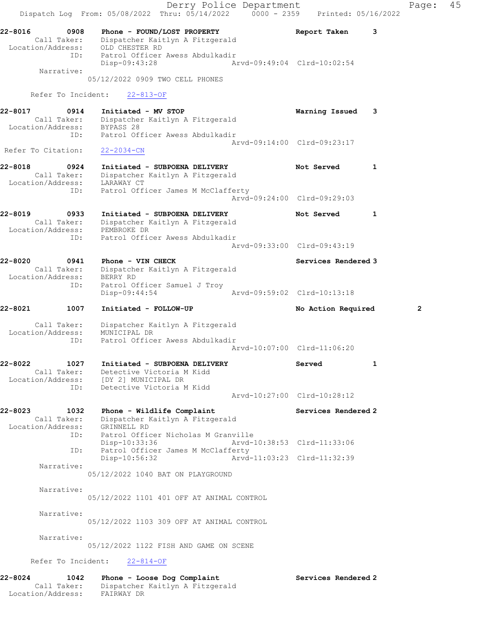Derry Police Department Controller Page: 45 Dispatch Log From:  $05/08/2022$  Thru:  $05/14/2022$  0000 - 2359 Printed: 05/16/2022 22-8016 0908 Phone - FOUND/LOST PROPERTY Report Taken 3 Call Taker: Dispatcher Kaitlyn A Fitzgerald Location/Address: OLD CHESTER RD ID: Patrol Officer Awess Abdulkadir Disp-09:43:28 Arvd-09:49:04 Clrd-10:02:54 Narrative: 05/12/2022 0909 TWO CELL PHONES Refer To Incident: 22-813-OF 22-8017 0914 Initiated - MV STOP Warning Issued 3 Call Taker: Dispatcher Kaitlyn A Fitzgerald Location/Address: BYPASS 28 ID: Patrol Officer Awess Abdulkadir Arvd-09:14:00 Clrd-09:23:17 Refer To Citation: 22-2034-CN 22-8018 0924 Initiated - SUBPOENA DELIVERY Not Served 1 Call Taker: Dispatcher Kaitlyn A Fitzgerald Location/Address: LARAWAY CT ID: Patrol Officer James M McClafferty Arvd-09:24:00 Clrd-09:29:03 22-8019 0933 Initiated - SUBPOENA DELIVERY Not Served 1 Call Taker: Dispatcher Kaitlyn A Fitzgerald Location/Address: PEMBROKE DR ID: Patrol Officer Awess Abdulkadir Arvd-09:33:00 Clrd-09:43:19 22-8020 0941 Phone - VIN CHECK Services Rendered 3 Call Taker: Dispatcher Kaitlyn A Fitzgerald Location/Address: BERRY RD ID: Patrol Officer Samuel J Troy Disp-09:44:54 Arvd-09:59:02 Clrd-10:13:18 22-8021 1007 Initiated - FOLLOW-UP No Action Required 2 Call Taker: Dispatcher Kaitlyn A Fitzgerald Location/Address: MUNICIPAL DR ID: Patrol Officer Awess Abdulkadir Arvd-10:07:00 Clrd-11:06:20 22-8022 1027 Initiated - SUBPOENA DELIVERY Served 1 Call Taker: Detective Victoria M Kidd Location/Address: [DY 2] MUNICIPAL DR ID: Detective Victoria M Kidd Arvd-10:27:00 Clrd-10:28:12 22-8023 1032 Phone - Wildlife Complaint Services Rendered 2 Call Taker: Dispatcher Kaitlyn A Fitzgerald Location/Address: GRINNELL RD ID: Patrol Officer Nicholas M Granville Disp-10:33:36 Arvd-10:38:53 Clrd-11:33:06 ID: Patrol Officer James M McClafferty<br>Disp-10:56:32 Arvd- Disp-10:56:32 Arvd-11:03:23 Clrd-11:32:39 Narrative: 05/12/2022 1040 BAT ON PLAYGROUND Narrative: 05/12/2022 1101 401 OFF AT ANIMAL CONTROL Narrative: 05/12/2022 1103 309 OFF AT ANIMAL CONTROL Narrative: 05/12/2022 1122 FISH AND GAME ON SCENE Refer To Incident: 22-814-OF 22-8024 1042 Phone - Loose Dog Complaint Nervices Rendered 2 Call Taker: Dispatcher Kaitlyn A Fitzgerald

Location/Address: FAIRWAY DR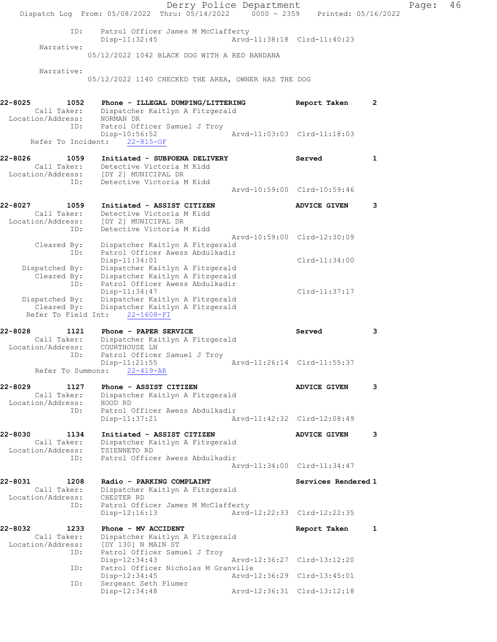|                                                            | Dispatch Log From: 05/08/2022 Thru: 05/14/2022 0000 - 2359 Printed: 05/16/2022                                         | Derry Police Department     |                             |                | Page: | 46 |
|------------------------------------------------------------|------------------------------------------------------------------------------------------------------------------------|-----------------------------|-----------------------------|----------------|-------|----|
| ID:                                                        | Patrol Officer James M McClafferty<br>$Disp-11:32:45$                                                                  | Arvd-11:38:18 Clrd-11:40:23 |                             |                |       |    |
| Narrative:                                                 | 05/12/2022 1042 BLACK DOG WITH A RED BANDANA                                                                           |                             |                             |                |       |    |
| Narrative:                                                 | 05/12/2022 1140 CHECKED THE AREA, OWNER HAS THE DOG                                                                    |                             |                             |                |       |    |
| 1052<br>22-8025<br>Call Taker:                             | Phone - ILLEGAL DUMPING/LITTERING<br>Dispatcher Kaitlyn A Fitzgerald                                                   |                             | Report Taken                | $\overline{2}$ |       |    |
| Location/Address:<br>ID:                                   | NORMAN DR<br>Patrol Officer Samuel J Troy<br>$Disp-10:56:52$                                                           |                             | Arvd-11:03:03 Clrd-11:18:03 |                |       |    |
| Refer To Incident:                                         | $22 - 815 - OF$                                                                                                        |                             |                             |                |       |    |
| 22-8026<br>1059<br>Call Taker:<br>Location/Address:<br>ID: | Initiated - SUBPOENA DELIVERY<br>Detective Victoria M Kidd<br>[DY 2] MUNICIPAL DR<br>Detective Victoria M Kidd         |                             | Served                      | 1              |       |    |
|                                                            |                                                                                                                        |                             | Arvd-10:59:00 Clrd-10:59:46 |                |       |    |
| 22-8027<br>1059<br>Call Taker:<br>Location/Address:<br>ID: | Initiated - ASSIST CITIZEN<br>Detective Victoria M Kidd<br>[DY 2] MUNICIPAL DR<br>Detective Victoria M Kidd            |                             | <b>ADVICE GIVEN</b>         | 3              |       |    |
| Cleared By:<br>ID:                                         | Dispatcher Kaitlyn A Fitzgerald<br>Patrol Officer Awess Abdulkadir                                                     | Arvd-10:59:00 Clrd-12:30:09 |                             |                |       |    |
| Dispatched By:<br>Cleared By:<br>ID:                       | Disp-11:34:01<br>Dispatcher Kaitlyn A Fitzgerald<br>Dispatcher Kaitlyn A Fitzgerald<br>Patrol Officer Awess Abdulkadir |                             | $Clrd-11:34:00$             |                |       |    |
| Dispatched By:<br>Cleared By:<br>Refer To Field Int:       | Disp-11:34:47<br>Dispatcher Kaitlyn A Fitzgerald<br>Dispatcher Kaitlyn A Fitzgerald<br>22-1608-FI                      |                             | $Clrd-11:37:17$             |                |       |    |
| 22-8028<br>1121<br>Call Taker:<br>Location/Address:        | Phone - PAPER SERVICE<br>Dispatcher Kaitlyn A Fitzgerald<br>COURTHOUSE LN                                              |                             | Served                      | 3              |       |    |
| ID:<br>Refer To Summons:                                   | Patrol Officer Samuel J Troy<br>$Disp-11:21:55$<br>$22 - 419 - AR$                                                     |                             | Arvd-11:26:14 Clrd-11:55:37 |                |       |    |
| 22-8029<br>1127<br>Call Taker:<br>Location/Address:        | Phone - ASSIST CITIZEN<br>Dispatcher Kaitlyn A Fitzgerald<br>HOOD RD                                                   |                             | <b>ADVICE GIVEN</b>         | 3              |       |    |
| ID:                                                        | Patrol Officer Awess Abdulkadir<br>$Disp-11:37:21$                                                                     | Arvd-11:42:32 Clrd-12:08:49 |                             |                |       |    |
| 22-8030<br>1134<br>Call Taker:<br>Location/Address:        | Initiated - ASSIST CITIZEN<br>Dispatcher Kaitlyn A Fitzgerald<br>TSIENNETO RD                                          |                             | <b>ADVICE GIVEN</b>         | 3              |       |    |
| ID:                                                        | Patrol Officer Awess Abdulkadir                                                                                        |                             | Aryd-11:34:00 Clrd-11:34:47 |                |       |    |
| 22-8031<br>1208<br>Call Taker:<br>Location/Address:<br>ID: | Radio - PARKING COMPLAINT<br>Dispatcher Kaitlyn A Fitzgerald<br>CHESTER RD<br>Patrol Officer James M McClafferty       |                             | Services Rendered 1         |                |       |    |
|                                                            | $Disp-12:16:13$                                                                                                        |                             | Arvd-12:22:33 Clrd-12:22:35 |                |       |    |
| 22-8032<br>1233<br>Call Taker:<br>Location/Address:<br>ID: | Phone - MV ACCIDENT<br>Dispatcher Kaitlyn A Fitzgerald<br>[DY 130] N MAIN ST<br>Patrol Officer Samuel J Troy           |                             | Report Taken                | 1              |       |    |
| ID:                                                        | $Disp-12:34:43$<br>Patrol Officer Nicholas M Granville                                                                 | Arvd-12:36:27 Clrd-13:12:20 |                             |                |       |    |
| ID:                                                        | Disp-12:34:45<br>Sergeant Seth Plumer                                                                                  |                             | Arvd-12:36:29 Clrd-13:45:01 |                |       |    |
|                                                            | Disp-12:34:48                                                                                                          |                             | Arvd-12:36:31 Clrd-13:12:18 |                |       |    |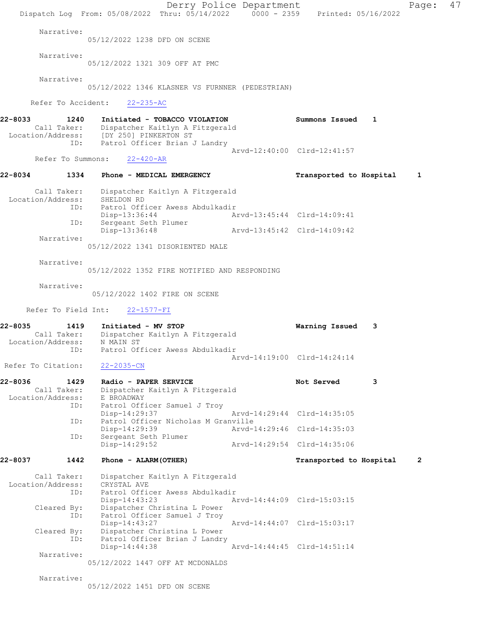|         |                                  | Dispatch Log From: 05/08/2022 Thru: 05/14/2022 0000 - 2359 Printed: 05/16/2022                                              |                                                               | Derry Police Department     |                             |   | Page:        | 47 |
|---------|----------------------------------|-----------------------------------------------------------------------------------------------------------------------------|---------------------------------------------------------------|-----------------------------|-----------------------------|---|--------------|----|
|         | Narrative:                       | 05/12/2022 1238 DFD ON SCENE                                                                                                |                                                               |                             |                             |   |              |    |
|         | Narrative:                       | 05/12/2022 1321 309 OFF AT PMC                                                                                              |                                                               |                             |                             |   |              |    |
|         | Narrative:                       |                                                                                                                             | 05/12/2022 1346 KLASNER VS FURNNER (PEDESTRIAN)               |                             |                             |   |              |    |
|         |                                  | Refer To Accident: 22-235-AC                                                                                                |                                                               |                             |                             |   |              |    |
| 22-8033 | 1240                             |                                                                                                                             | Initiated - TOBACCO VIOLATION                                 |                             | Summons Issued 1            |   |              |    |
|         |                                  | Call Taker: Dispatcher Kaitlyn A Fitzgerald<br>Location/Address: [DY 250] PINKERTON ST<br>ID: Patrol Officer Brian J Landry |                                                               |                             | Arvd-12:40:00 Clrd-12:41:57 |   |              |    |
|         | Refer To Summons:                | $22 - 420 - AR$                                                                                                             |                                                               |                             |                             |   |              |    |
| 22-8034 |                                  | 1334 Phone - MEDICAL EMERGENCY                                                                                              |                                                               |                             | Transported to Hospital     |   | 1            |    |
|         | Call Taker:<br>Location/Address: | SHELDON RD                                                                                                                  | Dispatcher Kaitlyn A Fitzgerald                               |                             |                             |   |              |    |
|         | ID:                              | Disp-13:36:44                                                                                                               | Patrol Officer Awess Abdulkadir                               | Arvd-13:45:44 Clrd-14:09:41 |                             |   |              |    |
|         | ID:                              | Sergeant Seth Plumer<br>Disp-13:36:48                                                                                       |                                                               |                             |                             |   |              |    |
|         | Narrative:                       |                                                                                                                             | 05/12/2022 1341 DISORIENTED MALE                              |                             |                             |   |              |    |
|         | Narrative:                       |                                                                                                                             |                                                               |                             |                             |   |              |    |
|         |                                  |                                                                                                                             | 05/12/2022 1352 FIRE NOTIFIED AND RESPONDING                  |                             |                             |   |              |    |
|         | Narrative:                       | 05/12/2022 1402 FIRE ON SCENE                                                                                               |                                                               |                             |                             |   |              |    |
|         | Refer To Field Int:              | $22 - 1577 - FI$                                                                                                            |                                                               |                             |                             |   |              |    |
| 22-8035 |                                  | 1419 Initiated - MV STOP<br>Call Taker: Dispatcher Kaitlyn A Fitzgerald<br>Location/Address: N MAIN ST                      |                                                               |                             | Warning Issued              | 3 |              |    |
|         | ID:                              |                                                                                                                             | Patrol Officer Awess Abdulkadir                               |                             | Arvd-14:19:00 Clrd-14:24:14 |   |              |    |
|         | Refer To Citation:               | $22 - 2035 - CN$                                                                                                            |                                                               |                             |                             |   |              |    |
| 22-8036 | 1429                             | Radio - PAPER SERVICE                                                                                                       |                                                               |                             | Not Served                  | 3 |              |    |
|         | Call Taker:<br>Location/Address: | E BROADWAY                                                                                                                  | Dispatcher Kaitlyn A Fitzgerald                               |                             |                             |   |              |    |
|         | ID:                              | Disp-14:29:37                                                                                                               | Patrol Officer Samuel J Troy                                  |                             | Arvd-14:29:44 Clrd-14:35:05 |   |              |    |
|         | ID:                              | Disp-14:29:39                                                                                                               | Patrol Officer Nicholas M Granville                           |                             | Arvd-14:29:46 Clrd-14:35:03 |   |              |    |
|         | ID:                              | Sergeant Seth Plumer<br>Disp-14:29:52                                                                                       |                                                               |                             | Arvd-14:29:54 Clrd-14:35:06 |   |              |    |
| 22-8037 | 1442                             | Phone - ALARM (OTHER)                                                                                                       |                                                               |                             | Transported to Hospital     |   | $\mathbf{2}$ |    |
|         | Call Taker:                      |                                                                                                                             | Dispatcher Kaitlyn A Fitzgerald                               |                             |                             |   |              |    |
|         | Location/Address:<br>ID:         | CRYSTAL AVE<br>$Disp-14:43:23$                                                                                              | Patrol Officer Awess Abdulkadir                               |                             | Arvd-14:44:09 Clrd-15:03:15 |   |              |    |
|         | Cleared By:<br>ID:               | Disp-14:43:27                                                                                                               | Dispatcher Christina L Power<br>Patrol Officer Samuel J Troy  |                             | Arvd-14:44:07 Clrd-15:03:17 |   |              |    |
|         | Cleared By:<br>ID:               | Disp-14:44:38                                                                                                               | Dispatcher Christina L Power<br>Patrol Officer Brian J Landry |                             | Arvd-14:44:45 Clrd-14:51:14 |   |              |    |
|         | Narrative:                       |                                                                                                                             |                                                               |                             |                             |   |              |    |
|         |                                  |                                                                                                                             | 05/12/2022 1447 OFF AT MCDONALDS                              |                             |                             |   |              |    |
|         | Narrative:                       | 05/12/2022 1451 DFD ON SCENE                                                                                                |                                                               |                             |                             |   |              |    |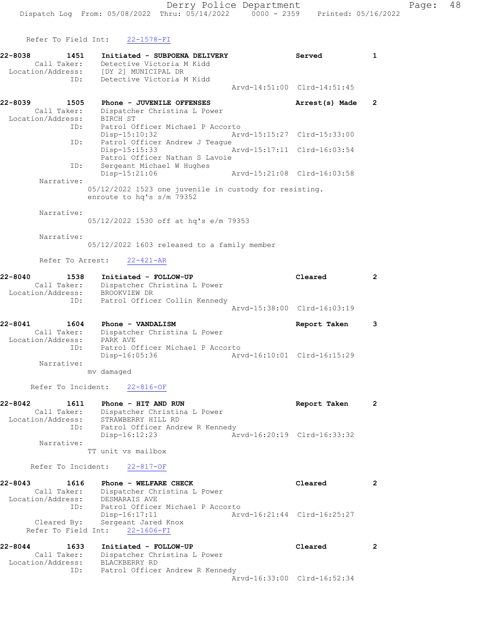Refer To Field Int: 22-1578-FI

| 22-8038     | 1451                             | Initiated - SUBPOENA DELIVERY                                                       | Served                      | 1              |
|-------------|----------------------------------|-------------------------------------------------------------------------------------|-----------------------------|----------------|
|             | Call Taker:<br>Location/Address: | Detective Victoria M Kidd<br>[DY 2] MUNICIPAL DR                                    |                             |                |
|             | ID:                              | Detective Victoria M Kidd                                                           | Arvd-14:51:00 Clrd-14:51:45 |                |
| 22-8039     | 1505                             | Phone - JUVENILE OFFENSES                                                           | Arrest(s) Made              | $\mathbf{2}$   |
|             | Call Taker:<br>Location/Address: | Dispatcher Christina L Power<br>BIRCH ST                                            |                             |                |
|             | ID:                              | Patrol Officer Michael P Accorto<br>Disp-15:10:32                                   | Arvd-15:15:27 Clrd-15:33:00 |                |
|             | ID:                              | Patrol Officer Andrew J Teague<br>Disp-15:15:33<br>Patrol Officer Nathan S Lavoie   | Arvd-15:17:11 Clrd-16:03:54 |                |
|             | ID:                              | Sergeant Michael W Hughes<br>Disp-15:21:06                                          | Arvd-15:21:08 Clrd-16:03:58 |                |
|             | Narrative:                       |                                                                                     |                             |                |
|             |                                  | 05/12/2022 1523 one juvenile in custody for resisting.<br>enroute to hq's s/m 79352 |                             |                |
|             | Narrative:                       | 05/12/2022 1530 off at hq's e/m 79353                                               |                             |                |
|             |                                  |                                                                                     |                             |                |
|             | Narrative:                       | 05/12/2022 1603 released to a family member                                         |                             |                |
|             | Refer To Arrest:                 | $22 - 421 - AR$                                                                     |                             |                |
| $22 - 8040$ | 1538<br>Call Taker:              | Initiated - FOLLOW-UP<br>Dispatcher Christina L Power                               | Cleared                     | $\overline{2}$ |
|             | Location/Address:                | BROOKVIEW DR                                                                        |                             |                |
|             | ID:                              | Patrol Officer Collin Kennedy                                                       | Arvd-15:38:00 Clrd-16:03:19 |                |
|             |                                  |                                                                                     |                             |                |
| $22 - 8041$ | 1604                             | Phone - VANDALISM                                                                   | Report Taken                | 3              |
|             | Call Taker:<br>Location/Address: | Dispatcher Christina L Power<br>PARK AVE                                            |                             |                |
|             | ID:                              | Patrol Officer Michael P Accorto<br>Disp-16:05:36                                   | Arvd-16:10:01 Clrd-16:15:29 |                |
|             | Narrative:                       | mv damaged                                                                          |                             |                |
|             | Refer To Incident:               | $22 - 816 - OF$                                                                     |                             |                |
| 22-8042     | 1611                             | Phone - HIT AND RUN                                                                 | Report Taken                | $\mathbf{2}$   |
|             | Call Taker:                      | Dispatcher Christina L Power                                                        |                             |                |
|             | Location/Address:<br>ID:         | STRAWBERRY HILL RD<br>Patrol Officer Andrew R Kennedy                               |                             |                |
|             |                                  | $Disp-16:12:23$                                                                     | Arvd-16:20:19 Clrd-16:33:32 |                |
|             | Narrative:                       |                                                                                     |                             |                |
|             |                                  | TT unit vs mailbox                                                                  |                             |                |
|             | Refer To Incident:               | $22 - 817 - OF$                                                                     |                             |                |
| $22 - 8043$ | 1616                             | Phone - WELFARE CHECK                                                               | Cleared                     | $\overline{2}$ |
|             | Call Taker:<br>Location/Address: | Dispatcher Christina L Power<br>DESMARAIS AVE                                       |                             |                |
|             | ID:                              | Patrol Officer Michael P Accorto<br>Disp-16:17:11                                   | Arvd-16:21:44 Clrd-16:25:27 |                |
|             | Cleared By:                      | Sergeant Jared Knox<br>Refer To Field Int: 22-1606-FI                               |                             |                |
| 22-8044     | 1633                             | Initiated - FOLLOW-UP                                                               | Cleared                     | $\overline{2}$ |
|             | Call Taker:                      | Dispatcher Christina L Power                                                        |                             |                |
|             | Location/Address:<br>ID:         | BLACKBERRY RD<br>Patrol Officer Andrew R Kennedy                                    |                             |                |
|             |                                  |                                                                                     | Arvd-16:33:00 Clrd-16:52:34 |                |
|             |                                  |                                                                                     |                             |                |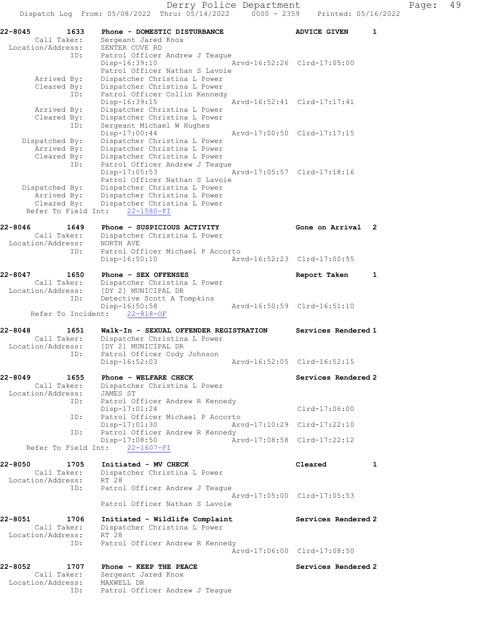| 22-8045<br>1633<br>Call Taker:<br>Location/Address:                 | Phone - DOMESTIC DISTURBANCE<br>Sergeant Jared Knox<br>SENTER COVE RD                                               | <b>ADVICE GIVEN</b>         | 1              |
|---------------------------------------------------------------------|---------------------------------------------------------------------------------------------------------------------|-----------------------------|----------------|
| ID:                                                                 | Patrol Officer Andrew J Teague<br>Disp-16:39:10<br>Patrol Officer Nathan S Lavoie                                   | Arvd-16:52:26 Clrd-17:05:00 |                |
| Arrived By:<br>Cleared By:<br>ID:                                   | Dispatcher Christina L Power<br>Dispatcher Christina L Power<br>Patrol Officer Collin Kennedy<br>$Disp-16:39:15$    | Arvd-16:52:41 Clrd-17:17:41 |                |
| Arrived By:<br>Cleared By:<br>ID:                                   | Dispatcher Christina L Power<br>Dispatcher Christina L Power<br>Sergeant Michael W Hughes                           |                             |                |
| Dispatched By:<br>Arrived By:                                       | $Disp-17:00:44$<br>Dispatcher Christina L Power<br>Dispatcher Christina L Power                                     | Arvd-17:00:50 Clrd-17:17:15 |                |
| Cleared By:<br>ID:                                                  | Dispatcher Christina L Power<br>Patrol Officer Andrew J Teague<br>$Disp-17:05:53$<br>Patrol Officer Nathan S Lavoie | Arvd-17:05:57 Clrd-17:18:16 |                |
| Dispatched By:<br>Arrived By:<br>Cleared By:<br>Refer To Field Int: | Dispatcher Christina L Power<br>Dispatcher Christina L Power<br>Dispatcher Christina L Power<br>22-1580-FI          |                             |                |
| 22-8046<br>1649                                                     | Phone - SUSPICIOUS ACTIVITY                                                                                         | Gone on Arrival             | $\overline{2}$ |
| Call Taker:<br>Location/Address:                                    | Dispatcher Christina L Power<br>NORTH AVE                                                                           |                             |                |
| ID:                                                                 | Patrol Officer Michael P Accorto<br>$Disp-16:50:10$                                                                 | Arvd-16:52:23 Clrd-17:00:55 |                |
| 22-8047<br>1650<br>Call Taker:                                      | Phone - SEX OFFENSES<br>Dispatcher Christina L Power                                                                | Report Taken                | 1              |
| Location/Address:<br>ID:                                            | [DY 2] MUNICIPAL DR<br>Detective Scott A Tompkins                                                                   |                             |                |
| Refer To Incident:                                                  | Disp-16:50:58<br>$22 - 818 - OF$                                                                                    | Arvd-16:50:59 Clrd-16:51:10 |                |
| 22-8048<br>1651                                                     | Walk-In - SEXUAL OFFENDER REGISTRATION                                                                              | Services Rendered 1         |                |
| Call Taker:<br>Location/Address:                                    | Dispatcher Christina L Power<br>[DY 2] MUNICIPAL DR                                                                 |                             |                |
| ID:                                                                 | Patrol Officer Cody Johnson<br>$Disp-16:52:03$                                                                      | Arvd-16:52:05 Clrd-16:52:15 |                |
| 22-8049<br>1655<br>Call Taker:                                      | Phone - WELFARE CHECK<br>Dispatcher Christina L Power                                                               | Services Rendered 2         |                |
| Location/Address:<br>ID:                                            | JAMES ST<br>Patrol Officer Andrew R Kennedy<br>$Disp-17:01:24$                                                      | Clrd-17:06:00               |                |
| ID:                                                                 | Patrol Officer Michael P Accorto<br>$Disp-17:01:30$                                                                 | Arvd-17:10:29 Clrd-17:22:10 |                |
| ID:                                                                 | Patrol Officer Andrew R Kennedy<br>Disp-17:08:50                                                                    | Arvd-17:08:58 Clrd-17:22:12 |                |
|                                                                     | Refer To Field Int: 22-1607-FI                                                                                      |                             |                |
| 22-8050<br>1705<br>Call Taker:<br>Location/Address:                 | Initiated - MV CHECK<br>Dispatcher Christina L Power<br>RT 28                                                       | Cleared                     | 1              |
| ID:                                                                 | Patrol Officer Andrew J Teaque                                                                                      | Arvd-17:05:00 Clrd-17:05:53 |                |
|                                                                     | Patrol Officer Nathan S Lavoie                                                                                      |                             |                |
| 22-8051<br>1706<br>Call Taker:                                      | Initiated - Wildlife Complaint<br>Dispatcher Christina L Power                                                      | Services Rendered 2         |                |
| Location/Address:<br>ID:                                            | RT 28<br>Patrol Officer Andrew R Kennedy                                                                            | Arvd-17:06:00 Clrd-17:08:50 |                |
| 1707<br>22-8052<br>Call Taker:                                      | Phone - KEEP THE PEACE<br>Sergeant Jared Knox                                                                       | Services Rendered 2         |                |
| Location/Address:                                                   | MAXWELL DR                                                                                                          |                             |                |

ID: Patrol Officer Andrew J Teague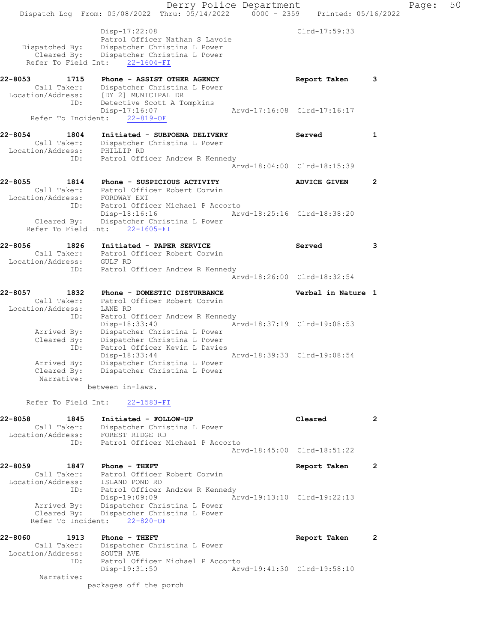Derry Police Department Fage: 50 Dispatch Log From:  $05/08/2022$  Thru:  $05/14/2022$  0000 - 2359 Printed: 05/16/2022 Disp-17:22:08 Clrd-17:59:33 Patrol Officer Nathan S Lavoie Dispatched By: Dispatcher Christina L Power Cleared By: Dispatcher Christina L Power Refer To Field Int: 22-1604-FI 22-8053 1715 Phone - ASSIST OTHER AGENCY 1980 Report Taken 3 Call Taker: Dispatcher Christina L Power Location/Address: [DY 2] MUNICIPAL DR ID: Detective Scott A Tompkins Disp-17:16:07 Arvd-17:16:08 Clrd-17:16:17 Refer To Incident: 22-819-OF 22-8054 1804 Initiated - SUBPOENA DELIVERY Served 1 Call Taker: Dispatcher Christina L Power Location/Address: PHILLIP RD ID: Patrol Officer Andrew R Kennedy Arvd-18:04:00 Clrd-18:15:39 22-8055 1814 Phone - SUSPICIOUS ACTIVITY ADVICE GIVEN 2 Call Taker: Patrol Officer Robert Corwin Location/Address: FORDWAY EXT ID: Patrol Officer Michael P Accorto Disp-18:16:16 Arvd-18:25:16 Clrd-18:38:20 Cleared By: Dispatcher Christina L Power Refer To Field Int: 22-1605-FI 22-8056 1826 Initiated - PAPER SERVICE Served 3 Call Taker: Patrol Officer Robert Corwin Location/Address: GULF RD ID: Patrol Officer Andrew R Kennedy Arvd-18:26:00 Clrd-18:32:54 22-8057 1832 Phone - DOMESTIC DISTURBANCE Verbal in Nature 1 Call Taker: Patrol Officer Robert Corwin Location/Address: LANE RD ID: Patrol Officer Andrew R Kennedy Disp-18:33:40 Arvd-18:37:19 Clrd-19:08:53 Arrived By: Dispatcher Christina L Power Cleared By: Dispatcher Christina L Power ID: Patrol Officer Kevin L Davies Disp-18:33:44 Arvd-18:39:33 Clrd-19:08:54 Arrived By: Dispatcher Christina L Power Cleared By: Dispatcher Christina L Power Narrative: between in-laws. Refer To Field Int: 22-1583-FI 22-8058 1845 Initiated - FOLLOW-UP Cleared 2 Call Taker: Dispatcher Christina L Power Location/Address: FOREST RIDGE RD ID: Patrol Officer Michael P Accorto Arvd-18:45:00 Clrd-18:51:22 22-8059 1847 Phone - THEFT Report Taken 2 Call Taker: Patrol Officer Robert Corwin Location/Address: ISLAND POND RD ID: Patrol Officer Andrew R Kennedy Disp-19:09:09 Arvd-19:13:10 Clrd-19:22:13 Arrived By: Dispatcher Christina L Power Cleared By: Dispatcher Christina L Power Refer To Incident: 22-820-OF 22-8060 1913 Phone - THEFT Report Taken 2 Call Taker: Dispatcher Christina L Power Location/Address: SOUTH AVE ID: Patrol Officer Michael P Accorto Disp-19:31:50 Arvd-19:41:30 Clrd-19:58:10 Narrative: packages off the porch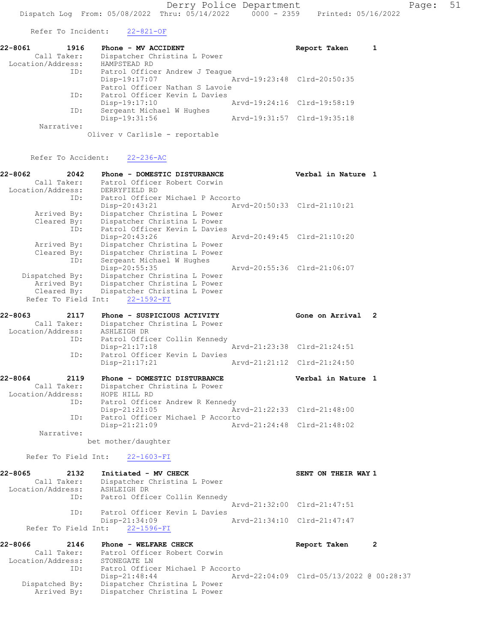Refer To Incident: 22-821-OF

| 22-8061           | 1916 | Phone - MV ACCIDENT            |                             | Report Taken                |  |
|-------------------|------|--------------------------------|-----------------------------|-----------------------------|--|
| Call Taker:       |      | Dispatcher Christina L Power   |                             |                             |  |
| Location/Address: |      | HAMPSTEAD RD                   |                             |                             |  |
|                   | ID:  | Patrol Officer Andrew J Teaque |                             |                             |  |
|                   |      | Disp-19:17:07                  | Arvd-19:23:48 Clrd-20:50:35 |                             |  |
|                   |      | Patrol Officer Nathan S Lavoie |                             |                             |  |
|                   | ID:  | Patrol Officer Kevin L Davies  |                             |                             |  |
|                   |      | Disp-19:17:10                  |                             | Arvd-19:24:16 Clrd-19:58:19 |  |
|                   | ID:  | Sergeant Michael W Hughes      |                             |                             |  |
|                   |      | Disp-19:31:56                  |                             | Arvd-19:31:57 Clrd-19:35:18 |  |
| Narrative:        |      |                                |                             |                             |  |
|                   |      | Oliver v Carlisle - reportable |                             |                             |  |

Refer To Accident: 22-236-AC

| 22-8062           | 2042                | Phone - DOMESTIC DISTURBANCE     | Verbal in Nature 1                       |                |
|-------------------|---------------------|----------------------------------|------------------------------------------|----------------|
| Call Taker:       |                     | Patrol Officer Robert Corwin     |                                          |                |
| Location/Address: |                     | DERRYFIELD RD                    |                                          |                |
|                   | ID:                 | Patrol Officer Michael P Accorto |                                          |                |
|                   |                     | Disp-20:43:21                    | Arvd-20:50:33 Clrd-21:10:21              |                |
| Arrived By:       |                     | Dispatcher Christina L Power     |                                          |                |
| Cleared By:       |                     | Dispatcher Christina L Power     |                                          |                |
|                   | ID:                 | Patrol Officer Kevin L Davies    |                                          |                |
|                   |                     | Disp-20:43:26                    | Arvd-20:49:45 Clrd-21:10:20              |                |
| Arrived By:       |                     | Dispatcher Christina L Power     |                                          |                |
| Cleared By:       |                     | Dispatcher Christina L Power     |                                          |                |
|                   | ID:                 | Sergeant Michael W Hughes        |                                          |                |
|                   |                     | Disp-20:55:35                    | Arvd-20:55:36 Clrd-21:06:07              |                |
| Dispatched By:    |                     | Dispatcher Christina L Power     |                                          |                |
| Arrived By:       |                     | Dispatcher Christina L Power     |                                          |                |
| Cleared By:       |                     | Dispatcher Christina L Power     |                                          |                |
|                   |                     | Refer To Field Int: 22-1592-FI   |                                          |                |
| 22-8063           | 2117                | Phone - SUSPICIOUS ACTIVITY      | Gone on Arrival                          | $\overline{2}$ |
| Call Taker:       |                     | Dispatcher Christina L Power     |                                          |                |
| Location/Address: |                     | ASHLEIGH DR                      |                                          |                |
|                   | ID:                 | Patrol Officer Collin Kennedy    |                                          |                |
|                   |                     | $Disp-21:17:18$                  | Arvd-21:23:38 Clrd-21:24:51              |                |
|                   | ID:                 | Patrol Officer Kevin L Davies    |                                          |                |
|                   |                     | $Disp-21:17:21$                  | Arvd-21:21:12 Clrd-21:24:50              |                |
|                   |                     |                                  |                                          |                |
| 22-8064           | 2119                | Phone - DOMESTIC DISTURBANCE     | Verbal in Nature 1                       |                |
| Call Taker:       |                     | Dispatcher Christina L Power     |                                          |                |
| Location/Address: |                     | HOPE HILL RD                     |                                          |                |
|                   | ID:                 | Patrol Officer Andrew R Kennedy  |                                          |                |
|                   |                     | Disp-21:21:05                    | Arvd-21:22:33 Clrd-21:48:00              |                |
|                   | ID:                 | Patrol Officer Michael P Accorto |                                          |                |
|                   |                     | $Disp-21:21:09$                  | Arvd-21:24:48 Clrd-21:48:02              |                |
|                   | Narrative:          |                                  |                                          |                |
|                   |                     | bet mother/daughter              |                                          |                |
|                   | Refer To Field Int: |                                  |                                          |                |
|                   |                     | $22 - 1603 - FI$                 |                                          |                |
| 22-8065           | 2132                | Initiated - MV CHECK             | SENT ON THEIR WAY 1                      |                |
|                   | Call Taker:         | Dispatcher Christina L Power     |                                          |                |
| Location/Address: |                     | ASHLEIGH DR                      |                                          |                |
|                   | ID:                 | Patrol Officer Collin Kennedy    |                                          |                |
|                   |                     |                                  | Arvd-21:32:00 Clrd-21:47:51              |                |
|                   | ID:                 | Patrol Officer Kevin L Davies    |                                          |                |
|                   |                     | $Disp-21:34:09$                  | Arvd-21:34:10 Clrd-21:47:47              |                |
|                   | Refer To Field Int: | $22 - 1596 - FI$                 |                                          |                |
| 22-8066           | 2146                | Phone - WELFARE CHECK            |                                          | $\overline{2}$ |
|                   | Call Taker:         | Patrol Officer Robert Corwin     | Report Taken                             |                |
| Location/Address: |                     | STONEGATE LN                     |                                          |                |
|                   | ID:                 | Patrol Officer Michael P Accorto |                                          |                |
|                   |                     | $Disp-21:48:44$                  | Arvd-22:04:09 Clrd-05/13/2022 @ 00:28:37 |                |
|                   |                     |                                  |                                          |                |

 Dispatched By: Dispatcher Christina L Power Arrived By: Dispatcher Christina L Power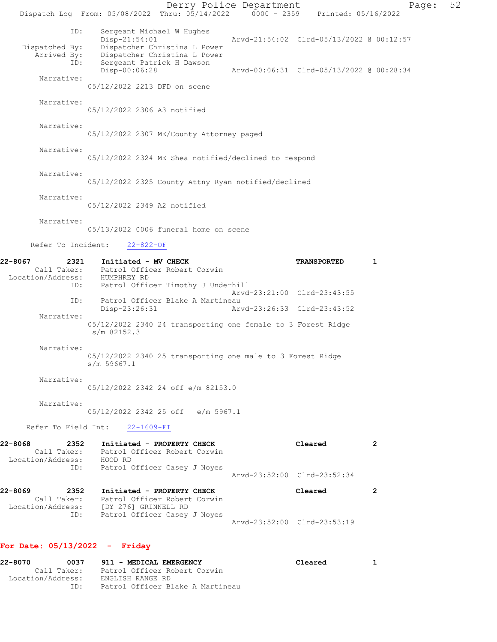Derry Police Department Fage: 52 Dispatch Log From: 05/08/2022 Thru: 05/14/2022 0000 - 2359 Printed: 05/16/2022 ID: Sergeant Michael W Hughes<br>Disp-21:54:01 Disp-21:54:01 Arvd-21:54:02 Clrd-05/13/2022 @ 00:12:57 Dispatched By: Dispatcher Christina L Power Arrived By: Dispatcher Christina L Power ID: Sergeant Patrick H Dawson Disp-00:06:28 Arvd-00:06:31 Clrd-05/13/2022 @ 00:28:34 Narrative: 05/12/2022 2213 DFD on scene Narrative: 05/12/2022 2306 A3 notified Narrative: 05/12/2022 2307 ME/County Attorney paged Narrative: 05/12/2022 2324 ME Shea notified/declined to respond Narrative: 05/12/2022 2325 County Attny Ryan notified/declined Narrative: 05/12/2022 2349 A2 notified Narrative: 05/13/2022 0006 funeral home on scene Refer To Incident: 22-822-OF 22-8067 2321 Initiated - MV CHECK TRANSPORTED 1 Call Taker: Patrol Officer Robert Corwin Location/Address: HUMPHREY RD ID: Patrol Officer Timothy J Underhill Arvd-23:21:00 Clrd-23:43:55 ID: Patrol Officer Blake A Martineau<br>Disp-23:26:31 Arvd-23:26:33 Clrd-23:43:52 Disp-23:26:31 Narrative: 05/12/2022 2340 24 transporting one female to 3 Forest Ridge s/m 82152.3 Narrative: 05/12/2022 2340 25 transporting one male to 3 Forest Ridge s/m 59667.1 Narrative: 05/12/2022 2342 24 off e/m 82153.0 Narrative: 05/12/2022 2342 25 off e/m 5967.1 Refer To Field Int: 22-1609-FI 22-8068 2352 Initiated - PROPERTY CHECK Cleared 2 Call Taker: Patrol Officer Robert Corwin Location/Address: HOOD RD ID: Patrol Officer Casey J Noyes Arvd-23:52:00 Clrd-23:52:34 22-8069 2352 Initiated - PROPERTY CHECK Cleared 2 Call Taker: Patrol Officer Robert Corwin Location/Address: [DY 276] GRINNELL RD ID: Patrol Officer Casey J Noyes Arvd-23:52:00 Clrd-23:53:19 For Date: 05/13/2022 - Friday

#### 22-8070 0037 911 - MEDICAL EMERGENCY Cleared 1 Call Taker: Patrol Officer Robert Corwin Location/Address: ENGLISH RANGE RD ID: Patrol Officer Blake A Martineau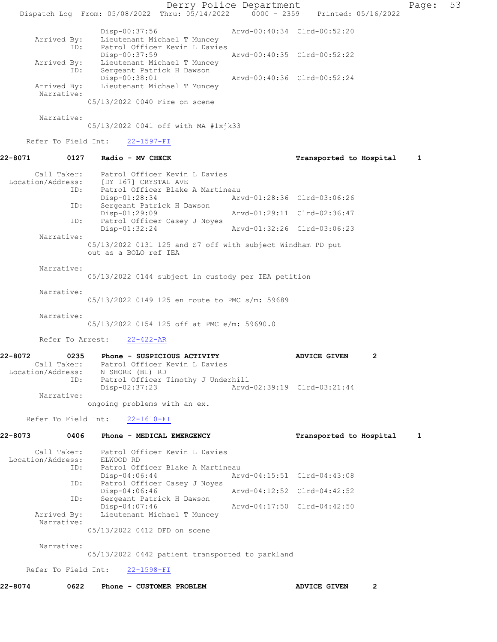Derry Police Department Page: 53 Dispatch Log From: 05/08/2022 Thru: 05/14/2022 0000 - 2359 Printed: 05/16/2022 Disp-00:37:56 Arvd-00:40:34 Clrd-00:52:20 Arrived By: Lieutenant Michael T Muncey ID: Patrol Officer Kevin L Davies Disp-00:37:59 Arvd-00:40:35 Clrd-00:52:22 Arrived By: Lieutenant Michael T Muncey ID: Sergeant Patrick H Dawson Disp-00:38:01 Arvd-00:40:36 Clrd-00:52:24 Arrived By: Lieutenant Michael T Muncey Narrative: 05/13/2022 0040 Fire on scene Narrative: 05/13/2022 0041 off with MA #1xjk33 Refer To Field Int: 22-1597-FI 22-8071 0127 Radio - MV CHECK Transported to Hospital 1 Call Taker: Patrol Officer Kevin L Davies Location/Address: [DY 167] CRYSTAL AVE ID: Patrol Officer Blake A Martineau<br>Disp-01:28:34 Art Disp-01:28:34 Arvd-01:28:36 Clrd-03:06:26<br>
Disp-01:29:09 Arvd-01:29:11 Clrd-02:36:47 Sergeant Patrick H Dawson Arvd-01:29:11 Clrd-02:36:47 ID: Patrol Officer Casey J Noyes<br>Disp-01:32:24 Disp-01:32:24 Arvd-01:32:26 Clrd-03:06:23 Narrative: 05/13/2022 0131 125 and S7 off with subject Windham PD put out as a BOLO ref IEA Narrative: 05/13/2022 0144 subject in custody per IEA petition Narrative: 05/13/2022 0149 125 en route to PMC s/m: 59689 Narrative: 05/13/2022 0154 125 off at PMC e/m: 59690.0 Refer To Arrest: 22-422-AR 22-8072 0235 Phone - SUSPICIOUS ACTIVITY ADVICE GIVEN 2 Call Taker: Patrol Officer Kevin L Davies Location/Address: N SHORE (BL) RD ID: Patrol Officer Timothy J Underhill Disp-02:37:23 Arvd-02:39:19 Clrd-03:21:44 Narrative: ongoing problems with an ex. Refer To Field Int: 22-1610-FI 22-8073 0406 Phone - MEDICAL EMERGENCY Transported to Hospital 1 Call Taker: Patrol Officer Kevin L Davies Location/Address: ELWOOD RD ID: Patrol Officer Blake A Martineau<br>Disp-04:06:44 Art Disp-04:06:44 Arvd-04:15:51 Clrd-04:43:08 ID: Patrol Officer Casey J Noyes<br>Disp-04:06:46 Disp-04:06:46 <br>
D: Sergeant Patrick H Dawson<br>
D: Sergeant Patrick H Dawson Sergeant Patrick H Dawson<br>Disp-04:07:46 Arvd-04:17:50 Clrd-04:42:50 Arrived By: Lieutenant Michael T Muncey Narrative: 05/13/2022 0412 DFD on scene Narrative: 05/13/2022 0442 patient transported to parkland Refer To Field Int: 22-1598-FI 22-8074 0622 Phone - CUSTOMER PROBLEM **ADVICE GIVEN** 2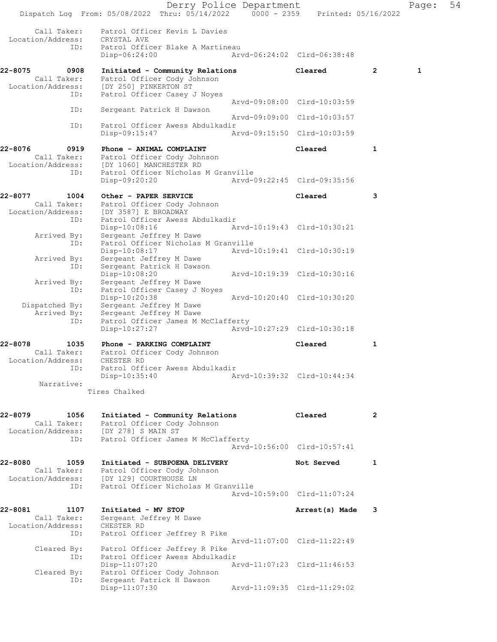|                                                            | Dispatch Log From: 05/08/2022 Thru: 05/14/2022 0000 - 2359 Printed: 05/16/2022                                                | Derry Police Department     |                             |              | Page:        | 54 |
|------------------------------------------------------------|-------------------------------------------------------------------------------------------------------------------------------|-----------------------------|-----------------------------|--------------|--------------|----|
| Call Taker:<br>Location/Address:<br>ID:                    | Patrol Officer Kevin L Davies<br>CRYSTAL AVE<br>Patrol Officer Blake A Martineau<br>$Disp-06:24:00$                           |                             | Arvd-06:24:02 Clrd-06:38:48 |              |              |    |
| 22-8075<br>0908<br>Call Taker:<br>Location/Address:<br>ID: | Initiated - Community Relations<br>Patrol Officer Cody Johnson<br>[DY 250] PINKERTON ST<br>Patrol Officer Casey J Noyes       |                             | Cleared                     | $\mathbf{2}$ | $\mathbf{1}$ |    |
| ID:                                                        | Sergeant Patrick H Dawson                                                                                                     |                             | Arvd-09:08:00 Clrd-10:03:59 |              |              |    |
| ID:                                                        | Patrol Officer Awess Abdulkadir                                                                                               |                             | Arvd-09:09:00 Clrd-10:03:57 |              |              |    |
|                                                            | $Disp-09:15:47$                                                                                                               |                             | Arvd-09:15:50 Clrd-10:03:59 |              |              |    |
| 22-8076<br>0919<br>Call Taker:<br>Location/Address:        | Phone - ANIMAL COMPLAINT<br>Patrol Officer Cody Johnson<br>[DY 1060] MANCHESTER RD                                            |                             | Cleared                     | 1            |              |    |
| ID:                                                        | Patrol Officer Nicholas M Granville<br>Disp-09:20:20                                                                          |                             | Arvd-09:22:45 Clrd-09:35:56 |              |              |    |
| 22-8077<br>1004<br>Call Taker:<br>Location/Address:        | Other - PAPER SERVICE<br>Patrol Officer Cody Johnson<br>[DY 3587] E BROADWAY                                                  |                             | Cleared                     | 3            |              |    |
| ID:<br>Arrived By:                                         | Patrol Officer Awess Abdulkadir<br>Disp-10:08:16<br>Sergeant Jeffrey M Dawe                                                   | Arvd-10:19:43 Clrd-10:30:21 |                             |              |              |    |
| ID:<br>Arrived By:                                         | Patrol Officer Nicholas M Granville<br>Disp-10:08:17<br>Sergeant Jeffrey M Dawe                                               |                             | Arvd-10:19:41 Clrd-10:30:19 |              |              |    |
| ID:<br>Arrived By:<br>ID:                                  | Sergeant Patrick H Dawson<br>Disp-10:08:20<br>Sergeant Jeffrey M Dawe<br>Patrol Officer Casey J Noyes                         |                             | Arvd-10:19:39 Clrd-10:30:16 |              |              |    |
| Dispatched By:<br>Arrived By:                              | Disp-10:20:38<br>Sergeant Jeffrey M Dawe<br>Sergeant Jeffrey M Dawe                                                           |                             | Arvd-10:20:40 Clrd-10:30:20 |              |              |    |
| ID:                                                        | Patrol Officer James M McClafferty<br>Disp-10:27:27                                                                           |                             | Arvd-10:27:29 Clrd-10:30:18 |              |              |    |
| 22-8078<br>1035<br>Call Taker:<br>Location/Address:        | Phone - PARKING COMPLAINT<br>Patrol Officer Cody Johnson<br>CHESTER RD                                                        |                             | Cleared                     | 1            |              |    |
| ID:<br>Narrative:                                          | Patrol Officer Awess Abdulkadir<br>Disp-10:35:40                                                                              |                             | Arvd-10:39:32 Clrd-10:44:34 |              |              |    |
|                                                            | Tires Chalked                                                                                                                 |                             |                             |              |              |    |
| 22-8079<br>1056<br>Call Taker:<br>Location/Address:<br>ID: | Initiated - Community Relations<br>Patrol Officer Cody Johnson<br>[DY 278] S MAIN ST<br>Patrol Officer James M McClafferty    |                             | Cleared                     | 2            |              |    |
|                                                            |                                                                                                                               |                             | Arvd-10:56:00 Clrd-10:57:41 |              |              |    |
| 22-8080<br>1059<br>Call Taker:<br>Location/Address:<br>ID: | Initiated - SUBPOENA DELIVERY<br>Patrol Officer Cody Johnson<br>[DY 129] COURTHOUSE LN<br>Patrol Officer Nicholas M Granville |                             | Not Served                  | 1            |              |    |
|                                                            |                                                                                                                               |                             | Arvd-10:59:00 Clrd-11:07:24 |              |              |    |
| 22-8081<br>1107<br>Call Taker:<br>Location/Address:<br>ID: | Initiated - MV STOP<br>Sergeant Jeffrey M Dawe<br>CHESTER RD<br>Patrol Officer Jeffrey R Pike                                 |                             | Arrest(s) Made              | 3            |              |    |
| Cleared By:<br>ID:                                         | Patrol Officer Jeffrey R Pike<br>Patrol Officer Awess Abdulkadir                                                              |                             | Arvd-11:07:00 Clrd-11:22:49 |              |              |    |
| Cleared By:<br>ID:                                         | $Disp-11:07:20$<br>Patrol Officer Cody Johnson<br>Sergeant Patrick H Dawson                                                   |                             | Arvd-11:07:23 Clrd-11:46:53 |              |              |    |
|                                                            | $Disp-11:07:30$                                                                                                               |                             | Arvd-11:09:35 Clrd-11:29:02 |              |              |    |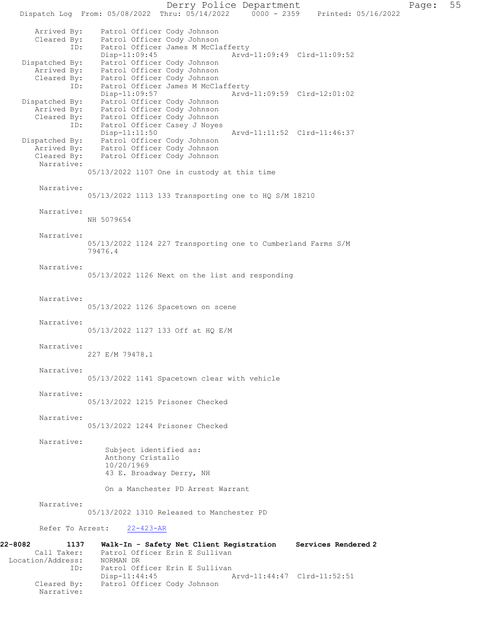Derry Police Department Page: 55 Dispatch Log From: 05/08/2022 Thru: 05/14/2022 0000 - 2359 Printed: 05/16/2022 Arrived By: Patrol Officer Cody Johnson Cleared By: Patrol Officer Cody Johnson ID: Patrol Officer James M McClafferty Disp-11:09:45 Arvd-11:09:49 Clrd-11:09:52 Dispatched By: Patrol Officer Cody Johnson Arrived By: Patrol Officer Cody Johnson Cleared By: Patrol Officer Cody Johnson ID: Patrol Officer James M McClafferty<br>Disp-11:09:57 Arvd Arvd-11:09:59 Clrd-12:01:02 Dispatched By: Patrol Officer Cody Johnson Arrived By: Patrol Officer Cody Johnson Cleared By: Patrol Officer Cody Johnson ID: Patrol Officer Casey J Noyes<br>Disp-11:11:50 Disp-11:11:50 Arvd-11:11:52 Clrd-11:46:37 Dispatched By: Patrol Officer Cody Johnson Arrived By: Patrol Officer Cody Johnson Cleared By: Patrol Officer Cody Johnson Narrative: 05/13/2022 1107 One in custody at this time Narrative: 05/13/2022 1113 133 Transporting one to HQ S/M 18210 Narrative: NH 5079654 Narrative: 05/13/2022 1124 227 Transporting one to Cumberland Farms S/M 79476.4 Narrative: 05/13/2022 1126 Next on the list and responding Narrative: 05/13/2022 1126 Spacetown on scene Narrative: 05/13/2022 1127 133 Off at HQ E/M Narrative: 227 E/M 79478.1 Narrative: 05/13/2022 1141 Spacetown clear with vehicle Narrative: 05/13/2022 1215 Prisoner Checked Narrative: 05/13/2022 1244 Prisoner Checked Narrative: Subject identified as: Anthony Cristallo 10/20/1969 43 E. Broadway Derry, NH On a Manchester PD Arrest Warrant Narrative: 05/13/2022 1310 Released to Manchester PD Refer To Arrest: 22-423-AR 22-8082 1137 Walk-In - Safety Net Client Registration Services Rendered 2 Call Taker: Patrol Officer Erin E Sullivan<br>.on/Address: NORMAN DR Location/Address: ID: Patrol Officer Erin E Sullivan<br>Disp-11:44:45 Disp-11:44:45 Arvd-11:44:47 Clrd-11:52:51<br>Cleared By: Patrol Officer Cody Johnson Patrol Officer Cody Johnson Narrative: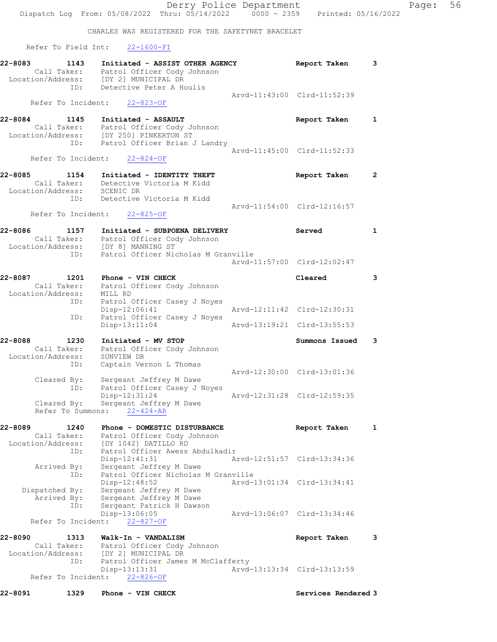CHARLES WAS REGISTERED FOR THE SAFETYNET BRACELET Refer To Field Int: 22-1600-FI 22-8083 1143 Initiated - ASSIST OTHER AGENCY Report Taken 3 Call Taker: Patrol Officer Cody Johnson Location/Address: [DY 2] MUNICIPAL DR ID: Detective Peter A Houlis Arvd-11:43:00 Clrd-11:52:39 Refer To Incident: 22-823-OF 22-8084 1145 Initiated - ASSAULT Report Taken 1 Call Taker: Patrol Officer Cody Johnson Location/Address: [DY 250] PINKERTON ST ID: Patrol Officer Brian J Landry Arvd-11:45:00 Clrd-11:52:33 Refer To Incident: 22-824-OF 22-8085 1154 Initiated - IDENTITY THEFT Report Taken 2 Call Taker: Detective Victoria M Kidd Location/Address: SCENIC DR ID: Detective Victoria M Kidd Arvd-11:54:00 Clrd-12:16:57 Refer To Incident: 22-825-OF 22-8086 1157 Initiated - SUBPOENA DELIVERY Served 1 Call Taker: Patrol Officer Cody Johnson Location/Address: [DY 8] MANNING ST ID: Patrol Officer Nicholas M Granville Arvd-11:57:00 Clrd-12:02:47 22-8087 1201 Phone - VIN CHECK Cleared 3 Call Taker: Patrol Officer Cody Johnson Location/Address: MILL RD ID: Patrol Officer Casey J Noyes Disp-12:06:41 Arvd-12:11:42 Clrd-12:30:31<br>ID: Patrol Officer Casey J Noyes Patrol Officer Casey J Noyes<br>Disp-13:11:04 Arvd-13:19:21 Clrd-13:55:53 22-8088 1230 Initiated - MV STOP Summons Issued 3 Call Taker: Patrol Officer Cody Johnson Location/Address: SUNVIEW DR ID: Captain Vernon L Thomas Arvd-12:30:00 Clrd-13:01:36 Cleared By: Sergeant Jeffrey M Dawe ID: Patrol Officer Casey J Noyes Disp-12:31:24 Arvd-12:31:28 Clrd-12:59:35 Cleared By: Sergeant Jeffrey M Dawe Refer To Summons: 22-424-AR 22-8089 1240 Phone - DOMESTIC DISTURBANCE Report Taken 1 Call Taker: Patrol Officer Cody Johnson Location/Address: [DY 1042] DATILLO RD ID: Patrol Officer Awess Abdulkadir Disp-12:41:31 Arvd-12:51:57 Clrd-13:34:36 Arrived By: Sergeant Jeffrey M Dawe ID: Patrol Officer Nicholas M Granville Disp-12:48:52 Arvd-13:01:34 Clrd-13:34:41 Dispatched By: Sergeant Jeffrey M Dawe Arrived By: Sergeant Jeffrey M Dawe ID: Sergeant Patrick H Dawson Disp-13:06:05 Arvd-13:06:07 Clrd-13:34:46 Disp-13:06:05<br>Refer To Incident: <u>22-827-OF</u> 22-8090 1313 Walk-In - VANDALISM 120 100 100 100 Report Taken 3 Call Taker: Patrol Officer Cody Johnson Location/Address: [DY 2] MUNICIPAL DR<br>ID: Patrol Officer James I Patrol Officer James M McClafferty<br>Disp-13:13:31 Arvd- Disp-13:13:31 Arvd-13:13:34 Clrd-13:13:59 Refer To Incident: 22-826-OF 22-8091 1329 Phone - VIN CHECK Services Rendered 3

Dispatch Log From: 05/08/2022 Thru: 05/14/2022 0000 - 2359 Printed: 05/16/2022

Derry Police Department Fage: 56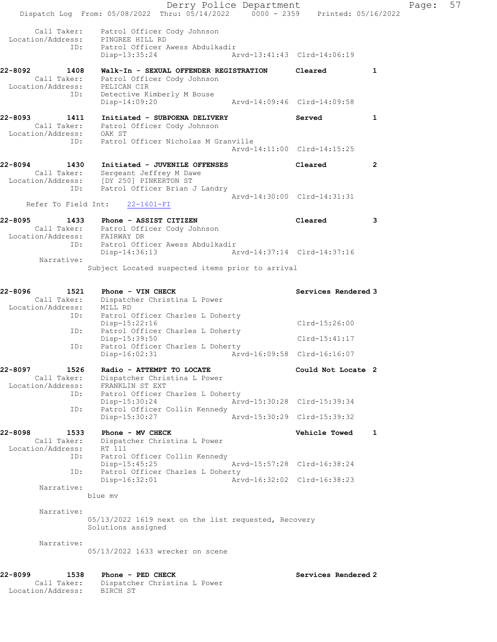Derry Police Department Fage: 57 Dispatch Log From: 05/08/2022 Thru: 05/14/2022 0000 - 2359 Printed: 05/16/2022 Call Taker: Patrol Officer Cody Johnson Location/Address: PINGREE HILL RD ID: Patrol Officer Awess Abdulkadir Disp-13:35:24 Arvd-13:41:43 Clrd-14:06:19 22-8092 1408 Walk-In - SEXUAL OFFENDER REGISTRATION Cleared 1 Call Taker: Patrol Officer Cody Johnson Location/Address: PELICAN CIR ID: Detective Kimberly M Bouse PELICAN CIR<br>Detective Kimberly M Bouse<br>- 14:09:20 Arvd-14:09:46 Clrd-14:09:58 22-8093 1411 Initiated - SUBPOENA DELIVERY Served 1 Call Taker: Patrol Officer Cody Johnson Location/Address: OAK ST ID: Patrol Officer Nicholas M Granville Arvd-14:11:00 Clrd-14:15:25 22-8094 1430 Initiated - JUVENILE OFFENSES Cleared 2 Call Taker: Sergeant Jeffrey M Dawe Location/Address: [DY 250] PINKERTON ST ID: Patrol Officer Brian J Landry Arvd-14:30:00 Clrd-14:31:31 Refer To Field Int: 22-1601-FI 22-8095 1433 Phone - ASSIST CITIZEN Cleared 3 Call Taker: Patrol Officer Cody Johnson Location/Address: FAIRWAY DR ID: Patrol Officer Awess Abdulkadir Disp-14:36:13 Arvd-14:37:14 Clrd-14:37:16 Narrative: Subject Located suspected items prior to arrival 22-8096 1521 Phone - VIN CHECK Services Rendered 3 Call Taker: Dispatcher Christina L Power Location/Address: MILL RD ID: Patrol Officer Charles L Doherty Disp-15:22:16 Clrd-15:26:00 ID: Patrol Officer Charles L Doherty Disp-15:39:50 Clrd-15:41:17<br>ID: Patrol Officer Charles L Doherty Patrol Officer Charles L Doherty<br>Disp-16:02:31 Arv Disp-16:02:31 Arvd-16:09:58 Clrd-16:16:07 22-8097 1526 Radio - ATTEMPT TO LOCATE 1988 1999 Could Not Locate 2 Call Taker: Dispatcher Christina L Power Location/Address: FRANKLIN ST EXT ID: Patrol Officer Charles L Doherty Disp-15:30:24 Arvd-15:30:28 Clrd-15:39:34 ID: Patrol Officer Collin Kennedy Disp-15:30:27 Arvd-15:30:29 Clrd-15:39:32 22-8098 1533 Phone - MV CHECK 2008 Vehicle Towed 1 Call Taker: Dispatcher Christina L Power Location/Address: RT 111 ID: Patrol Officer Collin Kennedy Disp-15:45:25 Arvd-15:57:28 Clrd-16:38:24 ID: Patrol Officer Charles L Doherty<br>Disp-16:32:01 Arvd-16:32:02 Clrd-16:38:23 Disp-16:32:01 Narrative: blue mv Narrative: 05/13/2022 1619 next on the list requested, Recovery Solutions assigned Narrative: 05/13/2022 1633 wrecker on scene 22-8099 1538 Phone - PED CHECK Services Rendered 2 Call Taker: Dispatcher Christina L Power Location/Address: BIRCH ST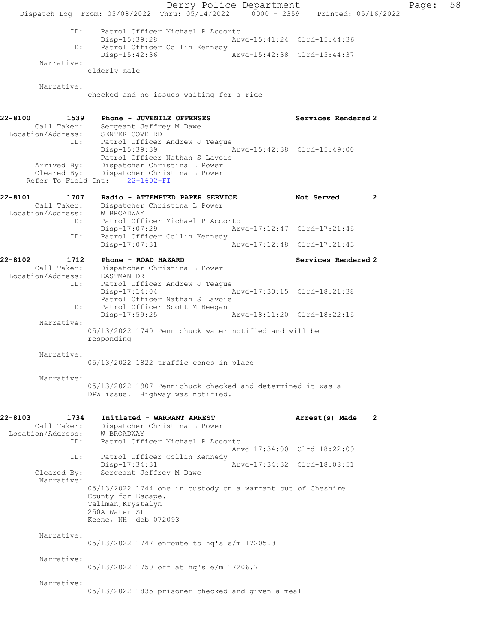Derry Police Department Fage: 58 Dispatch Log From: 05/08/2022 Thru: 05/14/2022 0000 - 2359 Printed: 05/16/2022 ID: Patrol Officer Michael P Accorto Disp-15:39:28 Arvd-15:41:24 Clrd-15:44:36<br>ID: Patrol Officer Collin Kennedy Patrol Officer Collin Kennedy Disp-15:42:36 Arvd-15:42:38 Clrd-15:44:37 Narrative: elderly male Narrative: checked and no issues waiting for a ride 22-8100 1539 Phone - JUVENILE OFFENSES Services Rendered 2 Call Taker: Sergeant Jeffrey M Dawe Location/Address: SENTER COVE RD ID: Patrol Officer Andrew J Teague<br>Disp-15:39:39 Disp-15:39:39 Arvd-15:42:38 Clrd-15:49:00 Patrol Officer Nathan S Lavoie Arrived By: Dispatcher Christina L Power Cleared By: Dispatcher Christina L Power Refer To Field Int: 22-1602-FI 22-8101 1707 Radio - ATTEMPTED PAPER SERVICE Not Served 2 Call Taker: Dispatcher Christina L Power Location/Address: W BROADWAY ID: Patrol Officer Michael P Accorto<br>Disp-17:07:29 Arv Arvd-17:12:47 Clrd-17:21:45 ID: Patrol Officer Collin Kennedy<br>Disp-17:07:31 Arvd-17:12:48 Clrd-17:21:43 22-8102 1712 Phone - ROAD HAZARD Services Rendered 2 Call Taker: Dispatcher Christina L Power Location/Address: EASTMAN DR ID: Patrol Officer Andrew J Teague<br>Disp-17:14:04 Arvd-17:30:15 Clrd-18:21:38 Patrol Officer Nathan S Lavoie<br>ID: Patrol Officer Scott M Beegan Patrol Officer Scott M Beegan<br>Disp-17:59:25 Arvd-18:11:20 Clrd-18:22:15 Narrative: 05/13/2022 1740 Pennichuck water notified and will be responding Narrative: 05/13/2022 1822 traffic cones in place Narrative: 05/13/2022 1907 Pennichuck checked and determined it was a DPW issue. Highway was notified. 22-8103 1734 Initiated - WARRANT ARREST **Arrest(s)** Made 2 Call Taker: Dispatcher Christina L Power Location/Address: W BROADWAY ID: Patrol Officer Michael P Accorto Arvd-17:34:00 Clrd-18:22:09 ID: Patrol Officer Collin Kennedy<br>Disp-17:34:31 Disp-17:34:31 Arvd-17:34:32 Clrd-18:08:51<br>Cleared By: Sergeant Jeffrey M Dawe Sergeant Jeffrey M Dawe Narrative: 05/13/2022 1744 one in custody on a warrant out of Cheshire County for Escape. Tallman, Krystalyn 250A Water St Keene, NH dob 072093 Narrative: 05/13/2022 1747 enroute to hq's s/m 17205.3 Narrative: 05/13/2022 1750 off at hq's e/m 17206.7 Narrative: 05/13/2022 1835 prisoner checked and given a meal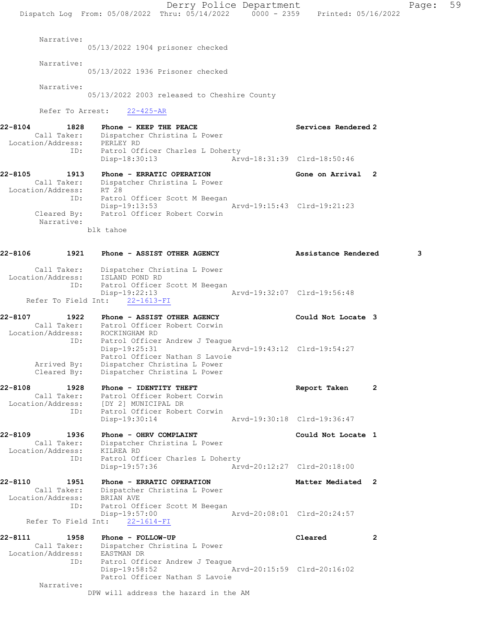Derry Police Department Fage: 59 Dispatch Log From: 05/08/2022 Thru: 05/14/2022 0000 - 2359 Printed: 05/16/2022 Narrative: 05/13/2022 1904 prisoner checked Narrative: 05/13/2022 1936 Prisoner checked Narrative: 05/13/2022 2003 released to Cheshire County Refer To Arrest: 22-425-AR 22-8104 1828 Phone - KEEP THE PEACE No. 22-8104 Services Rendered 2 Call Taker: Dispatcher Christina L Power Location/Address: PERLEY RD ID: Patrol Officer Charles L Doherty Disp-18:30:13 Arvd-18:31:39 Clrd-18:50:46 22-8105 1913 Phone - ERRATIC OPERATION 1980 Cone on Arrival 2 Call Taker: Dispatcher Christina L Power Location/Address: RT 28 ID: Patrol Officer Scott M Beegan<br>Disp-19:13:53 Disp-19:13:53 Arvd-19:15:43 Clrd-19:21:23 Cleared By: Patrol Officer Robert Corwin Narrative: blk tahoe 22-8106 1921 Phone - ASSIST OTHER AGENCY Assistance Rendered 3 Call Taker: Dispatcher Christina L Power Location/Address: ISLAND POND RD ID: Patrol Officer Scott M Beegan Disp-19:22:13 Arvd-19:32:07 Clrd-19:56:48 Refer To Field Int: 22-1613-FI 22-8107 1922 Phone - ASSIST OTHER AGENCY Could Not Locate 3 Call Taker: Patrol Officer Robert Corwin Location/Address: ROCKINGHAM RD ID: Patrol Officer Andrew J Teague Disp-19:25:31 Arvd-19:43:12 Clrd-19:54:27 Patrol Officer Nathan S Lavoie Arrived By: Dispatcher Christina L Power Cleared By: Dispatcher Christina L Power 22-8108 1928 Phone - IDENTITY THEFT CHERET Report Taken 2 Call Taker: Patrol Officer Robert Corwin Location/Address: [DY 2] MUNICIPAL DR ID: Patrol Officer Robert Corwin Disp-19:30:14 Arvd-19:30:18 Clrd-19:36:47 22-8109 1936 Phone - OHRV COMPLAINT Comment Could Not Locate 1 Call Taker: Dispatcher Christina L Power Location/Address: KILREA RD ID: Patrol Officer Charles L Doherty Disp-19:57:36 Arvd-20:12:27 Clrd-20:18:00 22-8110 1951 Phone - ERRATIC OPERATION Matter Mediated 2 Call Taker: Dispatcher Christina L Power Location/Address: BRIAN AVE ID: Patrol Officer Scott M Beegan Disp-19:57:00 Arvd-20:08:01 Clrd-20:24:57 Refer To Field Int: 22-1614-FI 22-8111 1958 Phone - FOLLOW-UP Cleared 2 Call Taker: Dispatcher Christina L Power Location/Address: EASTMAN DR ID: Patrol Officer Andrew J Teague Disp-19:58:52 Arvd-20:15:59 Clrd-20:16:02 Patrol Officer Nathan S Lavoie Narrative: DPW will address the hazard in the AM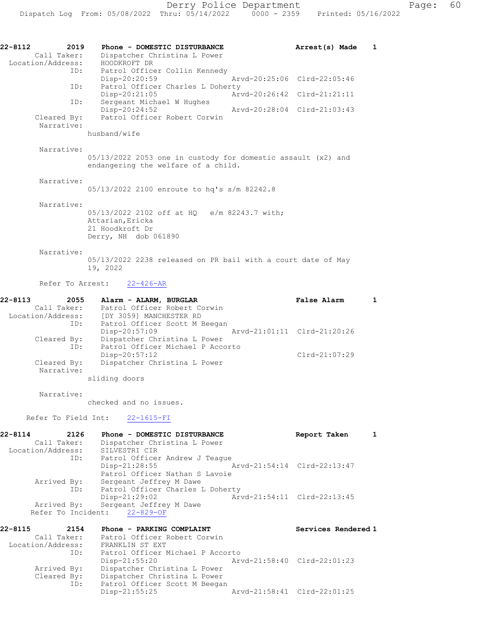| 22-8112<br>2019                  | Phone - DOMESTIC DISTURBANCE                                                                        | Arrest(s) Made              | 1            |
|----------------------------------|-----------------------------------------------------------------------------------------------------|-----------------------------|--------------|
| Call Taker:<br>Location/Address: | Dispatcher Christina L Power<br>HOODKROFT DR                                                        |                             |              |
| ID:                              | Patrol Officer Collin Kennedy                                                                       |                             |              |
| ID:                              | Disp-20:20:59<br>Patrol Officer Charles L Doherty                                                   | Arvd-20:25:06 Clrd-22:05:46 |              |
|                                  | Disp-20:21:05                                                                                       | Arvd-20:26:42 Clrd-21:21:11 |              |
| ID:                              | Sergeant Michael W Hughes<br>$Disp-20:24:52$                                                        | Arvd-20:28:04 Clrd-21:03:43 |              |
| Cleared By:<br>Narrative:        | Patrol Officer Robert Corwin                                                                        |                             |              |
|                                  | husband/wife                                                                                        |                             |              |
| Narrative:                       |                                                                                                     |                             |              |
|                                  | 05/13/2022 2053 one in custody for domestic assault (x2) and<br>endangering the welfare of a child. |                             |              |
| Narrative:                       |                                                                                                     |                             |              |
|                                  | 05/13/2022 2100 enroute to hq's s/m 82242.8                                                         |                             |              |
| Narrative:                       |                                                                                                     |                             |              |
|                                  | 05/13/2022 2102 off at HQ e/m 82243.7 with;<br>Attarian, Ericka                                     |                             |              |
|                                  | 21 Hoodkroft Dr                                                                                     |                             |              |
|                                  | Derry, NH dob 061890                                                                                |                             |              |
| Narrative:                       |                                                                                                     |                             |              |
|                                  | 05/13/2022 2238 released on PR bail with a court date of May<br>19, 2022                            |                             |              |
| Refer To Arrest:                 | $22 - 426 - AR$                                                                                     |                             |              |
| $22 - 8113$                      | 2055 Alarm - ALARM, BURGLAR                                                                         | <b>False Alarm</b>          | $\mathbf{1}$ |
| Call Taker:                      | Patrol Officer Robert Corwin<br>Location/Address: [DY 3059] MANCHESTER RD                           |                             |              |
| ID:                              | Patrol Officer Scott M Beegan                                                                       |                             |              |
|                                  | Disp-20:57:09                                                                                       | Arvd-21:01:11 Clrd-21:20:26 |              |
| Cleared By:<br>ID:               | Dispatcher Christina L Power<br>Patrol Officer Michael P Accorto                                    |                             |              |
|                                  | $Disp-20:57:12$                                                                                     | Clrd-21:07:29               |              |
| Cleared By:<br>Narrative:        | Dispatcher Christina L Power                                                                        |                             |              |
|                                  | sliding doors                                                                                       |                             |              |
| Narrative:                       |                                                                                                     |                             |              |
|                                  | checked and no issues.                                                                              |                             |              |
| Refer To Field Int:              | $22 - 1615 - FI$                                                                                    |                             |              |
| 22-8114<br>2126                  | Phone - DOMESTIC DISTURBANCE                                                                        | Report Taken                | 1            |

22-8114 2126 Phone - DOMESTIC DISTURBANCE Report Taken 1 Call Taker: Dispatcher Christina L Power Location/Address: SILVESTRI CIR ID: Patrol Officer Andrew J Teague Disp-21:28:55 Arvd-21:54:14 Clrd-22:13:47 Patrol Officer Nathan S Lavoie Arrived By: Sergeant Jeffrey M Dawe ID: Patrol Officer Charles L Doherty Disp-21:29:02 Arvd-21:54:11 Clrd-22:13:45 Arrived By: Sergeant Jeffrey M Dawe Refer To Incident: 22-829-OF

| 22-8115           | 2154        | Phone - PARKING COMPLAINT        | Services Rendered 1         |
|-------------------|-------------|----------------------------------|-----------------------------|
|                   | Call Taker: | Patrol Officer Robert Corwin     |                             |
| Location/Address: |             | FRANKLIN ST EXT                  |                             |
|                   | ID:         | Patrol Officer Michael P Accorto |                             |
|                   |             | $Disp-21:55:20$                  | Arvd-21:58:40 Clrd-22:01:23 |
|                   | Arrived By: | Dispatcher Christina L Power     |                             |
|                   | Cleared By: | Dispatcher Christina L Power     |                             |
|                   | ID:         | Patrol Officer Scott M Beegan    |                             |
|                   |             | $Disp-21:55:25$                  | Arvd-21:58:41 Clrd-22:01:25 |
|                   |             |                                  |                             |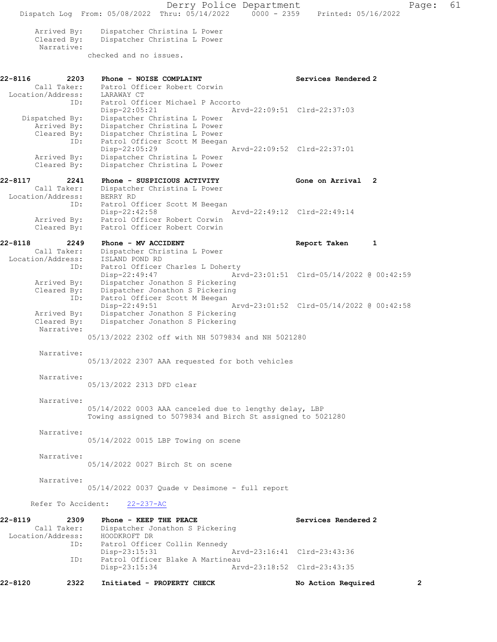Derry Police Department Page: 61 Dispatch Log From: 05/08/2022 Thru: 05/14/2022 0000 - 2359 Printed: 05/16/2022 Arrived By: Dispatcher Christina L Power<br>Cleared By: Dispatcher Christina L Power Dispatcher Christina L Power Narrative: checked and no issues. 22-8116 2203 Phone - NOISE COMPLAINT Services Rendered 2 Call Taker: Patrol Officer Robert Corwin Location/Address: LARAWAY CT ID: Patrol Officer Michael P Accorto Disp-22:05:21 Arvd-22:09:51 Clrd-22:37:03 Dispatched By: Dispatcher Christina L Power Arrived By: Dispatcher Christina L Power Cleared By: Dispatcher Christina L Power ID: Patrol Officer Scott M Beegan Disp-22:05:29 Arvd-22:09:52 Clrd-22:37:01 Arrived By: Dispatcher Christina L Power Cleared By: Dispatcher Christina L Power 22-8117 2241 Phone - SUSPICIOUS ACTIVITY Cone on Arrival 2 Call Taker: Dispatcher Christina L Power Location/Address: BERRY RD ID: Patrol Officer Scott M Beegan Disp-22:42:58 Arvd-22:49:12 Clrd-22:49:14 Arrived By: Patrol Officer Robert Corwin Cleared By: Patrol Officer Robert Corwin 22-8118 2249 Phone - MV ACCIDENT Report Taken 1 Call Taker: Dispatcher Christina L Power Location/Address: ISLAND POND RD ID: Patrol Officer Charles L Doherty<br>Disp-22:49:47 Art Arvd-23:01:51 Clrd-05/14/2022 @ 00:42:59 Arrived By: Dispatcher Jonathon S Pickering Cleared By: Dispatcher Jonathon S Pickering ID: Patrol Officer Scott M Beegan Disp-22:49:51 Arvd-23:01:52 Clrd-05/14/2022 @ 00:42:58 Arrived By: Dispatcher Jonathon S Pickering<br>Cleared By: Dispatcher Jonathon S Pickering Dispatcher Jonathon S Pickering Narrative: 05/13/2022 2302 off with NH 5079834 and NH 5021280 Narrative: 05/13/2022 2307 AAA requested for both vehicles Narrative: 05/13/2022 2313 DFD clear Narrative: 05/14/2022 0003 AAA canceled due to lengthy delay, LBP Towing assigned to 5079834 and Birch St assigned to 5021280 Narrative: 05/14/2022 0015 LBP Towing on scene Narrative: 05/14/2022 0027 Birch St on scene Narrative: 05/14/2022 0037 Quade v Desimone - full report Refer To Accident: 22-237-AC 22-8119 2309 Phone - KEEP THE PEACE Services Rendered 2 Call Taker: Dispatcher Jonathon S Pickering Location/Address: HOODKROFT DR<br>ID: Patrol Office Patrol Officer Collin Kennedy<br>Disp-23:15:31 Disp-23:15:31 Arvd-23:16:41 Clrd-23:43:36 ID: Patrol Officer Blake A Martineau<br>Disp-23:15:34 Art Arvd-23:18:52 Clrd-23:43:35 22-8120 2322 Initiated - PROPERTY CHECK No Action Required 2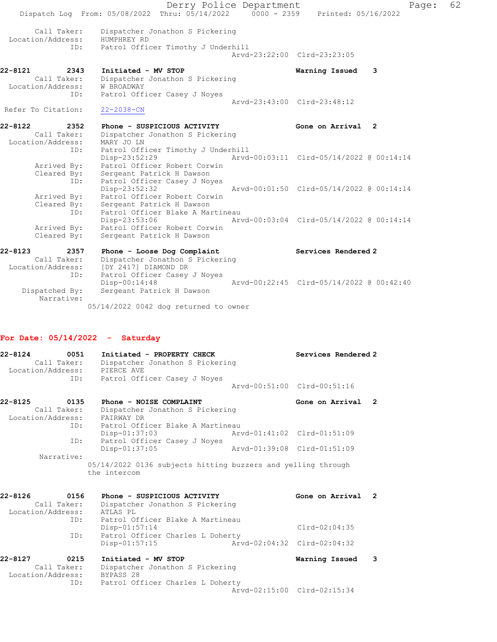|                    |                                         | Dispatch Log From: 05/08/2022 Thru: 05/14/2022 0000 - 2359                           | Derry Police Department | Printed: 05/16/2022                      | Page: | 62 |
|--------------------|-----------------------------------------|--------------------------------------------------------------------------------------|-------------------------|------------------------------------------|-------|----|
|                    | Call Taker:<br>Location/Address:<br>ID: | Dispatcher Jonathon S Pickering<br>HUMPHREY RD<br>Patrol Officer Timothy J Underhill |                         |                                          |       |    |
|                    |                                         |                                                                                      |                         | Arvd-23:22:00 Clrd-23:23:05              |       |    |
| 22-8121            | 2343                                    | Initiated - MV STOP                                                                  |                         | Warning Issued 3                         |       |    |
|                    | Call Taker:                             | Dispatcher Jonathon S Pickering                                                      |                         |                                          |       |    |
|                    | Location/Address:                       | W BROADWAY                                                                           |                         |                                          |       |    |
|                    | ID:                                     | Patrol Officer Casey J Noyes                                                         |                         |                                          |       |    |
|                    |                                         |                                                                                      |                         | Arvd-23:43:00 Clrd-23:48:12              |       |    |
| Refer To Citation: |                                         | $22 - 2038 - CN$                                                                     |                         |                                          |       |    |
| 22-8122            | 2352                                    | Phone - SUSPICIOUS ACTIVITY                                                          |                         | Gone on Arrival 2                        |       |    |
|                    | Call Taker:                             | Dispatcher Jonathon S Pickering                                                      |                         |                                          |       |    |
|                    | Location/Address:                       | MARY JO LN                                                                           |                         |                                          |       |    |
|                    | ID:                                     | Patrol Officer Timothy J Underhill                                                   |                         |                                          |       |    |
|                    |                                         | Disp-23:52:29                                                                        |                         | Arvd-00:03:11 Clrd-05/14/2022 @ 00:14:14 |       |    |
|                    | Arrived By:                             | Patrol Officer Robert Corwin                                                         |                         |                                          |       |    |
|                    | Cleared By:                             | Sergeant Patrick H Dawson                                                            |                         |                                          |       |    |
|                    | ID:                                     | Patrol Officer Casey J Noyes<br>Disp-23:52:32                                        |                         | Arvd-00:01:50 Clrd-05/14/2022 @ 00:14:14 |       |    |
|                    | Arrived By:                             | Patrol Officer Robert Corwin                                                         |                         |                                          |       |    |
|                    | Cleared By:                             | Sergeant Patrick H Dawson                                                            |                         |                                          |       |    |
|                    | ID:                                     | Patrol Officer Blake A Martineau                                                     |                         |                                          |       |    |
|                    |                                         | Disp-23:53:06                                                                        |                         | Arvd-00:03:04 Clrd-05/14/2022 @ 00:14:14 |       |    |
|                    | Arrived By:                             | Patrol Officer Robert Corwin                                                         |                         |                                          |       |    |
|                    | Cleared By:                             | Sergeant Patrick H Dawson                                                            |                         |                                          |       |    |
|                    |                                         |                                                                                      |                         |                                          |       |    |
| $22 - 8123$        | 2357                                    | Phone - Loose Dog Complaint                                                          |                         | Services Rendered 2                      |       |    |
|                    | Call Taker:                             | Dispatcher Jonathon S Pickering                                                      |                         |                                          |       |    |
|                    | Location/Address:                       | [DY 2417] DIAMOND DR                                                                 |                         |                                          |       |    |
|                    | ID:                                     | Patrol Officer Casey J Noyes                                                         |                         |                                          |       |    |
|                    |                                         | Disp-00:14:48                                                                        |                         | Arvd-00:22:45 Clrd-05/14/2022 @ 00:42:40 |       |    |
|                    | Dispatched By:                          | Sergeant Patrick H Dawson                                                            |                         |                                          |       |    |

05/14/2022 0042 dog returned to owner

## For Date: 05/14/2022 - Saturday

Narrative:

| 22-8124<br>0051<br>Call Taker:<br>Location/Address: | Initiated - PROPERTY CHECK<br>Dispatcher Jonathon S Pickering<br>PIERCE AVE  |                             | Services Rendered 2         |                |
|-----------------------------------------------------|------------------------------------------------------------------------------|-----------------------------|-----------------------------|----------------|
| ID:                                                 | Patrol Officer Casey J Noyes                                                 |                             | Arvd-00:51:00 Clrd-00:51:16 |                |
| 0135<br>$22 - 8125$                                 | Phone - NOISE COMPLAINT                                                      |                             | Gone on Arrival             | $\overline{2}$ |
| Call Taker:<br>Location/Address:                    | Dispatcher Jonathon S Pickering<br>FAIRWAY DR                                |                             |                             |                |
| ID:<br>ID:                                          | Patrol Officer Blake A Martineau<br>$Disp-01:37:03$                          |                             | Arvd-01:41:02 Clrd-01:51:09 |                |
| Narrative:                                          | Patrol Officer Casey J Noyes<br>Disp-01:37:05                                | Aryd-01:39:08 Clrd-01:51:09 |                             |                |
|                                                     | 05/14/2022 0136 subjects hitting buzzers and yelling through<br>the intercom |                             |                             |                |
| 22-8126<br>0156<br>Call Taker:                      | Phone - SUSPICIOUS ACTIVITY<br>Dispatcher Jonathon S Pickering               |                             | Gone on Arrival             | $\overline{2}$ |
| Location/Address:<br>ID:                            | ATLAS PL<br>Patrol Officer Blake A Martineau<br>Disp-01:57:14                |                             | $Clrd-02:04:35$             |                |
| ID:                                                 | Patrol Officer Charles L Doherty<br>Disp-01:57:15                            | Arvd-02:04:32 Clrd-02:04:32 |                             |                |
| 0215<br>22-8127<br>Call Taker:<br>Location/Address: | Initiated - MV STOP<br>Dispatcher Jonathon S Pickering<br>BYPASS 28          |                             | Warning Issued              | 3              |
| ID:                                                 | Patrol Officer Charles L Doherty                                             |                             | Arvd-02:15:00 Clrd-02:15:34 |                |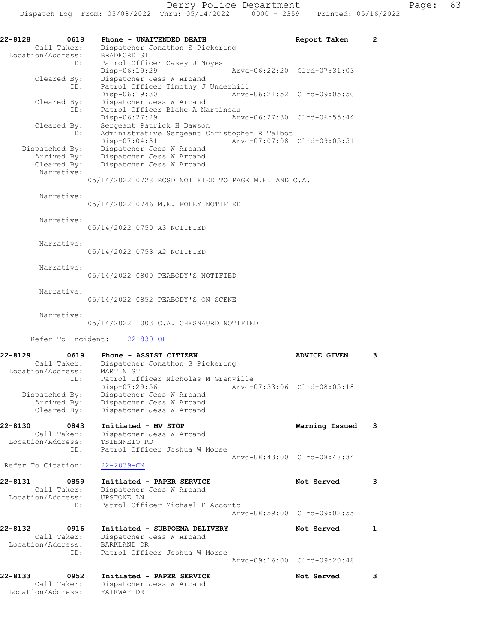Call Taker: Dispatcher Jonathon S Pickering

 Location/Address: BRADFORD ST ID: Patrol Officer Casey J Noyes Disp-06:19:29 Arvd-06:22:20 Clrd-07:31:03 Cleared By: Dispatcher Jess W Arcand ID: Patrol Officer Timothy J Underhill Disp-06:19:30 Arvd-06:21:52 Clrd-09:05:50 Cleared By: Dispatcher Jess W Arcand ID: Patrol Officer Blake A Martineau Disp-06:27:29 Arvd-06:27:30 Clrd-06:55:44 Cleared By: Sergeant Patrick H Dawson ID: Administrative Sergeant Christopher R Talbot Disp-07:04:31 Arvd-07:07:08 Clrd-09:05:51 Dispatched By: Dispatcher Jess W Arcand Arrived By: Dispatcher Jess W Arcand Cleared By: Dispatcher Jess W Arcand Narrative: 05/14/2022 0728 RCSD NOTIFIED TO PAGE M.E. AND C.A. Narrative: 05/14/2022 0746 M.E. FOLEY NOTIFIED Narrative: 05/14/2022 0750 A3 NOTIFIED Narrative: 05/14/2022 0753 A2 NOTIFIED Narrative: 05/14/2022 0800 PEABODY'S NOTIFIED Narrative: 05/14/2022 0852 PEABODY'S ON SCENE Narrative: 05/14/2022 1003 C.A. CHESNAURD NOTIFIED Refer To Incident: 22-830-OF 22-8129 0619 Phone - ASSIST CITIZEN ADVICE GIVEN 3 Call Taker: Dispatcher Jonathon S Pickering Location/Address: MARTIN ST ID: Patrol Officer Nicholas M Granville Disp-07:29:56 Arvd-07:33:06 Clrd-08:05:18 Dispatched By: Dispatcher Jess W Arcand Arrived By: Dispatcher Jess W Arcand Cleared By: Dispatcher Jess W Arcand 22-8130 0843 Initiated - MV STOP Warning Issued 3 Call Taker: Dispatcher Jess W Arcand Location/Address: TSIENNETO RD ID: Patrol Officer Joshua W Morse Arvd-08:43:00 Clrd-08:48:34 Refer To Citation: 22-2039-CN 22-8131 0859 Initiated - PAPER SERVICE Not Served 3 Call Taker: Dispatcher Jess W Arcand Location/Address: UPSTONE LN ID: Patrol Officer Michael P Accorto Arvd-08:59:00 Clrd-09:02:55 22-8132 0916 Initiated - SUBPOENA DELIVERY Not Served 1 Call Taker: Dispatcher Jess W Arcand Location/Address: BARKLAND DR ID: Patrol Officer Joshua W Morse Arvd-09:16:00 Clrd-09:20:48 22-8133 0952 Initiated - PAPER SERVICE Not Served 3 Call Taker: Dispatcher Jess W Arcand Location/Address: FAIRWAY DR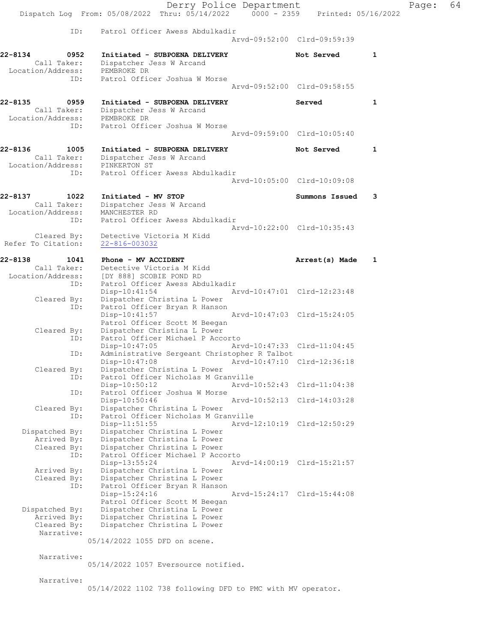|                                                            | Derry Police Department<br>Thru: $05/14/2022$ 0000 - 2359<br>Dispatch Log From: 05/08/2022                                                     |                                                            |                             | Printed: 05/16/2022 |
|------------------------------------------------------------|------------------------------------------------------------------------------------------------------------------------------------------------|------------------------------------------------------------|-----------------------------|---------------------|
| ID:                                                        | Patrol Officer Awess Abdulkadir                                                                                                                |                                                            | Arvd-09:52:00 Clrd-09:59:39 |                     |
| 22-8134<br>0952<br>Call Taker:<br>Location/Address:        | Initiated - SUBPOENA DELIVERY<br>Dispatcher Jess W Arcand<br>PEMBROKE DR                                                                       |                                                            | Not Served                  | 1                   |
| ID:                                                        | Patrol Officer Joshua W Morse                                                                                                                  | Arvd-09:52:00 Clrd-09:58:55                                |                             |                     |
| 22-8135<br>0959<br>Call Taker:<br>Location/Address:<br>ID: | Initiated - SUBPOENA DELIVERY<br>Dispatcher Jess W Arcand<br>PEMBROKE DR<br>Patrol Officer Joshua W Morse                                      |                                                            | Served                      | 1                   |
|                                                            |                                                                                                                                                | Arvd-09:59:00 Clrd-10:05:40                                |                             |                     |
| 22-8136<br>1005<br>Call Taker:<br>Location/Address:        | Initiated - SUBPOENA DELIVERY<br>Dispatcher Jess W Arcand<br>PINKERTON ST                                                                      |                                                            | Not Served                  | 1                   |
| ID:                                                        | Patrol Officer Awess Abdulkadir                                                                                                                |                                                            | Arvd-10:05:00 Clrd-10:09:08 |                     |
| 22-8137<br>1022<br>Call Taker:<br>Location/Address:        | Initiated - MV STOP<br>Dispatcher Jess W Arcand<br>MANCHESTER RD                                                                               |                                                            | Summons Issued              | 3                   |
| ID:<br>Cleared By:<br>Refer To Citation:                   | Patrol Officer Awess Abdulkadir<br>Detective Victoria M Kidd<br>22-816-003032                                                                  | Arvd-10:22:00 Clrd-10:35:43                                |                             |                     |
| 22-8138<br>1041                                            | Phone - MV ACCIDENT                                                                                                                            |                                                            | Arrest(s) Made              | 1                   |
| Call Taker:<br>Location/Address:<br>ID:                    | Detective Victoria M Kidd<br>[DY 888] SCOBIE POND RD<br>Patrol Officer Awess Abdulkadir                                                        |                                                            |                             |                     |
| Cleared By:<br>ID:                                         | $Disp-10:41:54$<br>Dispatcher Christina L Power<br>Patrol Officer Bryan R Hanson                                                               | Arvd-10:47:01 Clrd-12:23:48                                |                             |                     |
| Cleared By:                                                | $Disp-10:41:57$<br>Patrol Officer Scott M Beegan<br>Dispatcher Christina L Power                                                               | Arvd-10:47:03 Clrd-15:24:05                                |                             |                     |
| ID:<br>ID:                                                 | Patrol Officer Michael P Accorto<br>$Disp-10:47:05$<br>Administrative Sergeant Christopher R Talbot                                            | Arvd-10:47:33 Clrd-11:04:45                                |                             |                     |
| Cleared By:<br>ID:                                         | Disp-10:47:08<br>Dispatcher Christina L Power<br>Patrol Officer Nicholas M Granville                                                           |                                                            | Arvd-10:47:10 Clrd-12:36:18 |                     |
| ID:                                                        | Disp-10:50:12<br>Patrol Officer Joshua W Morse<br>Disp-10:50:46                                                                                | Arvd-10:52:43 Clrd-11:04:38<br>Arvd-10:52:13 Clrd-14:03:28 |                             |                     |
| Cleared By:<br>ID:                                         | Dispatcher Christina L Power<br>Patrol Officer Nicholas M Granville<br>Disp-11:51:55                                                           |                                                            | Arvd-12:10:19 Clrd-12:50:29 |                     |
| Dispatched By:<br>Arrived By:<br>Cleared By:<br>ID:        | Dispatcher Christina L Power<br>Dispatcher Christina L Power<br>Dispatcher Christina L Power<br>Patrol Officer Michael P Accorto               |                                                            |                             |                     |
| Arrived By:<br>Cleared By:<br>ID:                          | Disp-13:55:24<br>Dispatcher Christina L Power<br>Dispatcher Christina L Power<br>Patrol Officer Bryan R Hanson                                 | Arvd-14:00:19 Clrd-15:21:57                                |                             |                     |
| Dispatched By:<br>Arrived By:<br>Cleared By:               | Disp-15:24:16<br>Patrol Officer Scott M Beegan<br>Dispatcher Christina L Power<br>Dispatcher Christina L Power<br>Dispatcher Christina L Power | Arvd-15:24:17 Clrd-15:44:08                                |                             |                     |
| Narrative:                                                 | 05/14/2022 1055 DFD on scene.                                                                                                                  |                                                            |                             |                     |
| Narrative:                                                 | 05/14/2022 1057 Eversource notified.                                                                                                           |                                                            |                             |                     |
| Narrative:                                                 | 05/14/2022 1102 738 following DFD to PMC with MV operator.                                                                                     |                                                            |                             |                     |

Page: 64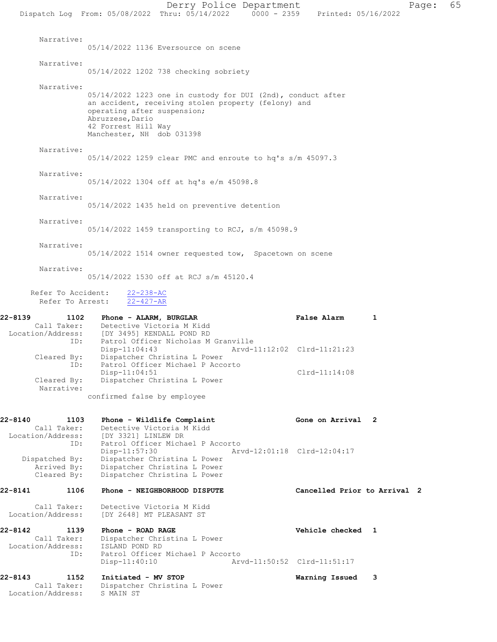Derry Police Department Page: 65 Dispatch Log From: 05/08/2022 Thru: 05/14/2022 0000 - 2359 Printed: 05/16/2022 Narrative: 05/14/2022 1136 Eversource on scene Narrative: 05/14/2022 1202 738 checking sobriety Narrative: 05/14/2022 1223 one in custody for DUI (2nd), conduct after an accident, receiving stolen property (felony) and operating after suspension; Abruzzese, Dario 42 Forrest Hill Way Manchester, NH dob 031398 Narrative: 05/14/2022 1259 clear PMC and enroute to hq's s/m 45097.3 Narrative: 05/14/2022 1304 off at hq's e/m 45098.8 Narrative: 05/14/2022 1435 held on preventive detention Narrative: 05/14/2022 1459 transporting to RCJ, s/m 45098.9 Narrative: 05/14/2022 1514 owner requested tow, Spacetown on scene Narrative: 05/14/2022 1530 off at RCJ s/m 45120.4 Refer To Accident: 22-238-AC Refer To Arrest: 22-427-AR 22-8139 1102 Phone - ALARM, BURGLAR 1 False Alarm 1 Call Taker: Detective Victoria M Kidd Location/Address: [DY 3495] KENDALL POND RD ID: Patrol Officer Nicholas M Granville Disp-11:04:43 Arvd-11:12:02 Clrd-11:21:23 Cleared By: Dispatcher Christina L Power ID: Patrol Officer Michael P Accorto Disp-11:04:51 Cleared By: Dispatcher Christina L Power Cleared By: Dispatcher Christina L Power Dispatcher Christina L Power Narrative: confirmed false by employee 22-8140 1103 Phone - Wildlife Complaint Cone on Arrival 2 Call Taker: Detective Victoria M Kidd Location/Address: [DY 3321] LINLEW DR ID: Patrol Officer Michael P Accorto<br>Disp-11:57:30 Arv Disp-11:57:30 Arvd-12:01:18 Clrd-12:04:17<br>Dispatched By: Dispatcher Christina L Power spatched By: Dispatcher Christina L Power<br>Arrived By: Dispatcher Christina L Power Dispatcher Christina L Power Cleared By: Dispatcher Christina L Power 22-8141 1106 Phone - NEIGHBORHOOD DISPUTE Cancelled Prior to Arrival 2 Call Taker: Detective Victoria M Kidd Location/Address: [DY 2648] MT PLEASANT ST 22-8142 1139 Phone - ROAD RAGE Vehicle checked 1 Call Taker: Dispatcher Christina L Power Location/Address: ISLAND POND RD ID: Patrol Officer Michael P Accorto<br>Disp-11:40:10 Arv Arvd-11:50:52 Clrd-11:51:17 22-8143 1152 Initiated - MV STOP Warning Issued 3 Call Taker: Dispatcher Christina L Power Location/Address: S MAIN ST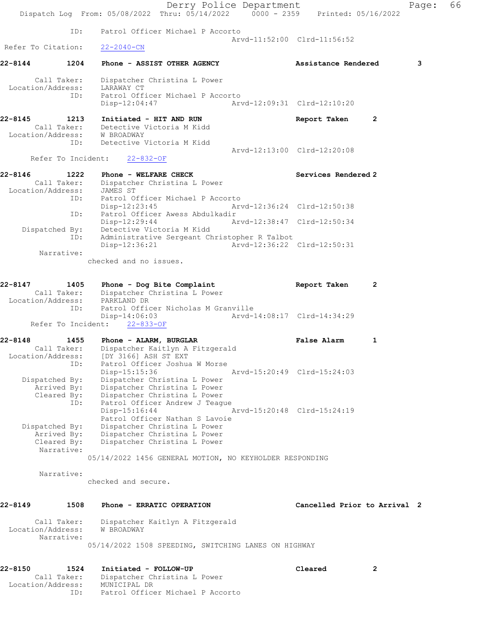Derry Police Department Page: 66 Dispatch Log From: 05/08/2022 Thru: 05/14/2022 0000 - 2359 Printed: 05/16/2022 ID: Patrol Officer Michael P Accorto Arvd-11:52:00 Clrd-11:56:52 Refer To Citation: 22-2040-CN 22-8144 1204 Phone - ASSIST OTHER AGENCY Assistance Rendered 3 Call Taker: Dispatcher Christina L Power Location/Address: LARAWAY CT ID: Patrol Officer Michael P Accorto Disp-12:04:47 Arvd-12:09:31 Clrd-12:10:20 22-8145 1213 Initiated - HIT AND RUN Report Taken 2 Call Taker: Detective Victoria M Kidd Location/Address: W BROADWAY ID: Detective Victoria M Kidd Arvd-12:13:00 Clrd-12:20:08 Refer To Incident: 22-832-OF 22-8146 1222 Phone - WELFARE CHECK Services Rendered 2 Call Taker: Dispatcher Christina L Power Location/Address: JAMES ST ID: Patrol Officer Michael P Accorto<br>Disp-12:23:45 Arv Disp-12:23:45 Arvd-12:36:24 Clrd-12:50:38<br>ID: Patrol Officer Awess Abdulkadir Patrol Officer Awess Abdulkadir<br>Disp-12:29:44 Am Disp-12:29:44 Arvd-12:38:47 Clrd-12:50:34 Dispatched By: Detective Victoria M Kidd ID: Administrative Sergeant Christopher R Talbot Disp-12:36:21 Arvd-12:36:22 Clrd-12:50:31 Narrative: checked and no issues. 22-8147 1405 Phone - Dog Bite Complaint 12 Report Taken 2 Call Taker: Dispatcher Christina L Power Location/Address: PARKLAND DR ID: Patrol Officer Nicholas M Granville Disp-14:06:03 Arvd-14:08:17 Clrd-14:34:29 Refer To Incident: 22-833-OF 22-8148 1455 Phone - ALARM, BURGLAR 1 1 False Alarm 1 Call Taker: Dispatcher Kaitlyn A Fitzgerald Location/Address: [DY 3166] ASH ST EXT ID: Patrol Officer Joshua W Morse Disp-15:15:36 Arvd-15:20:49 Clrd-15:24:03 Dispatched By: Dispatcher Christina L Power Arrived By: Dispatcher Christina L Power Cleared By: Dispatcher Christina L Power ID: Patrol Officer Andrew J Teague<br>Disp-15:16:44 Disp-15:16:44 Arvd-15:20:48 Clrd-15:24:19 Patrol Officer Nathan S Lavoie Dispatched By: Dispatcher Christina L Power Arrived By: Dispatcher Christina L Power Cleared By: Dispatcher Christina L Power Narrative: 05/14/2022 1456 GENERAL MOTION, NO KEYHOLDER RESPONDING Narrative: checked and secure. 22-8149 1508 Phone - ERRATIC OPERATION Cancelled Prior to Arrival 2 Call Taker: Dispatcher Kaitlyn A Fitzgerald Location/Address: W BROADWAY Narrative: 05/14/2022 1508 SPEEDING, SWITCHING LANES ON HIGHWAY 22-8150 1524 Initiated - FOLLOW-UP Cleared 2 Call Taker: Dispatcher Christina L Power Location/Address: MUNICIPAL DR

ID: Patrol Officer Michael P Accorto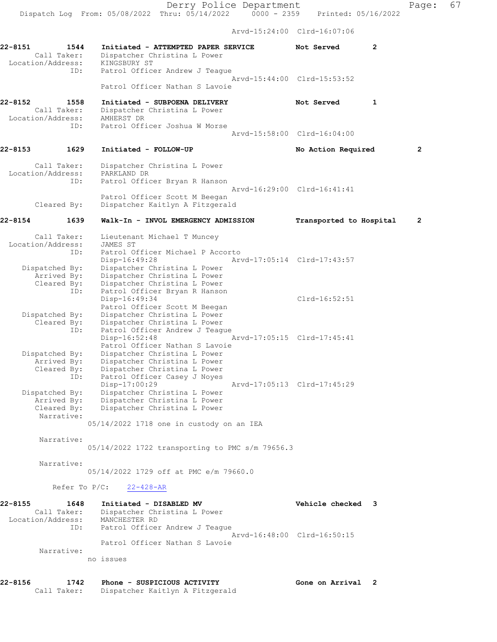Arvd-15:24:00 Clrd-16:07:06

22-8151 1544 Initiated - ATTEMPTED PAPER SERVICE Not Served 2 Call Taker: Dispatcher Christina L Power Location/Address: KINGSBURY ST ID: Patrol Officer Andrew J Teague Arvd-15:44:00 Clrd-15:53:52 Patrol Officer Nathan S Lavoie 22-8152 1558 Initiated - SUBPOENA DELIVERY 1 Not Served 1 Call Taker: Dispatcher Christina L Power Location/Address: AMHERST DR ID: Patrol Officer Joshua W Morse Arvd-15:58:00 Clrd-16:04:00 22-8153 1629 Initiated - FOLLOW-UP No Action Required 2 Call Taker: Dispatcher Christina L Power Location/Address: PARKLAND DR ID: Patrol Officer Bryan R Hanson Arvd-16:29:00 Clrd-16:41:41 Patrol Officer Scott M Beegan<br>Cleared By: Dispatcher Kaitlyn A Fitzgera Dispatcher Kaitlyn A Fitzgerald 22-8154 1639 Walk-In - INVOL EMERGENCY ADMISSION Transported to Hospital 2 Call Taker: Lieutenant Michael T Muncey Location/Address: JAMES ST ID: Patrol Officer Michael P Accorto Disp-16:49:28 Arvd-17:05:14 Clrd-17:43:57 Dispatched By: Dispatcher Christina L Power Arrived By: Dispatcher Christina L Power Cleared By: Dispatcher Christina L Power ID: Patrol Officer Bryan R Hanson Disp-16:49:34 Clrd-16:52:51 Patrol Officer Scott M Beegan Dispatched By: Dispatcher Christina L Power Cleared By: Dispatcher Christina L Power ID: Patrol Officer Andrew J Teague<br>Disp-16:52:48 Disp-16:52:48 Arvd-17:05:15 Clrd-17:45:41 Patrol Officer Nathan S Lavoie Dispatched By: Dispatcher Christina L Power Arrived By: Dispatcher Christina L Power Cleared By: Dispatcher Christina L Power ID: Patrol Officer Casey J Noyes<br>Disp-17:00:29 Disp-17:00:29 Arvd-17:05:13 Clrd-17:45:29 Dispatched By: Dispatcher Christina L Power Arrived By: Dispatcher Christina L Power Cleared By: Dispatcher Christina L Power Narrative: 05/14/2022 1718 one in custody on an IEA Narrative: 05/14/2022 1722 transporting to PMC s/m 79656.3 Narrative: 05/14/2022 1729 off at PMC e/m 79660.0 Refer To P/C: 22-428-AR 22-8155 1648 Initiated - DISABLED MV Vehicle checked 3 Call Taker: Dispatcher Christina L Power Location/Address: MANCHESTER RD ID: Patrol Officer Andrew J Teague Arvd-16:48:00 Clrd-16:50:15 Patrol Officer Nathan S Lavoie Narrative: no issues

22-8156 1742 Phone - SUSPICIOUS ACTIVITY Gone on Arrival 2

Call Taker: Dispatcher Kaitlyn A Fitzgerald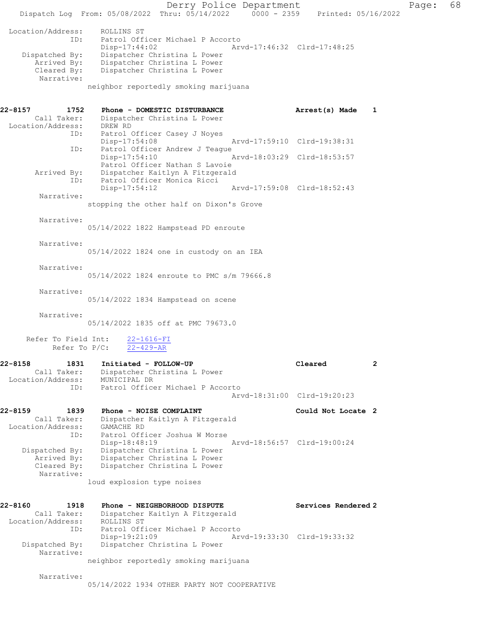Derry Police Department Fage: 68 Dispatch Log From: 05/08/2022 Thru: 05/14/2022 0000 - 2359 Printed: 05/16/2022 Location/Address: ROLLINS ST ID: Patrol Officer Michael P Accorto Disp-17:44:02 Arvd-17:46:32 Clrd-17:48:25 Dispatched By: Dispatcher Christina L Power Arrived By: Dispatcher Christina L Power Cleared By: Dispatcher Christina L Power Narrative: neighbor reportedly smoking marijuana 22-8157 1752 Phone - DOMESTIC DISTURBANCE Arrest(s) Made 1 Call Taker: Dispatcher Christina L Power Location/Address: DREW RD ID: Patrol Officer Casey J Noyes<br>Disp-17:54:08 Disp-17:54:08 Arvd-17:59:10 Clrd-19:38:31 ID: Patrol Officer Andrew J Teague<br>Disp-17:54:10 Arvd-18:03:29 Clrd-18:53:57 Patrol Officer Nathan S Lavoie Arrived By: Dispatcher Kaitlyn A Fitzgerald ID: Patrol Officer Monica Ricci Disp-17:54:12 Arvd-17:59:08 Clrd-18:52:43 Narrative: stopping the other half on Dixon's Grove Narrative: 05/14/2022 1822 Hampstead PD enroute Narrative: 05/14/2022 1824 one in custody on an IEA Narrative: 05/14/2022 1824 enroute to PMC s/m 79666.8 Narrative: 05/14/2022 1834 Hampstead on scene Narrative: 05/14/2022 1835 off at PMC 79673.0 Refer To Field Int:  $\frac{22-1616-FI}{22-429-R}$ Refer To P/C: 22-8158 1831 Initiated - FOLLOW-UP Cleared 2 Call Taker: Dispatcher Christina L Power Location/Address: MUNICIPAL DR ID: Patrol Officer Michael P Accorto Arvd-18:31:00 Clrd-19:20:23 22-8159 1839 Phone - NOISE COMPLAINT Could Not Locate 2 Call Taker: Dispatcher Kaitlyn A Fitzgerald Location/Address: GAMACHE RD ID: Patrol Officer Joshua W Morse Disp-18:48:19 Arvd-18:56:57 Clrd-19:00:24 Dispatched By: Dispatcher Christina L Power Arrived By: Dispatcher Christina L Power Cleared By: Dispatcher Christina L Power Narrative: loud explosion type noises 22-8160 1918 Phone - NEIGHBORHOOD DISPUTE Services Rendered 2 Call Taker: Dispatcher Kaitlyn A Fitzgerald Location/Address: ROLLINS ST ID: Patrol Officer Michael P Accorto Disp-19:21:09 Arvd-19:33:30 Clrd-19:33:32 Dispatched By: Dispatcher Christina L Power Narrative: neighbor reportedly smoking marijuana Narrative: 05/14/2022 1934 OTHER PARTY NOT COOPERATIVE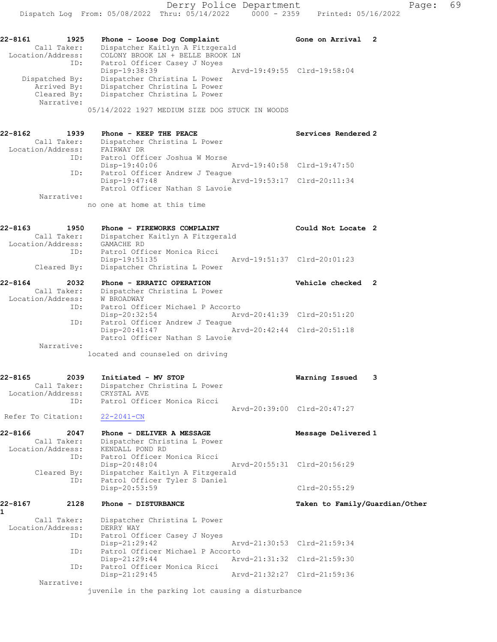22-8161 1925 Phone - Loose Dog Complaint Gone on Arrival 2

| Call Taker:<br>Location/Address:<br>ID:  | Dispatcher Kaitlyn A Fitzgerald<br>COLONY BROOK LN + BELLE BROOK LN<br>Patrol Officer Casey J Noyes              |                                |
|------------------------------------------|------------------------------------------------------------------------------------------------------------------|--------------------------------|
| Dispatched By:                           | Disp-19:38:39<br>Dispatcher Christina L Power                                                                    | Arvd-19:49:55 Clrd-19:58:04    |
| Arrived By:<br>Cleared By:<br>Narrative: | Dispatcher Christina L Power<br>Dispatcher Christina L Power                                                     |                                |
|                                          | 05/14/2022 1927 MEDIUM SIZE DOG STUCK IN WOODS                                                                   |                                |
| 22-8162<br>1939<br>Call Taker:           | Phone - KEEP THE PEACE<br>Dispatcher Christina L Power                                                           | Services Rendered 2            |
| Location/Address:                        | FAIRWAY DR                                                                                                       |                                |
| ID:                                      | Patrol Officer Joshua W Morse<br>$Disp-19:40:06$                                                                 | Arvd-19:40:58 Clrd-19:47:50    |
| ID:                                      | Patrol Officer Andrew J Teague                                                                                   |                                |
|                                          | $Disp-19:47:48$<br>Arvd-19:53:17 Clrd-20:11:34                                                                   |                                |
| Narrative:                               | Patrol Officer Nathan S Lavoie                                                                                   |                                |
|                                          | no one at home at this time                                                                                      |                                |
| 22-8163<br>1950                          | Phone - FIREWORKS COMPLAINT                                                                                      | Could Not Locate 2             |
| Call Taker:<br>Location/Address:         | Dispatcher Kaitlyn A Fitzgerald<br>GAMACHE RD                                                                    |                                |
| ID:                                      | Patrol Officer Monica Ricci                                                                                      |                                |
|                                          | Disp-19:51:35                                                                                                    | Arvd-19:51:37 Clrd-20:01:23    |
| Cleared By:                              | Dispatcher Christina L Power                                                                                     |                                |
| 22-8164<br>2032                          | Phone - ERRATIC OPERATION                                                                                        | Vehicle checked 2              |
| Call Taker:<br>Location/Address:         | Dispatcher Christina L Power<br><b>W BROADWAY</b>                                                                |                                |
| ID:                                      | Patrol Officer Michael P Accorto                                                                                 |                                |
| ID:                                      | $Disp-20:32:54$                                                                                                  | Arvd-20:41:39 Clrd-20:51:20    |
|                                          | Patrol Officer Andrew J Teague<br>Arvd-20:42:44 Clrd-20:51:18<br>Disp-20:41:47<br>Patrol Officer Nathan S Lavoie |                                |
| Narrative:                               |                                                                                                                  |                                |
|                                          | located and counseled on driving                                                                                 |                                |
| 22-8165<br>2039                          | Initiated - MV STOP                                                                                              | 3<br>Warning Issued            |
| Call Taker:                              | Dispatcher Christina L Power                                                                                     |                                |
| Location/Address:<br>ID:                 | CRYSTAL AVE<br>Patrol Officer Monica Ricci                                                                       |                                |
|                                          |                                                                                                                  | Arvd-20:39:00 Clrd-20:47:27    |
| Refer To Citation:                       | $22 - 2041 - CN$                                                                                                 |                                |
| 22-8166<br>2047                          | Phone - DELIVER A MESSAGE                                                                                        | Message Delivered 1            |
| Call Taker:<br>Location/Address:         | Dispatcher Christina L Power<br>KENDALL POND RD                                                                  |                                |
| ID:                                      | Patrol Officer Monica Ricci                                                                                      |                                |
|                                          | $Disp-20:48:04$                                                                                                  | Arvd-20:55:31 Clrd-20:56:29    |
| Cleared By:<br>ID:                       | Dispatcher Kaitlyn A Fitzgerald<br>Patrol Officer Tyler S Daniel                                                 |                                |
|                                          | Disp-20:53:59                                                                                                    | $Clrd-20:55:29$                |
| 2128<br>22-8167<br>1                     | Phone - DISTURBANCE                                                                                              | Taken to Family/Guardian/Other |
| Call Taker:                              | Dispatcher Christina L Power                                                                                     |                                |
| Location/Address:                        | DERRY WAY                                                                                                        |                                |
| ID:                                      | Patrol Officer Casey J Noyes<br>Disp-21:29:42                                                                    | Arvd-21:30:53 Clrd-21:59:34    |
| ID:                                      | Patrol Officer Michael P Accorto                                                                                 |                                |

 Disp-21:29:45 Arvd-21:32:27 Clrd-21:59:36 Narrative:

ID: Patrol Officer Monica Ricci

juvenile in the parking lot causing a disturbance

Disp-21:29:44 Arvd-21:31:32 Clrd-21:59:30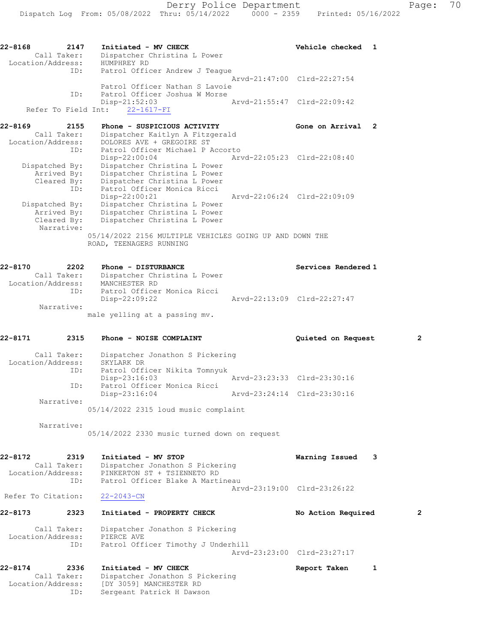| $22 - 8168$<br>Call Taker:                   | 2147<br>Initiated - MV CHECK<br>Dispatcher Christina L Power<br>Location/Address: HUMPHREY RD                                                  | Vehicle checked<br>1        |   |
|----------------------------------------------|------------------------------------------------------------------------------------------------------------------------------------------------|-----------------------------|---|
|                                              | ID:<br>Patrol Officer Andrew J Teaque                                                                                                          | Arvd-21:47:00 Clrd-22:27:54 |   |
|                                              | Patrol Officer Nathan S Lavoie<br>Patrol Officer Joshua W Morse<br>ID:<br>$Disp-21:52:03$                                                      | Arvd-21:55:47 Clrd-22:09:42 |   |
| Refer To Field Int:                          | $22 - 1617 - FI$                                                                                                                               |                             |   |
| 22-8169<br>Call Taker:<br>Location/Address:  | Phone - SUSPICIOUS ACTIVITY<br>2155<br>Dispatcher Kaitlyn A Fitzgerald<br>DOLORES AVE + GREGOIRE ST<br>ID:<br>Patrol Officer Michael P Accorto | Gone on Arrival 2           |   |
|                                              | $Disp-22:00:04$                                                                                                                                | Arvd-22:05:23 Clrd-22:08:40 |   |
| Dispatched By:<br>Arrived By:<br>Cleared By: | Dispatcher Christina L Power<br>Dispatcher Christina L Power<br>Dispatcher Christina L Power<br>Patrol Officer Monica Ricci<br>ID:             |                             |   |
| Dispatched By:                               | Disp-22:00:21<br>Dispatcher Christina L Power                                                                                                  | Arvd-22:06:24 Clrd-22:09:09 |   |
| Arrived By:<br>Cleared By:<br>Narrative:     | Dispatcher Christina L Power<br>Dispatcher Christina L Power                                                                                   |                             |   |
|                                              | 05/14/2022 2156 MULTIPLE VEHICLES GOING UP AND DOWN THE<br>ROAD, TEENAGERS RUNNING                                                             |                             |   |
| 22-8170                                      | 2202<br>Phone - DISTURBANCE                                                                                                                    | Services Rendered 1         |   |
| Call Taker:<br>Location/Address:             | Dispatcher Christina L Power<br>MANCHESTER RD<br>Patrol Officer Monica Ricci<br>ID:<br>$Disp-22:09:22$                                         | Arvd-22:13:09 Clrd-22:27:47 |   |
| Narrative:                                   |                                                                                                                                                |                             |   |
|                                              | male yelling at a passing mv.                                                                                                                  |                             |   |
| 22-8171                                      | 2315<br>Phone - NOISE COMPLAINT                                                                                                                | Quieted on Request          | 2 |

 Call Taker: Dispatcher Jonathon S Pickering Location/Address: SKYLARK DR ID: Patrol Officer Nikita Tomnyuk Disp-23:16:03 Arvd-23:23:33 Clrd-23:30:16 ID: Patrol Officer Monica Ricci Disp-23:16:04 Arvd-23:24:14 Clrd-23:30:16 Narrative: 05/14/2022 2315 loud music complaint

> Narrative: 05/14/2022 2330 music turned down on request

22-8172 2319 Initiated - MV STOP Warning Issued 3 Call Taker: Dispatcher Jonathon S Pickering Location/Address: PINKERTON ST + TSIENNETO RD ID: Patrol Officer Blake A Martineau Arvd-23:19:00 Clrd-23:26:22<br>22-2043-CN Refer To Citation:

 Call Taker: Dispatcher Jonathon S Pickering Location/Address: PIERCE AVE ID: Patrol Officer Timothy J Underhill Arvd-23:23:00 Clrd-23:27:17

22-8173 2323 Initiated - PROPERTY CHECK No Action Required 2

22-8174 2336 Initiated - MV CHECK 22-8174 Report Taken 1 Call Taker: Dispatcher Jonathon S Pickering Location/Address: [DY 3059] MANCHESTER RD ID: Sergeant Patrick H Dawson